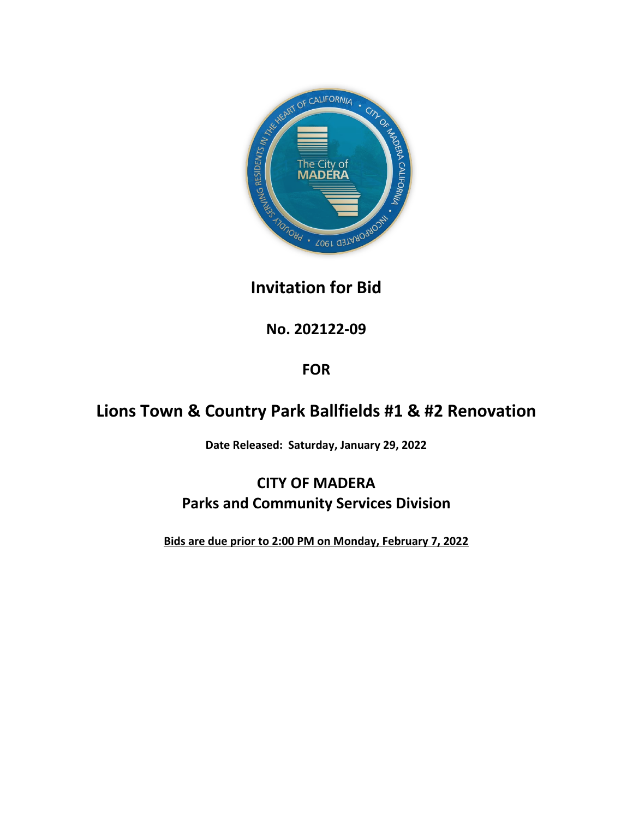

**No. 202122-09**

# **FOR**

# **Lions Town & Country Park Ballfields #1 & #2 Renovation**

**Date Released: Saturday, January 29, 2022**

# **CITY OF MADERA Parks and Community Services Division**

**Bids are due prior to 2:00 PM on Monday, February 7, 2022**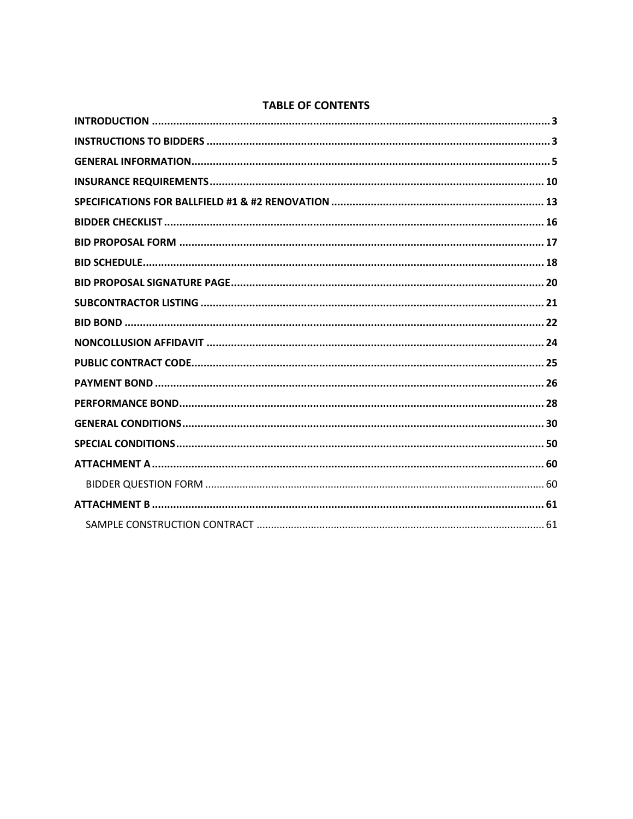# **TABLE OF CONTENTS**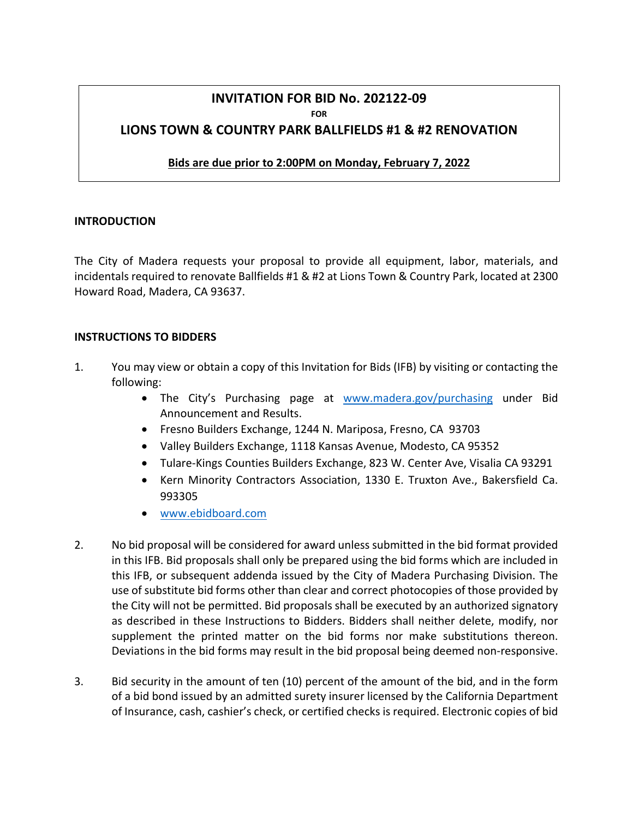# **INVITATION FOR BID No. 202122-09 FOR LIONS TOWN & COUNTRY PARK BALLFIELDS #1 & #2 RENOVATION**

#### **Bids are due prior to 2:00PM on Monday, February 7, 2022**

#### <span id="page-2-0"></span>**INTRODUCTION**

The City of Madera requests your proposal to provide all equipment, labor, materials, and incidentals required to renovate Ballfields #1 & #2 at Lions Town & Country Park, located at 2300 Howard Road, Madera, CA 93637.

#### <span id="page-2-1"></span>**INSTRUCTIONS TO BIDDERS**

- 1. You may view or obtain a copy of this Invitation for Bids (IFB) by visiting or contacting the following:
	- The City's Purchasing page at [www.madera.gov/purchasing](http://www.madera.gov/purchasing) under Bid Announcement and Results.
	- Fresno Builders Exchange, 1244 N. Mariposa, Fresno, CA 93703
	- Valley Builders Exchange, 1118 Kansas Avenue, Modesto, CA 95352
	- Tulare-Kings Counties Builders Exchange, 823 W. Center Ave, Visalia CA 93291
	- Kern Minority Contractors Association, 1330 E. Truxton Ave., Bakersfield Ca. 993305
	- [www.ebidboard.com](http://www.ebidboard.com/)
- 2. No bid proposal will be considered for award unless submitted in the bid format provided in this IFB. Bid proposals shall only be prepared using the bid forms which are included in this IFB, or subsequent addenda issued by the City of Madera Purchasing Division. The use of substitute bid forms other than clear and correct photocopies of those provided by the City will not be permitted. Bid proposals shall be executed by an authorized signatory as described in these Instructions to Bidders. Bidders shall neither delete, modify, nor supplement the printed matter on the bid forms nor make substitutions thereon. Deviations in the bid forms may result in the bid proposal being deemed non-responsive.
- 3. Bid security in the amount of ten (10) percent of the amount of the bid, and in the form of a bid bond issued by an admitted surety insurer licensed by the California Department of Insurance, cash, cashier's check, or certified checks is required. Electronic copies of bid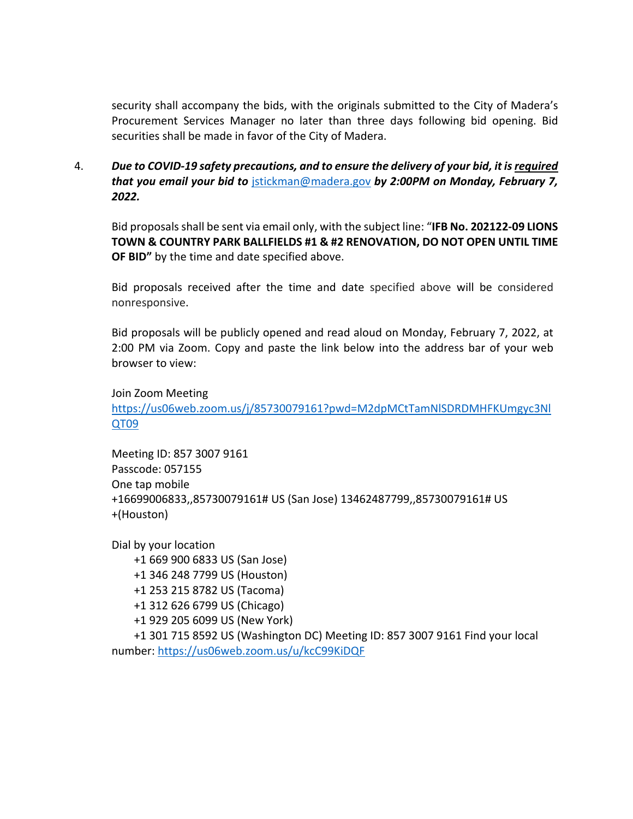security shall accompany the bids, with the originals submitted to the City of Madera's Procurement Services Manager no later than three days following bid opening. Bid securities shall be made in favor of the City of Madera.

4. *Due to COVID-19 safety precautions, and to ensure the delivery of your bid, it is required that you email your bid to* [jstickman@madera.gov](mailto:jstickman@madera.gov) *by 2:00PM on Monday, February 7, 2022.*

Bid proposals shall be sent via email only, with the subject line: "IFB No. 202122-09 LIONS **TOWN & COUNTRY PARK BALLFIELDS #1 & #2 RENOVATION, DO NOT OPEN UNTIL TIME OF BID"** by the time and date specified above.

Bid proposals received after the time and date specified above will be considered nonresponsive.

Bid proposals will be publicly opened and read aloud on Monday, February 7, 2022, at 2:00 PM via Zoom. Copy and paste the link below into the address bar of your web browser to view:

Join Zoom Meeting [https://us06web.zoom.us/j/85730079161?pwd=M2dpMCtTamNlSDRDMHFKUmgyc3Nl](https://us06web.zoom.us/j/85730079161?pwd=M2dpMCtTamNlSDRDMHFKUmgyc3NlQT09) [QT09](https://us06web.zoom.us/j/85730079161?pwd=M2dpMCtTamNlSDRDMHFKUmgyc3NlQT09)

Meeting ID: 857 3007 9161 Passcode: 057155 One tap mobile +16699006833,,85730079161# US (San Jose) 13462487799,,85730079161# US +(Houston)

Dial by your location +1 669 900 6833 US (San Jose) +1 346 248 7799 US (Houston) +1 253 215 8782 US (Tacoma) +1 312 626 6799 US (Chicago) +1 929 205 6099 US (New York) +1 301 715 8592 US (Washington DC) Meeting ID: 857 3007 9161 Find your local number:<https://us06web.zoom.us/u/kcC99KiDQF>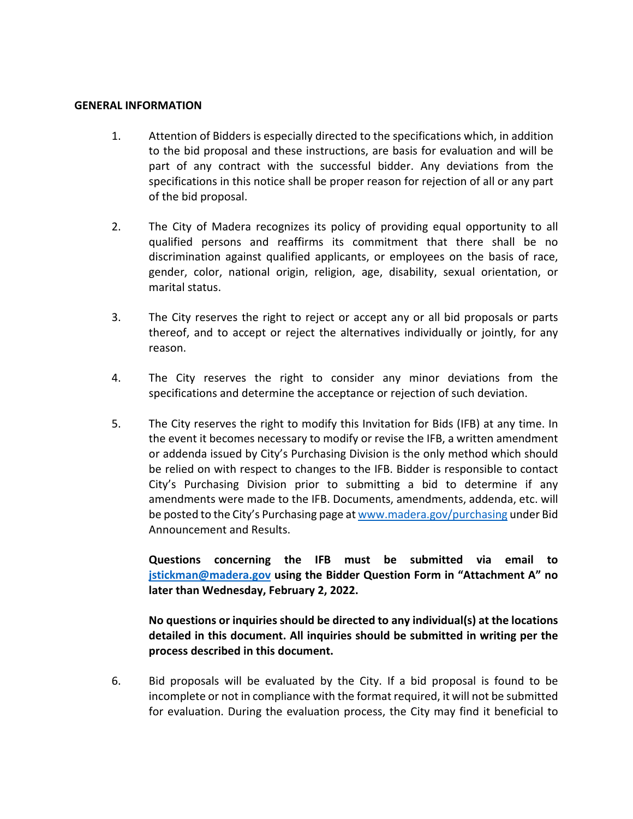#### <span id="page-4-0"></span>**GENERAL INFORMATION**

- 1. Attention of Bidders is especially directed to the specifications which, in addition to the bid proposal and these instructions, are basis for evaluation and will be part of any contract with the successful bidder. Any deviations from the specifications in this notice shall be proper reason for rejection of all or any part of the bid proposal.
- 2. The City of Madera recognizes its policy of providing equal opportunity to all qualified persons and reaffirms its commitment that there shall be no discrimination against qualified applicants, or employees on the basis of race, gender, color, national origin, religion, age, disability, sexual orientation, or marital status.
- 3. The City reserves the right to reject or accept any or all bid proposals or parts thereof, and to accept or reject the alternatives individually or jointly, for any reason.
- 4. The City reserves the right to consider any minor deviations from the specifications and determine the acceptance or rejection of such deviation.
- 5. The City reserves the right to modify this Invitation for Bids (IFB) at any time. In the event it becomes necessary to modify or revise the IFB, a written amendment or addenda issued by City's Purchasing Division is the only method which should be relied on with respect to changes to the IFB. Bidder is responsible to contact City's Purchasing Division prior to submitting a bid to determine if any amendments were made to the IFB. Documents, amendments, addenda, etc. will be posted to the City's Purchasing page a[t www.madera.gov/purchasing](http://www.madera.gov/purchasing) under Bid Announcement and Results.

**Questions concerning the IFB must be submitted via email to [jstickman@madera.gov](mailto:jstickman@madera.gov) using the Bidder Question Form in "Attachment A" no later than Wednesday, February 2, 2022.**

**No questions or inquiries should be directed to any individual(s) at the locations detailed in this document. All inquiries should be submitted in writing per the process described in this document.**

6. Bid proposals will be evaluated by the City. If a bid proposal is found to be incomplete or not in compliance with the format required, it will not be submitted for evaluation. During the evaluation process, the City may find it beneficial to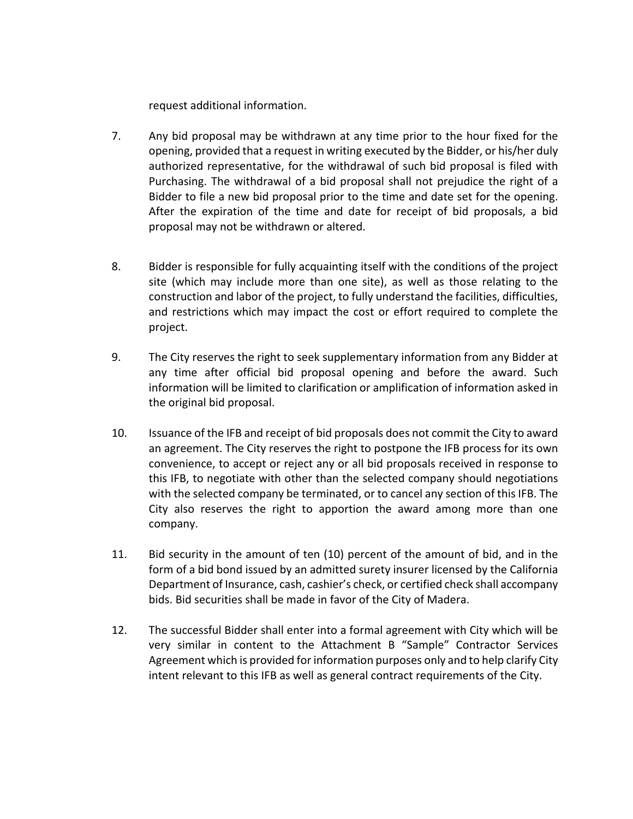request additional information.

- 7. Any bid proposal may be withdrawn at any time prior to the hour fixed for the opening, provided that a request in writing executed by the Bidder, or his/her duly authorized representative, for the withdrawal of such bid proposal is filed with Purchasing. The withdrawal of a bid proposal shall not prejudice the right of a Bidder to file a new bid proposal prior to the time and date set for the opening. After the expiration of the time and date for receipt of bid proposals, a bid proposal may not be withdrawn or altered.
- 8. Bidder is responsible for fully acquainting itself with the conditions of the project site (which may include more than one site), as well as those relating to the construction and labor of the project, to fully understand the facilities, difficulties, and restrictions which may impact the cost or effort required to complete the project.
- 9. The City reserves the right to seek supplementary information from any Bidder at any time after official bid proposal opening and before the award. Such information will be limited to clarification or amplification of information asked in the original bid proposal.
- 10. Issuance of the IFB and receipt of bid proposals does not commit the City to award an agreement. The City reserves the right to postpone the IFB process for its own convenience, to accept or reject any or all bid proposals received in response to this IFB, to negotiate with other than the selected company should negotiations with the selected company be terminated, or to cancel any section of this IFB. The City also reserves the right to apportion the award among more than one company.
- 11. Bid security in the amount of ten (10) percent of the amount of bid, and in the form of a bid bond issued by an admitted surety insurer licensed by the California Department of Insurance, cash, cashier's check, or certified check shall accompany bids. Bid securities shall be made in favor of the City of Madera.
- 12. The successful Bidder shall enter into a formal agreement with City which will be very similar in content to the Attachment B "Sample" Contractor Services Agreement which is provided for information purposes only and to help clarify City intent relevant to this IFB as well as general contract requirements of the City.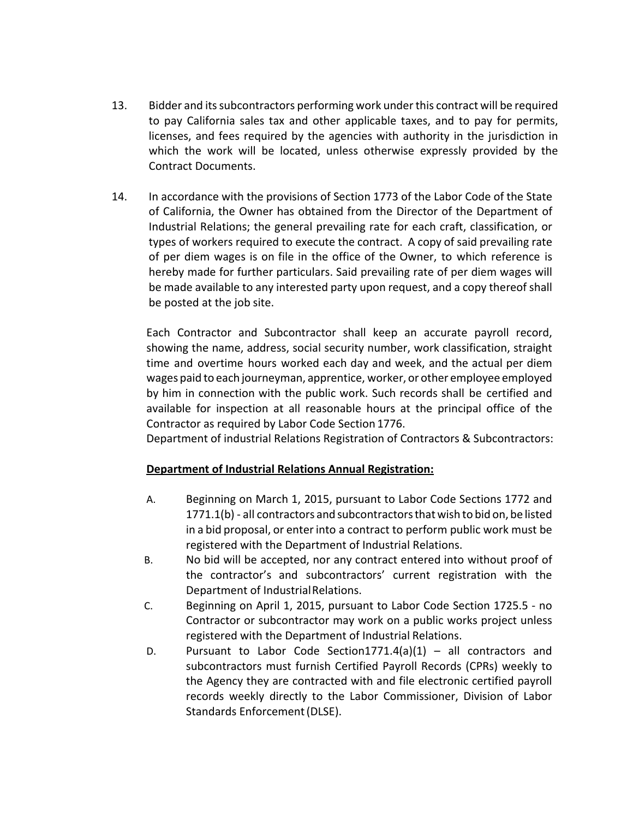- 13. Bidder and its subcontractors performing work under this contract will be required to pay California sales tax and other applicable taxes, and to pay for permits, licenses, and fees required by the agencies with authority in the jurisdiction in which the work will be located, unless otherwise expressly provided by the Contract Documents.
- 14. In accordance with the provisions of Section 1773 of the Labor Code of the State of California, the Owner has obtained from the Director of the Department of Industrial Relations; the general prevailing rate for each craft, classification, or types of workers required to execute the contract. A copy of said prevailing rate of per diem wages is on file in the office of the Owner, to which reference is hereby made for further particulars. Said prevailing rate of per diem wages will be made available to any interested party upon request, and a copy thereof shall be posted at the job site.

Each Contractor and Subcontractor shall keep an accurate payroll record, showing the name, address, social security number, work classification, straight time and overtime hours worked each day and week, and the actual per diem wages paid to each journeyman, apprentice, worker, or other employee employed by him in connection with the public work. Such records shall be certified and available for inspection at all reasonable hours at the principal office of the Contractor as required by Labor Code Section 1776.

Department of industrial Relations Registration of Contractors & Subcontractors:

# **Department of Industrial Relations Annual Registration:**

- A. Beginning on March 1, 2015, pursuant to Labor Code Sections 1772 and 1771.1(b) - all contractors and subcontractorsthat wish to bid on, be listed in a bid proposal, or enter into a contract to perform public work must be registered with the Department of Industrial Relations.
- B. No bid will be accepted, nor any contract entered into without proof of the contractor's and subcontractors' current registration with the Department of Industrial Relations.
- C. Beginning on April 1, 2015, pursuant to Labor Code Section 1725.5 no Contractor or subcontractor may work on a public works project unless registered with the Department of Industrial Relations.
- D. Pursuant to Labor Code Section1771.4(a)(1) all contractors and subcontractors must furnish Certified Payroll Records (CPRs) weekly to the Agency they are contracted with and file electronic certified payroll records weekly directly to the Labor Commissioner, Division of Labor Standards Enforcement(DLSE).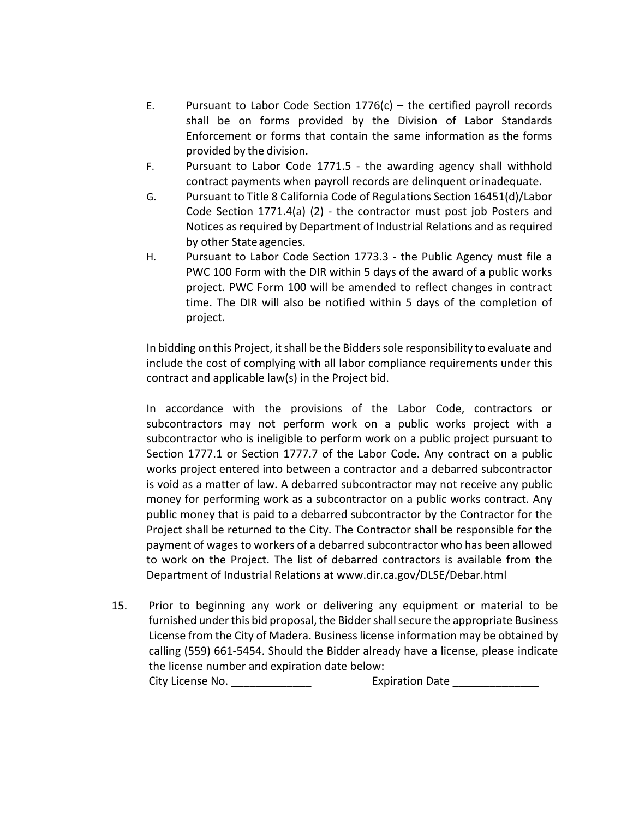- E. Pursuant to Labor Code Section  $1776(c)$  the certified payroll records shall be on forms provided by the Division of Labor Standards Enforcement or forms that contain the same information as the forms provided by the division.
- F. Pursuant to Labor Code 1771.5 the awarding agency shall withhold contract payments when payroll records are delinquent orinadequate.
- G. Pursuant to Title 8 California Code of Regulations Section 16451(d)/Labor Code Section 1771.4(a) (2) - the contractor must post job Posters and Notices as required by Department of Industrial Relations and as required by other Stateagencies.
- H. Pursuant to Labor Code Section 1773.3 the Public Agency must file a PWC 100 Form with the DIR within 5 days of the award of a public works project. PWC Form 100 will be amended to reflect changes in contract time. The DIR will also be notified within 5 days of the completion of project.

In bidding on this Project, it shall be the Bidders sole responsibility to evaluate and include the cost of complying with all labor compliance requirements under this contract and applicable law(s) in the Project bid.

In accordance with the provisions of the Labor Code, contractors or subcontractors may not perform work on a public works project with a subcontractor who is ineligible to perform work on a public project pursuant to Section 1777.1 or Section 1777.7 of the Labor Code. Any contract on a public works project entered into between a contractor and a debarred subcontractor is void as a matter of law. A debarred subcontractor may not receive any public money for performing work as a subcontractor on a public works contract. Any public money that is paid to a debarred subcontractor by the Contractor for the Project shall be returned to the City. The Contractor shall be responsible for the payment of wages to workers of a debarred subcontractor who has been allowed to work on the Project. The list of debarred contractors is available from the Department of Industrial Relations at [www.dir.ca.gov/DLSE/Debar.html](http://www.dir.ca.gov/DLSE/Debar.html)

15. Prior to beginning any work or delivering any equipment or material to be furnished under this bid proposal, the Bidder shall secure the appropriate Business License from the City of Madera. Business license information may be obtained by calling (559) 661-5454. Should the Bidder already have a license, please indicate the license number and expiration date below: City License No. **Expiration Date Expiration Date**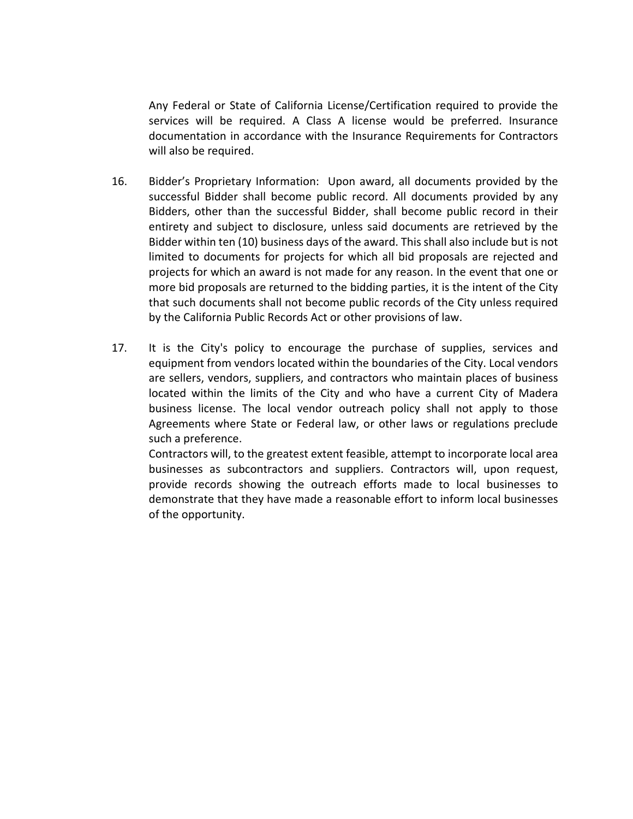Any Federal or State of California License/Certification required to provide the services will be required. A Class A license would be preferred. Insurance documentation in accordance with the Insurance Requirements for Contractors will also be required.

- 16. Bidder's Proprietary Information: Upon award, all documents provided by the successful Bidder shall become public record. All documents provided by any Bidders, other than the successful Bidder, shall become public record in their entirety and subject to disclosure, unless said documents are retrieved by the Bidder within ten (10) business days of the award. This shall also include but is not limited to documents for projects for which all bid proposals are rejected and projects for which an award is not made for any reason. In the event that one or more bid proposals are returned to the bidding parties, it is the intent of the City that such documents shall not become public records of the City unless required by the California Public Records Act or other provisions of law.
- 17. It is the City's policy to encourage the purchase of supplies, services and equipment from vendors located within the boundaries of the City. Local vendors are sellers, vendors, suppliers, and contractors who maintain places of business located within the limits of the City and who have a current City of Madera business license. The local vendor outreach policy shall not apply to those Agreements where State or Federal law, or other laws or regulations preclude such a preference.

Contractors will, to the greatest extent feasible, attempt to incorporate local area businesses as subcontractors and suppliers. Contractors will, upon request, provide records showing the outreach efforts made to local businesses to demonstrate that they have made a reasonable effort to inform local businesses of the opportunity.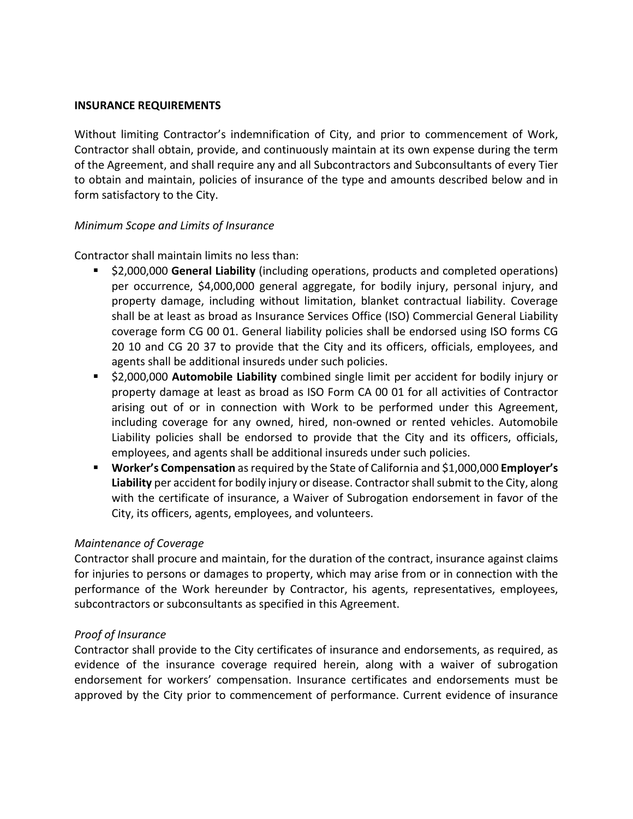#### <span id="page-9-0"></span>**INSURANCE REQUIREMENTS**

Without limiting Contractor's indemnification of City, and prior to commencement of Work, Contractor shall obtain, provide, and continuously maintain at its own expense during the term of the Agreement, and shall require any and all Subcontractors and Subconsultants of every Tier to obtain and maintain, policies of insurance of the type and amounts described below and in form satisfactory to the City.

### *Minimum Scope and Limits of Insurance*

Contractor shall maintain limits no less than:

- \$2,000,000 **General Liability** (including operations, products and completed operations) per occurrence, \$4,000,000 general aggregate, for bodily injury, personal injury, and property damage, including without limitation, blanket contractual liability. Coverage shall be at least as broad as Insurance Services Office (ISO) Commercial General Liability coverage form CG 00 01. General liability policies shall be endorsed using ISO forms CG 20 10 and CG 20 37 to provide that the City and its officers, officials, employees, and agents shall be additional insureds under such policies.
- \$2,000,000 **Automobile Liability** combined single limit per accident for bodily injury or property damage at least as broad as ISO Form CA 00 01 for all activities of Contractor arising out of or in connection with Work to be performed under this Agreement, including coverage for any owned, hired, non-owned or rented vehicles. Automobile Liability policies shall be endorsed to provide that the City and its officers, officials, employees, and agents shall be additional insureds under such policies.
- **Worker's Compensation** as required by the State of California and \$1,000,000 **Employer's Liability** per accident for bodily injury or disease. Contractor shall submit to the City, along with the certificate of insurance, a Waiver of Subrogation endorsement in favor of the City, its officers, agents, employees, and volunteers.

# *Maintenance of Coverage*

Contractor shall procure and maintain, for the duration of the contract, insurance against claims for injuries to persons or damages to property, which may arise from or in connection with the performance of the Work hereunder by Contractor, his agents, representatives, employees, subcontractors or subconsultants as specified in this Agreement.

### *Proof of Insurance*

Contractor shall provide to the City certificates of insurance and endorsements, as required, as evidence of the insurance coverage required herein, along with a waiver of subrogation endorsement for workers' compensation. Insurance certificates and endorsements must be approved by the City prior to commencement of performance. Current evidence of insurance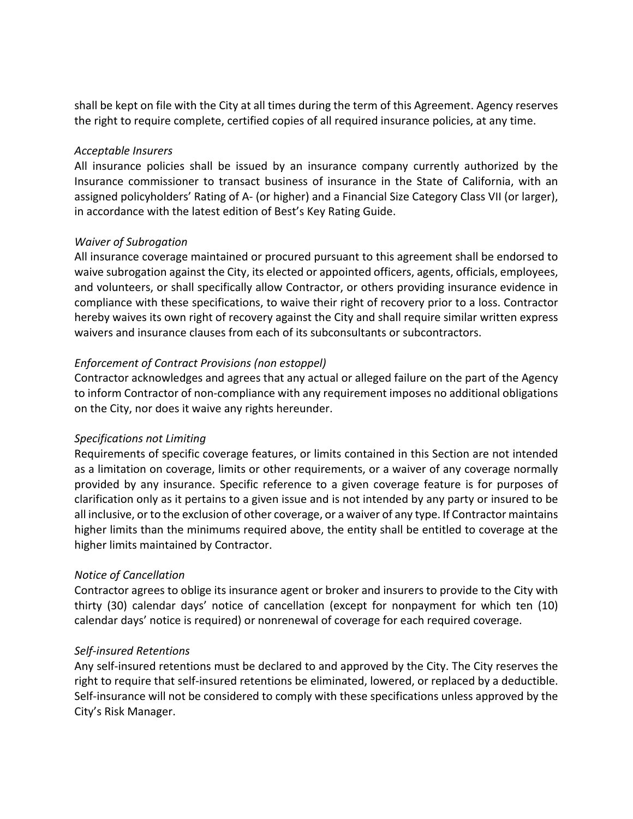shall be kept on file with the City at all times during the term of this Agreement. Agency reserves the right to require complete, certified copies of all required insurance policies, at any time.

### *Acceptable Insurers*

All insurance policies shall be issued by an insurance company currently authorized by the Insurance commissioner to transact business of insurance in the State of California, with an assigned policyholders' Rating of A- (or higher) and a Financial Size Category Class VII (or larger), in accordance with the latest edition of Best's Key Rating Guide.

# *Waiver of Subrogation*

All insurance coverage maintained or procured pursuant to this agreement shall be endorsed to waive subrogation against the City, its elected or appointed officers, agents, officials, employees, and volunteers, or shall specifically allow Contractor, or others providing insurance evidence in compliance with these specifications, to waive their right of recovery prior to a loss. Contractor hereby waives its own right of recovery against the City and shall require similar written express waivers and insurance clauses from each of its subconsultants or subcontractors.

# *Enforcement of Contract Provisions (non estoppel)*

Contractor acknowledges and agrees that any actual or alleged failure on the part of the Agency to inform Contractor of non-compliance with any requirement imposes no additional obligations on the City, nor does it waive any rights hereunder.

### *Specifications not Limiting*

Requirements of specific coverage features, or limits contained in this Section are not intended as a limitation on coverage, limits or other requirements, or a waiver of any coverage normally provided by any insurance. Specific reference to a given coverage feature is for purposes of clarification only as it pertains to a given issue and is not intended by any party or insured to be all inclusive, or to the exclusion of other coverage, or a waiver of any type. If Contractor maintains higher limits than the minimums required above, the entity shall be entitled to coverage at the higher limits maintained by Contractor.

### *Notice of Cancellation*

Contractor agrees to oblige its insurance agent or broker and insurers to provide to the City with thirty (30) calendar days' notice of cancellation (except for nonpayment for which ten (10) calendar days' notice is required) or nonrenewal of coverage for each required coverage.

### *Self-insured Retentions*

Any self-insured retentions must be declared to and approved by the City. The City reserves the right to require that self-insured retentions be eliminated, lowered, or replaced by a deductible. Self-insurance will not be considered to comply with these specifications unless approved by the City's Risk Manager.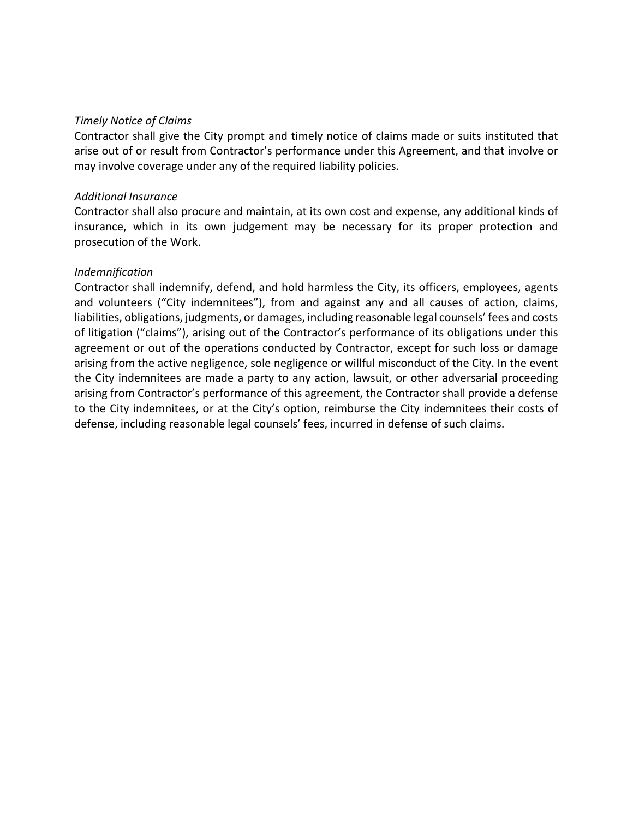#### *Timely Notice of Claims*

Contractor shall give the City prompt and timely notice of claims made or suits instituted that arise out of or result from Contractor's performance under this Agreement, and that involve or may involve coverage under any of the required liability policies.

#### *Additional Insurance*

Contractor shall also procure and maintain, at its own cost and expense, any additional kinds of insurance, which in its own judgement may be necessary for its proper protection and prosecution of the Work.

#### *Indemnification*

Contractor shall indemnify, defend, and hold harmless the City, its officers, employees, agents and volunteers ("City indemnitees"), from and against any and all causes of action, claims, liabilities, obligations, judgments, or damages, including reasonable legal counsels' fees and costs of litigation ("claims"), arising out of the Contractor's performance of its obligations under this agreement or out of the operations conducted by Contractor, except for such loss or damage arising from the active negligence, sole negligence or willful misconduct of the City. In the event the City indemnitees are made a party to any action, lawsuit, or other adversarial proceeding arising from Contractor's performance of this agreement, the Contractor shall provide a defense to the City indemnitees, or at the City's option, reimburse the City indemnitees their costs of defense, including reasonable legal counsels' fees, incurred in defense of such claims.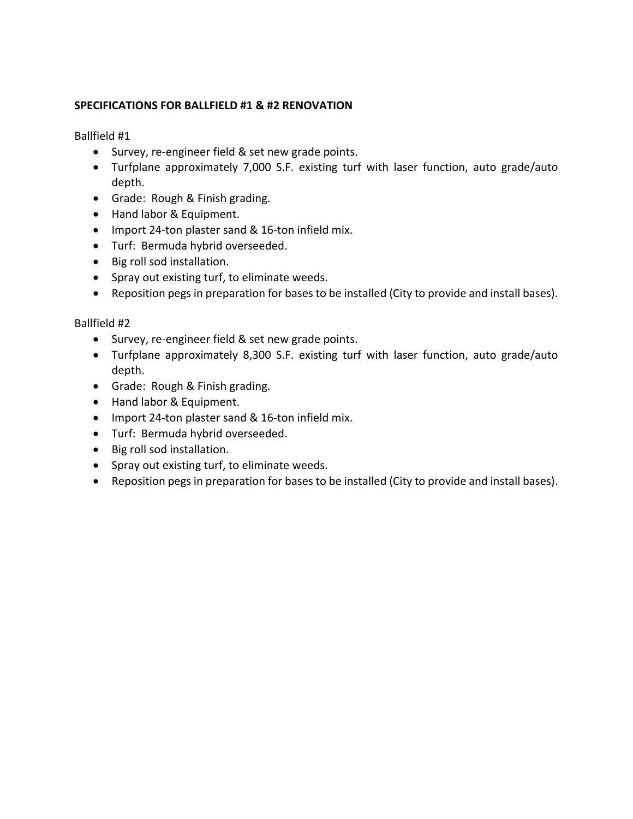# <span id="page-12-0"></span>**SPECIFICATIONS FOR BALLFIELD #1 & #2 RENOVATION**

Ballfield #1

- Survey, re-engineer field & set new grade points.
- Turfplane approximately 7,000 S.F. existing turf with laser function, auto grade/auto depth.
- Grade: Rough & Finish grading.
- Hand labor & Equipment.
- Import 24-ton plaster sand & 16-ton infield mix.
- Turf: Bermuda hybrid overseeded.
- Big roll sod installation.
- Spray out existing turf, to eliminate weeds.
- Reposition pegs in preparation for bases to be installed (City to provide and install bases).

### Ballfield #2

- Survey, re-engineer field & set new grade points.
- Turfplane approximately 8,300 S.F. existing turf with laser function, auto grade/auto depth.
- Grade: Rough & Finish grading.
- Hand labor & Equipment.
- Import 24-ton plaster sand & 16-ton infield mix.
- Turf: Bermuda hybrid overseeded.
- Big roll sod installation.
- Spray out existing turf, to eliminate weeds.
- Reposition pegs in preparation for bases to be installed (City to provide and install bases).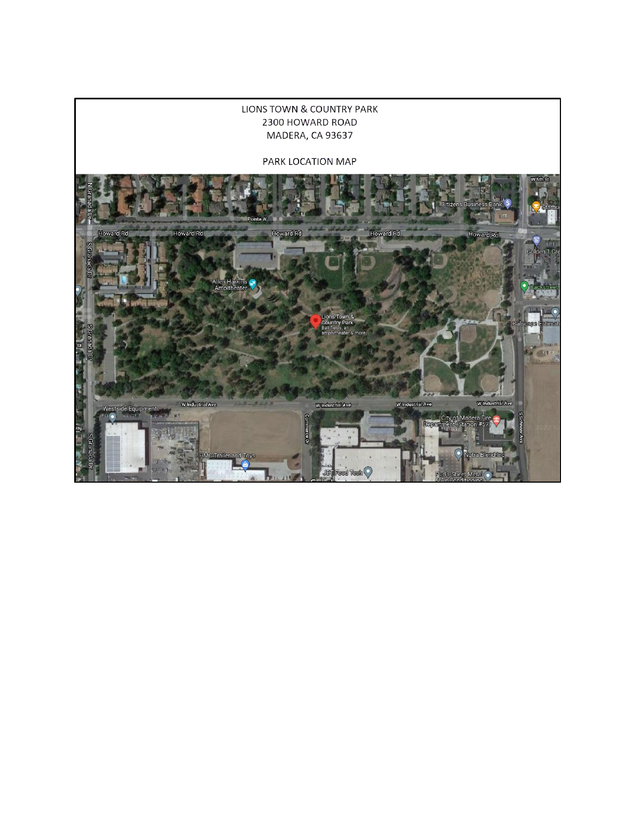#### **LIONS TOWN & COUNTRY PARK** 2300 HOWARD ROAD MADERA, CA 93637

#### PARK LOCATION MAP

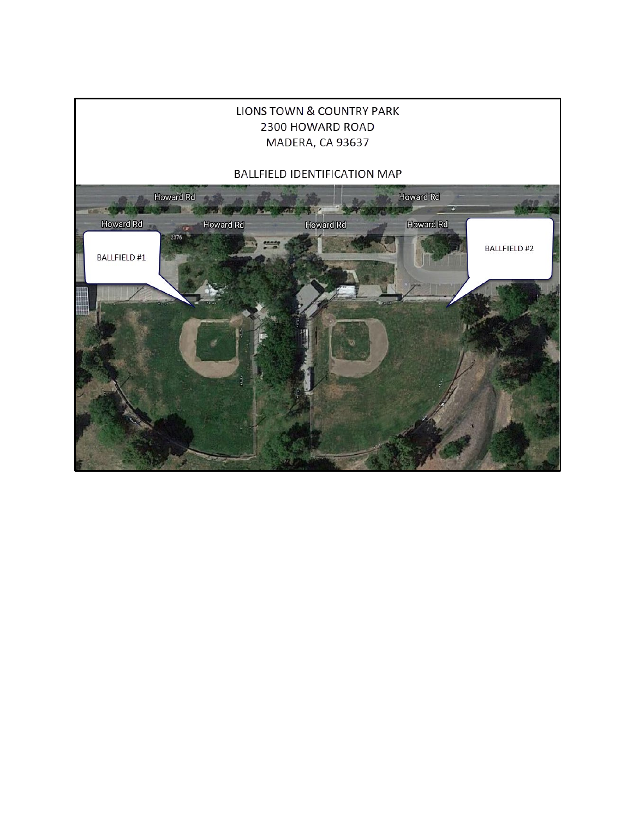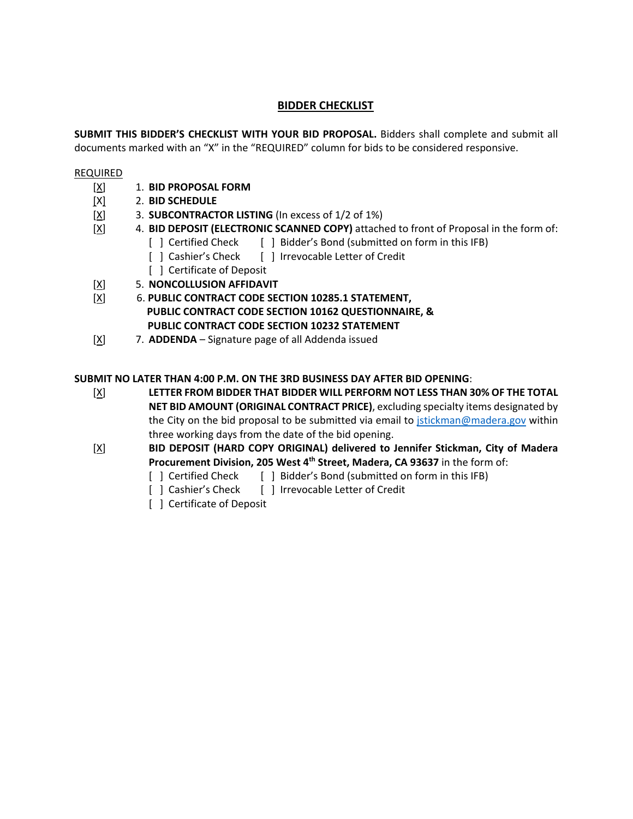# **BIDDER CHECKLIST**

<span id="page-15-0"></span>**SUBMIT THIS BIDDER'S CHECKLIST WITH YOUR BID PROPOSAL.** Bidders shall complete and submit all documents marked with an "X" in the "REQUIRED" column for bids to be considered responsive.

#### REQUIRED

- [X] 1. **BID PROPOSAL FORM**
- [X] 2. **BID SCHEDULE**
- [X] 3. **SUBCONTRACTOR LISTING** (In excess of 1/2 of 1%)
- [X] 4. **BID DEPOSIT (ELECTRONIC SCANNED COPY)** attached to front of Proposal in the form of:
	- [ ] Certified Check [ ] Bidder's Bond (submitted on form in this IFB)
	- [ ] Cashier's Check [ ] Irrevocable Letter of Credit
	- [ ] Certificate of Deposit
- [X] 5. **NONCOLLUSION AFFIDAVIT**
- [X] 6. **PUBLIC CONTRACT CODE SECTION 10285.1 STATEMENT, PUBLIC CONTRACT CODE SECTION 10162 QUESTIONNAIRE, & PUBLIC CONTRACT CODE SECTION 10232 STATEMENT**
- [X] 7. **ADDENDA** Signature page of all Addenda issued

#### **SUBMIT NO LATER THAN 4:00 P.M. ON THE 3RD BUSINESS DAY AFTER BID OPENING**:

- [X] **LETTER FROM BIDDER THAT BIDDER WILL PERFORM NOT LESS THAN 30% OF THE TOTAL NET BID AMOUNT (ORIGINAL CONTRACT PRICE)**, excluding specialty items designated by the City on the bid proposal to be submitted via email to [jstickman@madera.gov](mailto:jstickman@madera.gov) within three working days from the date of the bid opening.
- [X] **BID DEPOSIT (HARD COPY ORIGINAL) delivered to Jennifer Stickman, City of Madera Procurement Division, 205 West 4th Street, Madera, CA 93637** in the form of:
	- [ ] Certified Check [ ] Bidder's Bond (submitted on form in this IFB)
	- [ ] Cashier's Check [ ] Irrevocable Letter of Credit
	- [ ] Certificate of Deposit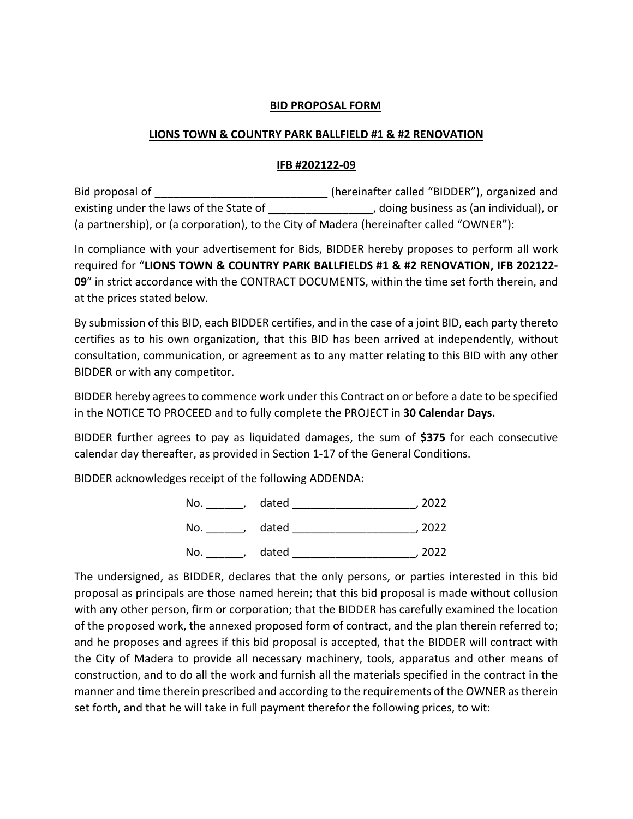#### **BID PROPOSAL FORM**

#### <span id="page-16-0"></span>**LIONS TOWN & COUNTRY PARK BALLFIELD #1 & #2 RENOVATION**

#### **IFB #202122-09**

Bid proposal of \_\_\_\_\_\_\_\_\_\_\_\_\_\_\_\_\_\_\_\_\_\_\_\_\_\_\_\_\_\_\_\_\_\_(hereinafter called "BIDDER"), organized and existing under the laws of the State of \_\_\_\_\_\_\_\_\_\_\_\_\_\_\_\_, doing business as (an individual), or (a partnership), or (a corporation), to the City of Madera (hereinafter called "OWNER"):

In compliance with your advertisement for Bids, BIDDER hereby proposes to perform all work required for "**LIONS TOWN & COUNTRY PARK BALLFIELDS #1 & #2 RENOVATION, IFB 202122- 09**" in strict accordance with the CONTRACT DOCUMENTS, within the time set forth therein, and at the prices stated below.

By submission of this BID, each BIDDER certifies, and in the case of a joint BID, each party thereto certifies as to his own organization, that this BID has been arrived at independently, without consultation, communication, or agreement as to any matter relating to this BID with any other BIDDER or with any competitor.

BIDDER hereby agrees to commence work under this Contract on or before a date to be specified in the NOTICE TO PROCEED and to fully complete the PROJECT in **30 Calendar Days.**

BIDDER further agrees to pay as liquidated damages, the sum of **\$375** for each consecutive calendar day thereafter, as provided in Section 1-17 of the General Conditions.

BIDDER acknowledges receipt of the following ADDENDA:



The undersigned, as BIDDER, declares that the only persons, or parties interested in this bid proposal as principals are those named herein; that this bid proposal is made without collusion with any other person, firm or corporation; that the BIDDER has carefully examined the location of the proposed work, the annexed proposed form of contract, and the plan therein referred to; and he proposes and agrees if this bid proposal is accepted, that the BIDDER will contract with the City of Madera to provide all necessary machinery, tools, apparatus and other means of construction, and to do all the work and furnish all the materials specified in the contract in the manner and time therein prescribed and according to the requirements of the OWNER as therein set forth, and that he will take in full payment therefor the following prices, to wit: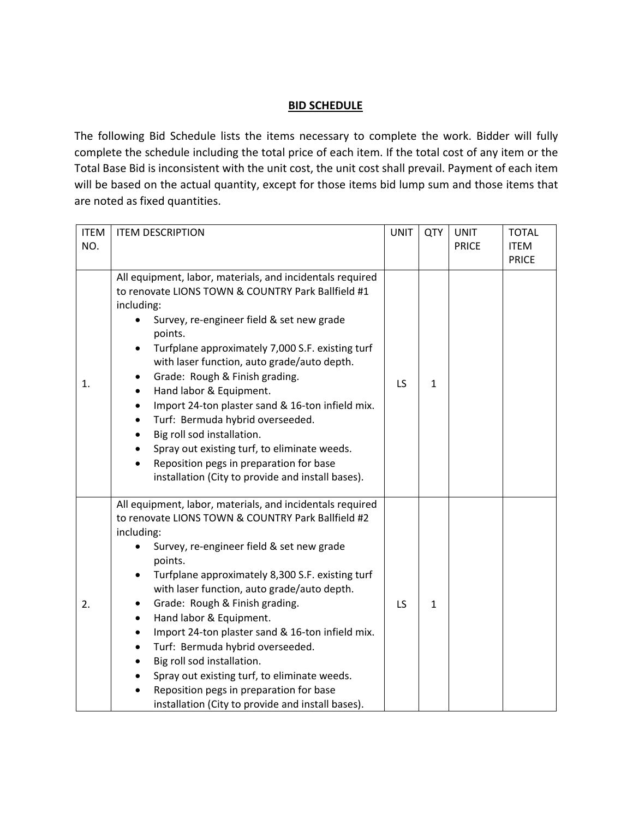# **BID SCHEDULE**

<span id="page-17-0"></span>The following Bid Schedule lists the items necessary to complete the work. Bidder will fully complete the schedule including the total price of each item. If the total cost of any item or the Total Base Bid is inconsistent with the unit cost, the unit cost shall prevail. Payment of each item will be based on the actual quantity, except for those items bid lump sum and those items that are noted as fixed quantities.

| <b>ITEM</b> | <b>ITEM DESCRIPTION</b>                                                                                                                                                                                                                                                                                                                                                                                                                                                                                                                                                                                                                                                                                        | <b>UNIT</b> | QTY          | <b>UNIT</b>  | <b>TOTAL</b>                |
|-------------|----------------------------------------------------------------------------------------------------------------------------------------------------------------------------------------------------------------------------------------------------------------------------------------------------------------------------------------------------------------------------------------------------------------------------------------------------------------------------------------------------------------------------------------------------------------------------------------------------------------------------------------------------------------------------------------------------------------|-------------|--------------|--------------|-----------------------------|
| NO.         |                                                                                                                                                                                                                                                                                                                                                                                                                                                                                                                                                                                                                                                                                                                |             |              | <b>PRICE</b> | <b>ITEM</b><br><b>PRICE</b> |
| 1.          | All equipment, labor, materials, and incidentals required<br>to renovate LIONS TOWN & COUNTRY Park Ballfield #1<br>including:<br>Survey, re-engineer field & set new grade<br>points.<br>Turfplane approximately 7,000 S.F. existing turf<br>$\bullet$<br>with laser function, auto grade/auto depth.<br>Grade: Rough & Finish grading.<br>$\bullet$<br>Hand labor & Equipment.<br>$\bullet$<br>Import 24-ton plaster sand & 16-ton infield mix.<br>٠<br>Turf: Bermuda hybrid overseeded.<br>$\bullet$<br>Big roll sod installation.<br>$\bullet$<br>Spray out existing turf, to eliminate weeds.<br>$\bullet$<br>Reposition pegs in preparation for base<br>installation (City to provide and install bases). | <b>LS</b>   | $\mathbf{1}$ |              |                             |
| 2.          | All equipment, labor, materials, and incidentals required<br>to renovate LIONS TOWN & COUNTRY Park Ballfield #2<br>including:<br>Survey, re-engineer field & set new grade<br>points.<br>Turfplane approximately 8,300 S.F. existing turf<br>$\bullet$<br>with laser function, auto grade/auto depth.<br>Grade: Rough & Finish grading.<br>٠<br>Hand labor & Equipment.<br>$\bullet$<br>Import 24-ton plaster sand & 16-ton infield mix.<br>$\bullet$<br>Turf: Bermuda hybrid overseeded.<br>$\bullet$<br>Big roll sod installation.<br>$\bullet$<br>Spray out existing turf, to eliminate weeds.<br>Reposition pegs in preparation for base<br>installation (City to provide and install bases).              | LS.         | $\mathbf{1}$ |              |                             |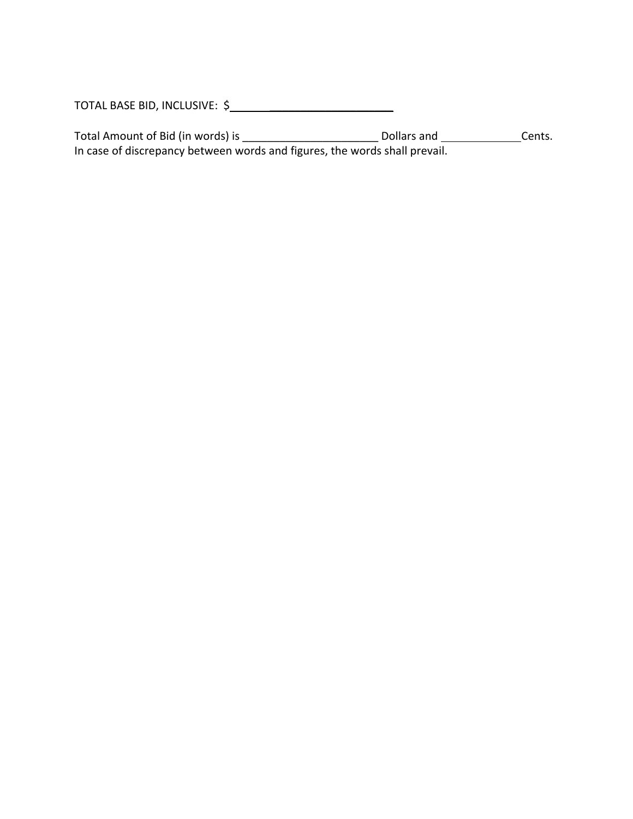TOTAL BASE BID, INCLUSIVE: \$ \_\_\_\_\_\_\_\_\_\_\_\_\_\_\_\_\_\_\_\_

Total Amount of Bid (in words) is \_\_\_\_\_\_\_\_\_\_\_\_\_\_\_\_\_\_\_\_\_\_ Dollars and Cents. In case of discrepancy between words and figures, the words shall prevail.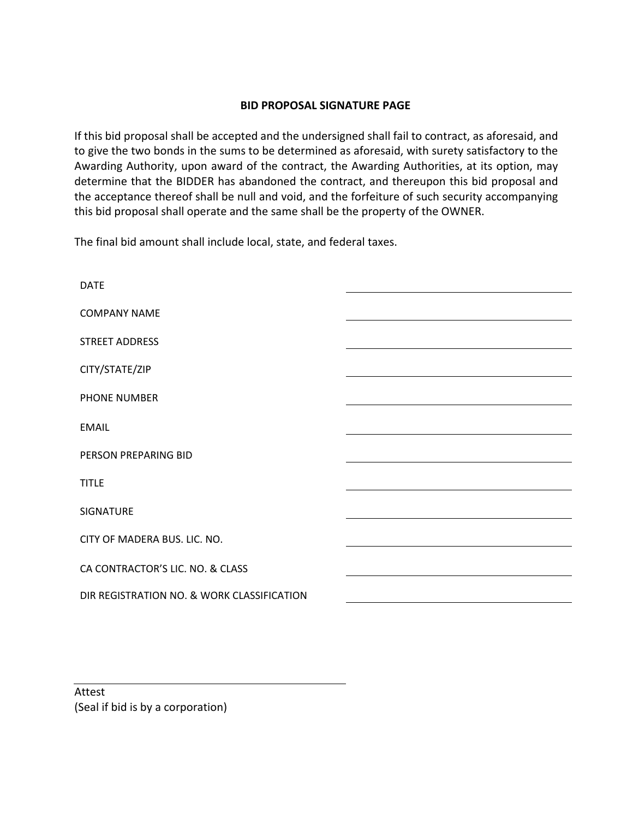### **BID PROPOSAL SIGNATURE PAGE**

<span id="page-19-0"></span>If this bid proposal shall be accepted and the undersigned shall fail to contract, as aforesaid, and to give the two bonds in the sums to be determined as aforesaid, with surety satisfactory to the Awarding Authority, upon award of the contract, the Awarding Authorities, at its option, may determine that the BIDDER has abandoned the contract, and thereupon this bid proposal and the acceptance thereof shall be null and void, and the forfeiture of such security accompanying this bid proposal shall operate and the same shall be the property of the OWNER.

The final bid amount shall include local, state, and federal taxes.

| <b>DATE</b>                                |  |
|--------------------------------------------|--|
| <b>COMPANY NAME</b>                        |  |
| STREET ADDRESS                             |  |
| CITY/STATE/ZIP                             |  |
| <b>PHONE NUMBER</b>                        |  |
| <b>EMAIL</b>                               |  |
| PERSON PREPARING BID                       |  |
| <b>TITLE</b>                               |  |
| SIGNATURE                                  |  |
| CITY OF MADERA BUS. LIC. NO.               |  |
| CA CONTRACTOR'S LIC. NO. & CLASS           |  |
| DIR REGISTRATION NO. & WORK CLASSIFICATION |  |

Attest (Seal if bid is by a corporation)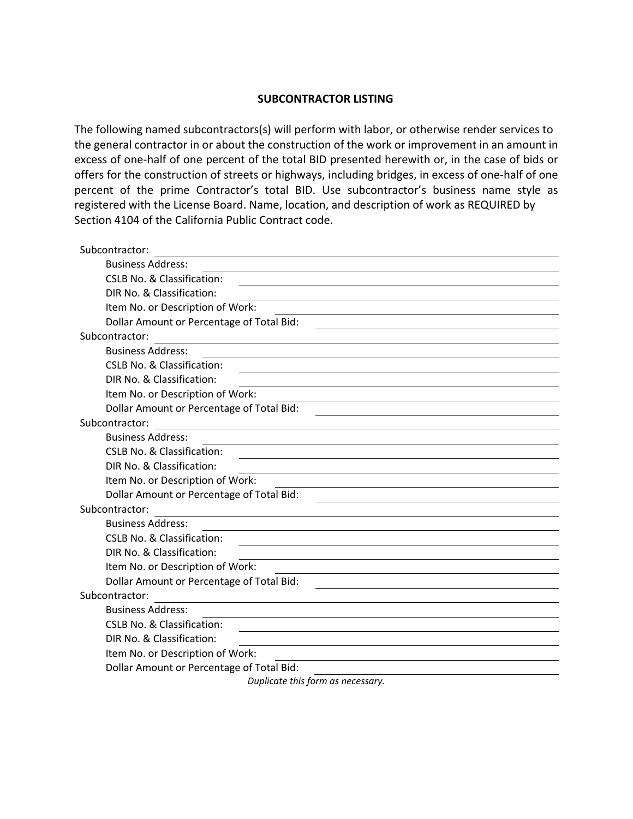#### **SUBCONTRACTOR LISTING**

<span id="page-20-0"></span>The following named subcontractors(s) will perform with labor, or otherwise render services to the general contractor in or about the construction of the work or improvement in an amount in excess of one-half of one percent of the total BID presented herewith or, in the case of bids or offers for the construction of streets or highways, including bridges, in excess of one-half of one percent of the prime Contractor's total BID. Use subcontractor's business name style as registered with the License Board. Name, location, and description of work as REQUIRED by Section 4104 of the California Public Contract code.

| Subcontractor:                                                                                                                |
|-------------------------------------------------------------------------------------------------------------------------------|
| <b>Business Address:</b>                                                                                                      |
| <b>CSLB No. &amp; Classification:</b><br><u> 1989 - Johann Stoff, amerikansk politiker (d. 1989)</u>                          |
| DIR No. & Classification:                                                                                                     |
| Item No. or Description of Work:                                                                                              |
| Dollar Amount or Percentage of Total Bid:                                                                                     |
| Subcontractor:                                                                                                                |
| <b>Business Address:</b>                                                                                                      |
| <b>CSLB No. &amp; Classification:</b>                                                                                         |
| DIR No. & Classification:                                                                                                     |
| Item No. or Description of Work:<br><u> 1989 - Johann John Stone, markin fizikar (h. 1989).</u>                               |
| Dollar Amount or Percentage of Total Bid:                                                                                     |
| Subcontractor:                                                                                                                |
| <b>Business Address:</b>                                                                                                      |
| <b>CSLB No. &amp; Classification:</b>                                                                                         |
| DIR No. & Classification:                                                                                                     |
| Item No. or Description of Work:                                                                                              |
| Dollar Amount or Percentage of Total Bid:                                                                                     |
| Subcontractor:                                                                                                                |
| <b>Business Address:</b>                                                                                                      |
| <b>CSLB No. &amp; Classification:</b>                                                                                         |
| DIR No. & Classification:                                                                                                     |
| Item No. or Description of Work:<br>the control of the control of the control of the control of the control of the control of |
| Dollar Amount or Percentage of Total Bid:                                                                                     |
| Subcontractor:                                                                                                                |
| <b>Business Address:</b>                                                                                                      |
| CSLB No. & Classification:                                                                                                    |
| DIR No. & Classification:                                                                                                     |
| Item No. or Description of Work:                                                                                              |
| Dollar Amount or Percentage of Total Bid:                                                                                     |
| Duplicate this form as necessary                                                                                              |

*Duplicate this form as necessary.*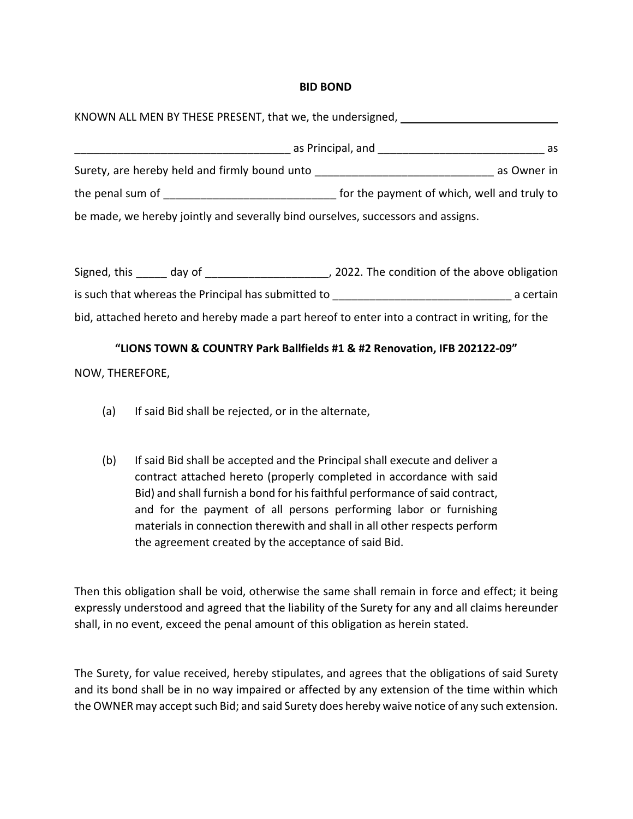#### **BID BOND**

<span id="page-21-0"></span>

| KNOWN ALL MEN BY THESE PRESENT, that we, the undersigned, ______________________ |                                                                                                                       |  |  |  |  |  |
|----------------------------------------------------------------------------------|-----------------------------------------------------------------------------------------------------------------------|--|--|--|--|--|
|                                                                                  | as Principal, and the control of the control of the control of the control of the control of the control of the<br>as |  |  |  |  |  |
| Surety, are hereby held and firmly bound unto __________________________________ | as Owner in                                                                                                           |  |  |  |  |  |
| the penal sum of<br><u> 1980 - Jan Samuel Barbara, martin d</u>                  | for the payment of which, well and truly to                                                                           |  |  |  |  |  |
| be made, we hereby jointly and severally bind ourselves, successors and assigns. |                                                                                                                       |  |  |  |  |  |

Signed, this \_\_\_\_\_ day of \_\_\_\_\_\_\_\_\_\_\_\_\_\_\_\_\_\_\_\_\_, 2022. The condition of the above obligation is such that whereas the Principal has submitted to **the end-of the set of the set of the set of the set of the** bid, attached hereto and hereby made a part hereof to enter into a contract in writing, for the

#### **"LIONS TOWN & COUNTRY Park Ballfields #1 & #2 Renovation, IFB 202122-09"**

NOW, THEREFORE,

- (a) If said Bid shall be rejected, or in the alternate,
- (b) If said Bid shall be accepted and the Principal shall execute and deliver a contract attached hereto (properly completed in accordance with said Bid) and shall furnish a bond for hisfaithful performance of said contract, and for the payment of all persons performing labor or furnishing materials in connection therewith and shall in all other respects perform the agreement created by the acceptance of said Bid.

Then this obligation shall be void, otherwise the same shall remain in force and effect; it being expressly understood and agreed that the liability of the Surety for any and all claims hereunder shall, in no event, exceed the penal amount of this obligation as herein stated.

The Surety, for value received, hereby stipulates, and agrees that the obligations of said Surety and its bond shall be in no way impaired or affected by any extension of the time within which the OWNER may accept such Bid; and said Surety does hereby waive notice of any such extension.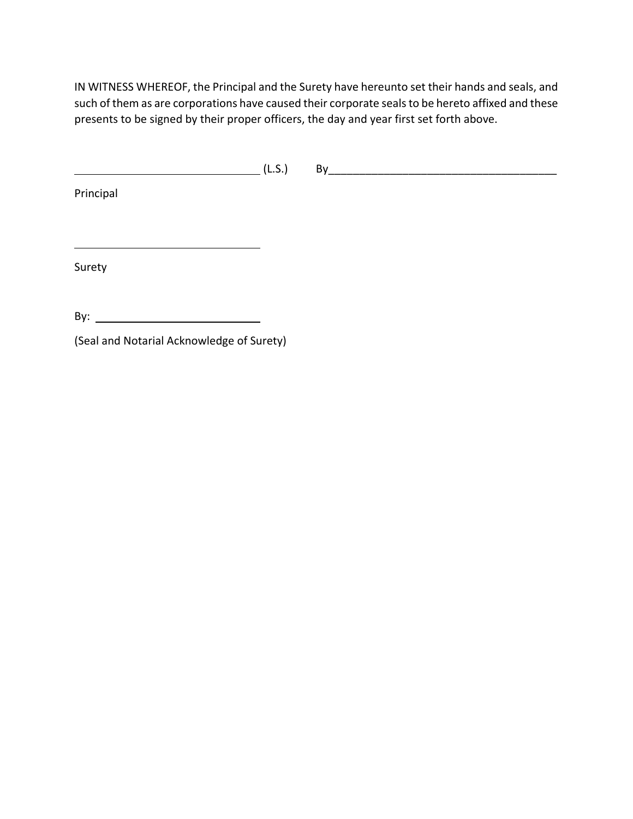IN WITNESS WHEREOF, the Principal and the Surety have hereunto set their hands and seals, and such of them as are corporations have caused their corporate seals to be hereto affixed and these presents to be signed by their proper officers, the day and year first set forth above.

(L.S.) By\_\_\_\_\_\_\_\_\_\_\_\_\_\_\_\_\_\_\_\_\_\_\_\_\_\_\_\_\_\_\_\_\_\_\_\_\_

Principal

Surety

By:  $\qquad \qquad$ 

(Seal and Notarial Acknowledge of Surety)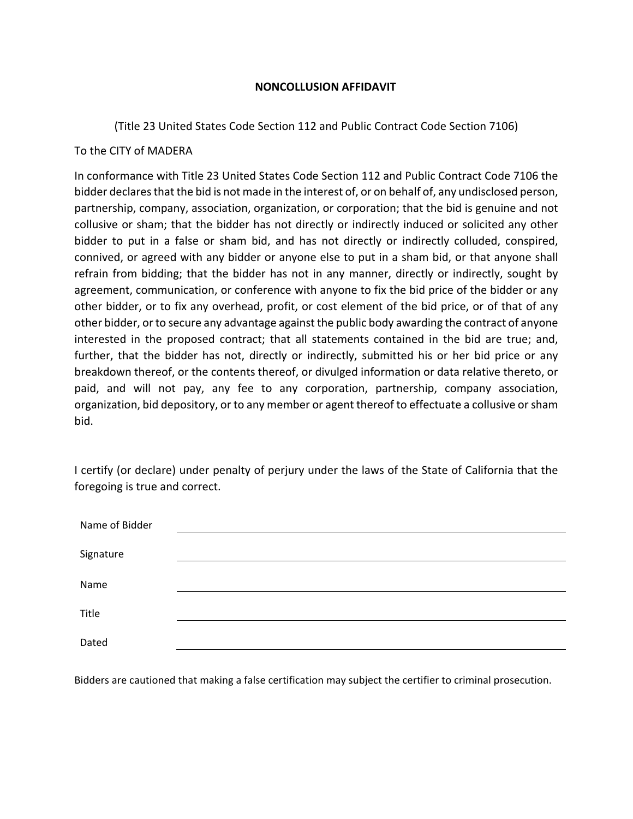#### **NONCOLLUSION AFFIDAVIT**

<span id="page-23-0"></span>(Title 23 United States Code Section 112 and Public Contract Code Section 7106)

# To the CITY of MADERA

In conformance with Title 23 United States Code Section 112 and Public Contract Code 7106 the bidder declares that the bid is not made in the interest of, or on behalf of, any undisclosed person, partnership, company, association, organization, or corporation; that the bid is genuine and not collusive or sham; that the bidder has not directly or indirectly induced or solicited any other bidder to put in a false or sham bid, and has not directly or indirectly colluded, conspired, connived, or agreed with any bidder or anyone else to put in a sham bid, or that anyone shall refrain from bidding; that the bidder has not in any manner, directly or indirectly, sought by agreement, communication, or conference with anyone to fix the bid price of the bidder or any other bidder, or to fix any overhead, profit, or cost element of the bid price, or of that of any other bidder, or to secure any advantage against the public body awarding the contract of anyone interested in the proposed contract; that all statements contained in the bid are true; and, further, that the bidder has not, directly or indirectly, submitted his or her bid price or any breakdown thereof, or the contents thereof, or divulged information or data relative thereto, or paid, and will not pay, any fee to any corporation, partnership, company association, organization, bid depository, or to any member or agent thereof to effectuate a collusive or sham bid.

I certify (or declare) under penalty of perjury under the laws of the State of California that the foregoing is true and correct.

| Name of Bidder |  |  |
|----------------|--|--|
|                |  |  |
| Signature      |  |  |
| Name           |  |  |
| Title          |  |  |
| Dated          |  |  |
|                |  |  |

Bidders are cautioned that making a false certification may subject the certifier to criminal prosecution.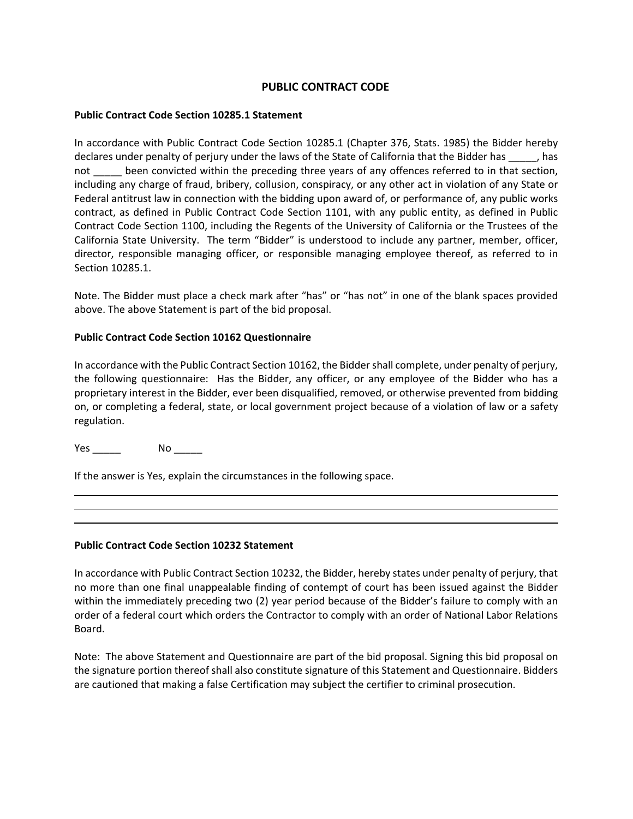#### **PUBLIC CONTRACT CODE**

#### <span id="page-24-0"></span>**Public Contract Code Section 10285.1 Statement**

In accordance with Public Contract Code Section 10285.1 (Chapter 376, Stats. 1985) the Bidder hereby declares under penalty of perjury under the laws of the State of California that the Bidder has \_\_\_\_\_, has not \_\_\_\_\_ been convicted within the preceding three years of any offences referred to in that section, including any charge of fraud, bribery, collusion, conspiracy, or any other act in violation of any State or Federal antitrust law in connection with the bidding upon award of, or performance of, any public works contract, as defined in Public Contract Code Section 1101, with any public entity, as defined in Public Contract Code Section 1100, including the Regents of the University of California or the Trustees of the California State University. The term "Bidder" is understood to include any partner, member, officer, director, responsible managing officer, or responsible managing employee thereof, as referred to in Section 10285.1.

Note. The Bidder must place a check mark after "has" or "has not" in one of the blank spaces provided above. The above Statement is part of the bid proposal.

#### **Public Contract Code Section 10162 Questionnaire**

In accordance with the Public Contract Section 10162, the Bidder shall complete, under penalty of perjury, the following questionnaire: Has the Bidder, any officer, or any employee of the Bidder who has a proprietary interest in the Bidder, ever been disqualified, removed, or otherwise prevented from bidding on, or completing a federal, state, or local government project because of a violation of law or a safety regulation.

Yes \_\_\_\_\_\_\_\_ No \_\_\_\_\_\_\_

If the answer is Yes, explain the circumstances in the following space.

#### **Public Contract Code Section 10232 Statement**

In accordance with Public Contract Section 10232, the Bidder, hereby states under penalty of perjury, that no more than one final unappealable finding of contempt of court has been issued against the Bidder within the immediately preceding two (2) year period because of the Bidder's failure to comply with an order of a federal court which orders the Contractor to comply with an order of National Labor Relations Board.

Note: The above Statement and Questionnaire are part of the bid proposal. Signing this bid proposal on the signature portion thereof shall also constitute signature of this Statement and Questionnaire. Bidders are cautioned that making a false Certification may subject the certifier to criminal prosecution.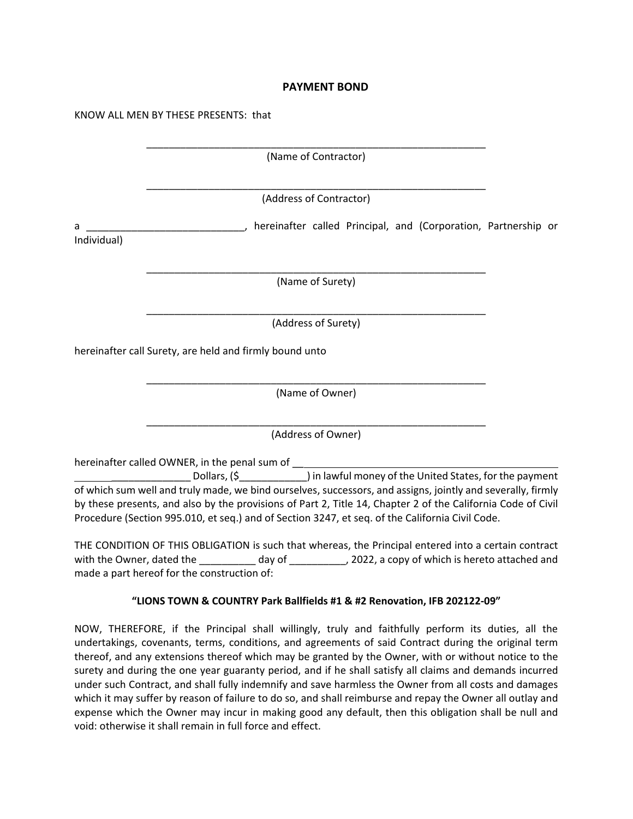#### **PAYMENT BOND**

<span id="page-25-0"></span>KNOW ALL MEN BY THESE PRESENTS: that

|             | NNUW ALL MEN BT THESE PRESENTS. UIDE                                                                                                                                                                                                                                                                                           |  |
|-------------|--------------------------------------------------------------------------------------------------------------------------------------------------------------------------------------------------------------------------------------------------------------------------------------------------------------------------------|--|
|             | (Name of Contractor)                                                                                                                                                                                                                                                                                                           |  |
|             |                                                                                                                                                                                                                                                                                                                                |  |
|             | (Address of Contractor)                                                                                                                                                                                                                                                                                                        |  |
| а           | Later and Corporation, Partnership or Community Arte-                                                                                                                                                                                                                                                                          |  |
| Individual) |                                                                                                                                                                                                                                                                                                                                |  |
|             | (Name of Surety)                                                                                                                                                                                                                                                                                                               |  |
|             |                                                                                                                                                                                                                                                                                                                                |  |
|             | (Address of Surety)                                                                                                                                                                                                                                                                                                            |  |
|             | hereinafter call Surety, are held and firmly bound unto                                                                                                                                                                                                                                                                        |  |
|             | (Name of Owner)                                                                                                                                                                                                                                                                                                                |  |
|             | (Address of Owner)                                                                                                                                                                                                                                                                                                             |  |
|             | hereinafter called OWNER, in the penal sum of ___<br>Dollars, (\$<br>_______________) in lawful money of the United States, for the payment                                                                                                                                                                                    |  |
|             | of which sum well and truly made, we bind ourselves, successors, and assigns, jointly and severally, firmly<br>by these presents, and also by the provisions of Part 2, Title 14, Chapter 2 of the California Code of Civil<br>Procedure (Section 995.010, et seq.) and of Section 3247, et seq. of the California Civil Code. |  |
|             | THE CONDITION OF THIS OBLIGATION is such that whereas, the Principal entered into a certain contract<br>with the Owner, dated the ____________day of ____________, 2022, a copy of which is hereto attached and<br>made a part hereof for the construction of:                                                                 |  |

#### **"LIONS TOWN & COUNTRY Park Ballfields #1 & #2 Renovation, IFB 202122-09"**

NOW, THEREFORE, if the Principal shall willingly, truly and faithfully perform its duties, all the undertakings, covenants, terms, conditions, and agreements of said Contract during the original term thereof, and any extensions thereof which may be granted by the Owner, with or without notice to the surety and during the one year guaranty period, and if he shall satisfy all claims and demands incurred under such Contract, and shall fully indemnify and save harmless the Owner from all costs and damages which it may suffer by reason of failure to do so, and shall reimburse and repay the Owner all outlay and expense which the Owner may incur in making good any default, then this obligation shall be null and void: otherwise it shall remain in full force and effect.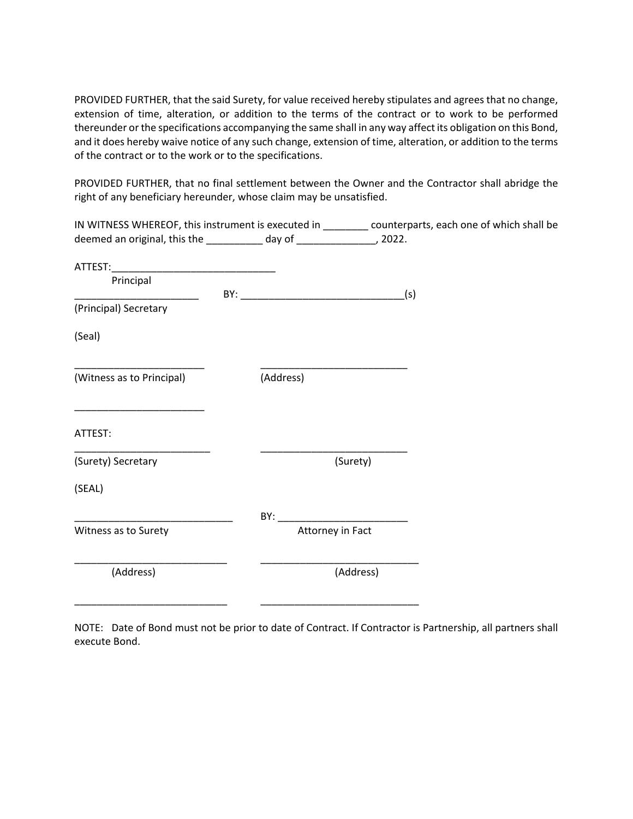PROVIDED FURTHER, that the said Surety, for value received hereby stipulates and agrees that no change, extension of time, alteration, or addition to the terms of the contract or to work to be performed thereunder or the specifications accompanying the same shall in any way affect its obligation on this Bond, and it does hereby waive notice of any such change, extension of time, alteration, or addition to the terms of the contract or to the work or to the specifications.

PROVIDED FURTHER, that no final settlement between the Owner and the Contractor shall abridge the right of any beneficiary hereunder, whose claim may be unsatisfied.

|                                                                          |                  | IN WITNESS WHEREOF, this instrument is executed in ________ counterparts, each one of which shall be |
|--------------------------------------------------------------------------|------------------|------------------------------------------------------------------------------------------------------|
| deemed an original, this the ___________ day of _________________, 2022. |                  |                                                                                                      |
|                                                                          |                  |                                                                                                      |
| Principal                                                                |                  |                                                                                                      |
| (Principal) Secretary                                                    | $BY:$ (s)        |                                                                                                      |
| (Seal)                                                                   |                  |                                                                                                      |
| (Witness as to Principal)                                                | (Address)        |                                                                                                      |
| ATTEST:                                                                  |                  |                                                                                                      |
| (Surety) Secretary                                                       | (Surety)         |                                                                                                      |
| (SEAL)                                                                   |                  |                                                                                                      |
|                                                                          |                  |                                                                                                      |
| Witness as to Surety                                                     | Attorney in Fact |                                                                                                      |
| (Address)                                                                | (Address)        |                                                                                                      |
|                                                                          |                  |                                                                                                      |

NOTE: Date of Bond must not be prior to date of Contract. If Contractor is Partnership, all partners shall execute Bond.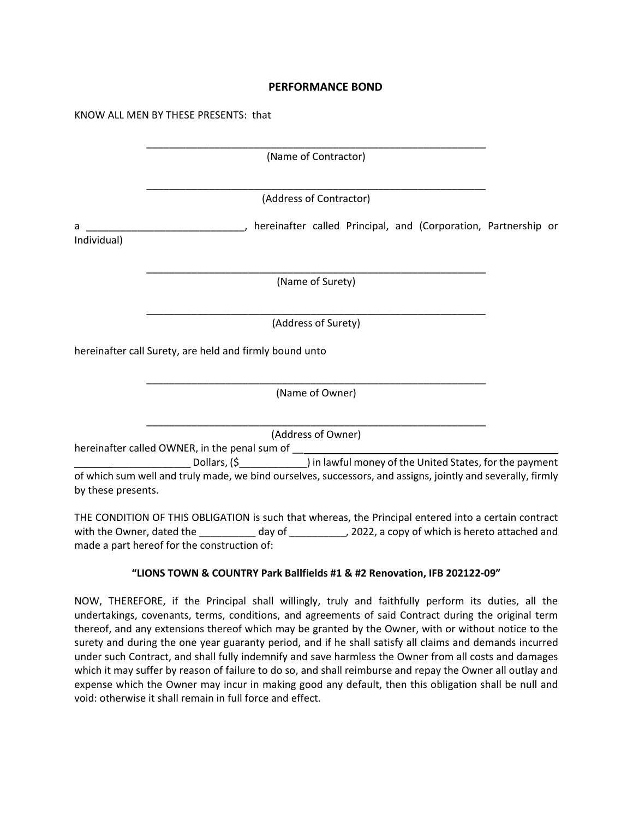#### **PERFORMANCE BOND**

<span id="page-27-0"></span>

|                  | (Name of Contractor)                                                                                                                                                    |  |
|------------------|-------------------------------------------------------------------------------------------------------------------------------------------------------------------------|--|
|                  | (Address of Contractor)                                                                                                                                                 |  |
| а<br>Individual) | hereinafter called Principal, and (Corporation, Partnership or                                                                                                          |  |
|                  | (Name of Surety)                                                                                                                                                        |  |
|                  | (Address of Surety)                                                                                                                                                     |  |
|                  | hereinafter call Surety, are held and firmly bound unto                                                                                                                 |  |
|                  | (Name of Owner)                                                                                                                                                         |  |
|                  | (Address of Owner)                                                                                                                                                      |  |
|                  | hereinafter called OWNER, in the penal sum of __________________________________<br>Dollars, (\$  ______________) in lawful money of the United States, for the payment |  |

by these presents.

THE CONDITION OF THIS OBLIGATION is such that whereas, the Principal entered into a certain contract with the Owner, dated the \_\_\_\_\_\_\_\_\_\_ day of \_\_\_\_\_\_\_\_\_\_, 2022, a copy of which is hereto attached and made a part hereof for the construction of:

#### **"LIONS TOWN & COUNTRY Park Ballfields #1 & #2 Renovation, IFB 202122-09"**

NOW, THEREFORE, if the Principal shall willingly, truly and faithfully perform its duties, all the undertakings, covenants, terms, conditions, and agreements of said Contract during the original term thereof, and any extensions thereof which may be granted by the Owner, with or without notice to the surety and during the one year guaranty period, and if he shall satisfy all claims and demands incurred under such Contract, and shall fully indemnify and save harmless the Owner from all costs and damages which it may suffer by reason of failure to do so, and shall reimburse and repay the Owner all outlay and expense which the Owner may incur in making good any default, then this obligation shall be null and void: otherwise it shall remain in full force and effect.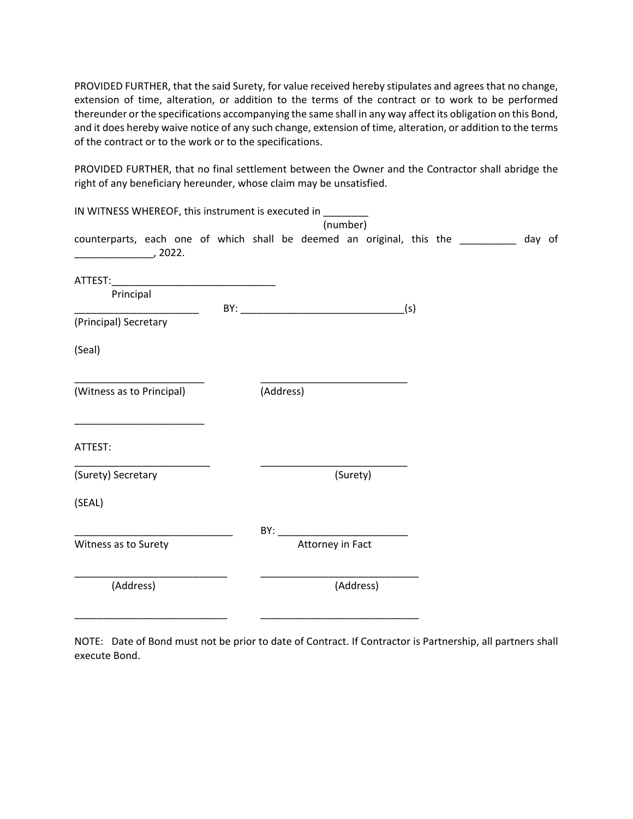PROVIDED FURTHER, that the said Surety, for value received hereby stipulates and agrees that no change, extension of time, alteration, or addition to the terms of the contract or to work to be performed thereunder or the specifications accompanying the same shall in any way affect its obligation on this Bond, and it does hereby waive notice of any such change, extension of time, alteration, or addition to the terms of the contract or to the work or to the specifications.

PROVIDED FURTHER, that no final settlement between the Owner and the Contractor shall abridge the right of any beneficiary hereunder, whose claim may be unsatisfied.

| IN WITNESS WHEREOF, this instrument is executed in _______                                                                       |  |  |           |                                                                                                                                                                                                                                | (number) |           |  |  |  |
|----------------------------------------------------------------------------------------------------------------------------------|--|--|-----------|--------------------------------------------------------------------------------------------------------------------------------------------------------------------------------------------------------------------------------|----------|-----------|--|--|--|
| counterparts, each one of which shall be deemed an original, this the _________ day of<br>, 2022.                                |  |  |           |                                                                                                                                                                                                                                |          |           |  |  |  |
|                                                                                                                                  |  |  |           |                                                                                                                                                                                                                                |          |           |  |  |  |
| Principal                                                                                                                        |  |  |           | $BY:$ (s)                                                                                                                                                                                                                      |          |           |  |  |  |
| (Principal) Secretary                                                                                                            |  |  |           |                                                                                                                                                                                                                                |          |           |  |  |  |
| (Seal)                                                                                                                           |  |  |           |                                                                                                                                                                                                                                |          |           |  |  |  |
| (Witness as to Principal)                                                                                                        |  |  | (Address) |                                                                                                                                                                                                                                |          |           |  |  |  |
| <u> 1980 - Jan James James James James James James James James James James James James James James James James Ja</u><br>ATTEST: |  |  |           |                                                                                                                                                                                                                                |          |           |  |  |  |
| (Surety) Secretary                                                                                                               |  |  |           |                                                                                                                                                                                                                                | (Surety) |           |  |  |  |
| (SEAL)                                                                                                                           |  |  |           |                                                                                                                                                                                                                                |          |           |  |  |  |
|                                                                                                                                  |  |  |           | BY: the contract of the contract of the contract of the contract of the contract of the contract of the contract of the contract of the contract of the contract of the contract of the contract of the contract of the contra |          |           |  |  |  |
| Witness as to Surety                                                                                                             |  |  |           | Attorney in Fact                                                                                                                                                                                                               |          |           |  |  |  |
| (Address)                                                                                                                        |  |  |           |                                                                                                                                                                                                                                |          | (Address) |  |  |  |
|                                                                                                                                  |  |  |           |                                                                                                                                                                                                                                |          |           |  |  |  |

NOTE: Date of Bond must not be prior to date of Contract. If Contractor is Partnership, all partners shall execute Bond.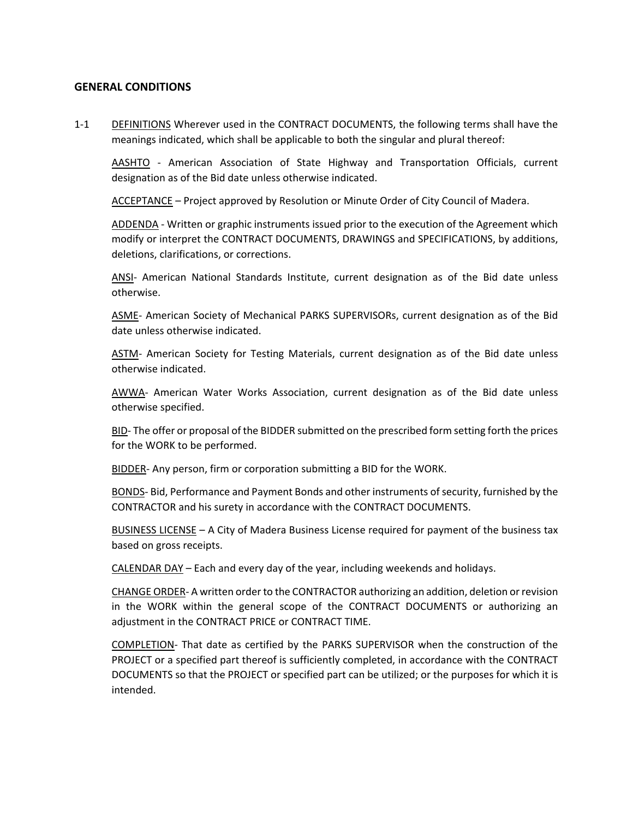#### <span id="page-29-0"></span>**GENERAL CONDITIONS**

1-1 DEFINITIONS Wherever used in the CONTRACT DOCUMENTS, the following terms shall have the meanings indicated, which shall be applicable to both the singular and plural thereof:

AASHTO - American Association of State Highway and Transportation Officials, current designation as of the Bid date unless otherwise indicated.

ACCEPTANCE – Project approved by Resolution or Minute Order of City Council of Madera.

ADDENDA - Written or graphic instruments issued prior to the execution of the Agreement which modify or interpret the CONTRACT DOCUMENTS, DRAWINGS and SPECIFICATIONS, by additions, deletions, clarifications, or corrections.

ANSI- American National Standards Institute, current designation as of the Bid date unless otherwise.

ASME- American Society of Mechanical PARKS SUPERVISORs, current designation as of the Bid date unless otherwise indicated.

ASTM- American Society for Testing Materials, current designation as of the Bid date unless otherwise indicated.

AWWA- American Water Works Association, current designation as of the Bid date unless otherwise specified.

BID- The offer or proposal of the BIDDER submitted on the prescribed form setting forth the prices for the WORK to be performed.

BIDDER- Any person, firm or corporation submitting a BID for the WORK.

BONDS- Bid, Performance and Payment Bonds and other instruments of security, furnished by the CONTRACTOR and his surety in accordance with the CONTRACT DOCUMENTS.

BUSINESS LICENSE – A City of Madera Business License required for payment of the business tax based on gross receipts.

CALENDAR DAY – Each and every day of the year, including weekends and holidays.

CHANGE ORDER- A written order to the CONTRACTOR authorizing an addition, deletion or revision in the WORK within the general scope of the CONTRACT DOCUMENTS or authorizing an adjustment in the CONTRACT PRICE or CONTRACT TIME.

COMPLETION- That date as certified by the PARKS SUPERVISOR when the construction of the PROJECT or a specified part thereof is sufficiently completed, in accordance with the CONTRACT DOCUMENTS so that the PROJECT or specified part can be utilized; or the purposes for which it is intended.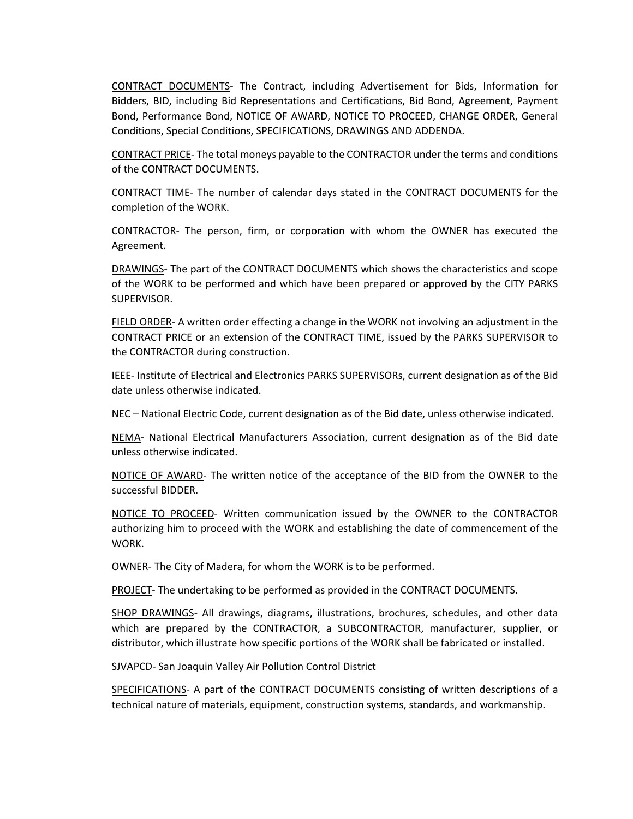CONTRACT DOCUMENTS- The Contract, including Advertisement for Bids, Information for Bidders, BID, including Bid Representations and Certifications, Bid Bond, Agreement, Payment Bond, Performance Bond, NOTICE OF AWARD, NOTICE TO PROCEED, CHANGE ORDER, General Conditions, Special Conditions, SPECIFICATIONS, DRAWINGS AND ADDENDA.

CONTRACT PRICE- The total moneys payable to the CONTRACTOR under the terms and conditions of the CONTRACT DOCUMENTS.

CONTRACT TIME- The number of calendar days stated in the CONTRACT DOCUMENTS for the completion of the WORK.

CONTRACTOR- The person, firm, or corporation with whom the OWNER has executed the Agreement.

DRAWINGS- The part of the CONTRACT DOCUMENTS which shows the characteristics and scope of the WORK to be performed and which have been prepared or approved by the CITY PARKS SUPERVISOR.

FIELD ORDER- A written order effecting a change in the WORK not involving an adjustment in the CONTRACT PRICE or an extension of the CONTRACT TIME, issued by the PARKS SUPERVISOR to the CONTRACTOR during construction.

IEEE- Institute of Electrical and Electronics PARKS SUPERVISORs, current designation as of the Bid date unless otherwise indicated.

NEC – National Electric Code, current designation as of the Bid date, unless otherwise indicated.

NEMA- National Electrical Manufacturers Association, current designation as of the Bid date unless otherwise indicated.

NOTICE OF AWARD- The written notice of the acceptance of the BID from the OWNER to the successful BIDDER.

NOTICE TO PROCEED- Written communication issued by the OWNER to the CONTRACTOR authorizing him to proceed with the WORK and establishing the date of commencement of the WORK.

OWNER- The City of Madera, for whom the WORK is to be performed.

PROJECT- The undertaking to be performed as provided in the CONTRACT DOCUMENTS.

SHOP DRAWINGS- All drawings, diagrams, illustrations, brochures, schedules, and other data which are prepared by the CONTRACTOR, a SUBCONTRACTOR, manufacturer, supplier, or distributor, which illustrate how specific portions of the WORK shall be fabricated or installed.

SJVAPCD- San Joaquin Valley Air Pollution Control District

SPECIFICATIONS- A part of the CONTRACT DOCUMENTS consisting of written descriptions of a technical nature of materials, equipment, construction systems, standards, and workmanship.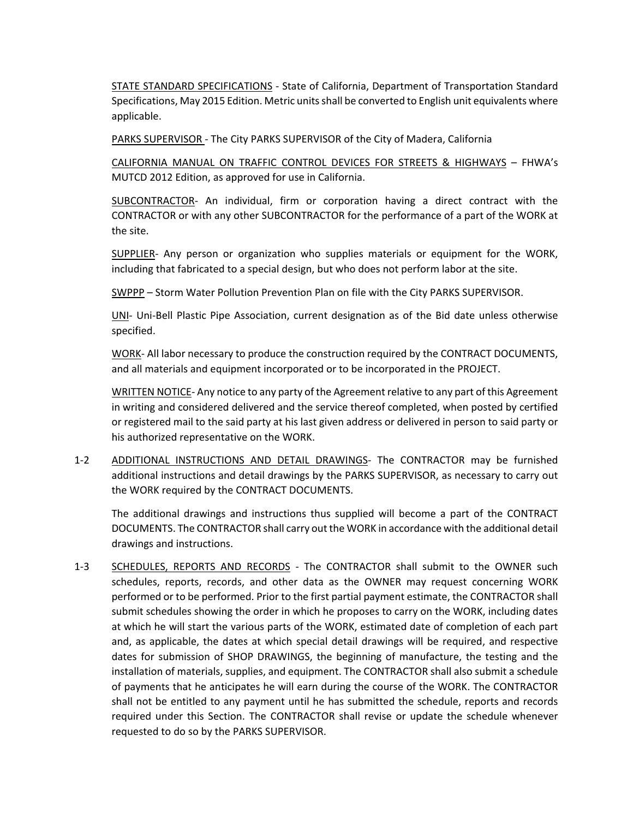STATE STANDARD SPECIFICATIONS - State of California, Department of Transportation Standard Specifications, May 2015 Edition. Metric units shall be converted to English unit equivalents where applicable.

PARKS SUPERVISOR - The City PARKS SUPERVISOR of the City of Madera, California

CALIFORNIA MANUAL ON TRAFFIC CONTROL DEVICES FOR STREETS & HIGHWAYS – FHWA's MUTCD 2012 Edition, as approved for use in California.

SUBCONTRACTOR- An individual, firm or corporation having a direct contract with the CONTRACTOR or with any other SUBCONTRACTOR for the performance of a part of the WORK at the site.

SUPPLIER- Any person or organization who supplies materials or equipment for the WORK, including that fabricated to a special design, but who does not perform labor at the site.

SWPPP – Storm Water Pollution Prevention Plan on file with the City PARKS SUPERVISOR.

UNI- Uni-Bell Plastic Pipe Association, current designation as of the Bid date unless otherwise specified.

WORK- All labor necessary to produce the construction required by the CONTRACT DOCUMENTS, and all materials and equipment incorporated or to be incorporated in the PROJECT.

WRITTEN NOTICE- Any notice to any party of the Agreement relative to any part of this Agreement in writing and considered delivered and the service thereof completed, when posted by certified or registered mail to the said party at his last given address or delivered in person to said party or his authorized representative on the WORK.

1-2 ADDITIONAL INSTRUCTIONS AND DETAIL DRAWINGS- The CONTRACTOR may be furnished additional instructions and detail drawings by the PARKS SUPERVISOR, as necessary to carry out the WORK required by the CONTRACT DOCUMENTS.

The additional drawings and instructions thus supplied will become a part of the CONTRACT DOCUMENTS. The CONTRACTOR shall carry out the WORK in accordance with the additional detail drawings and instructions.

1-3 SCHEDULES, REPORTS AND RECORDS - The CONTRACTOR shall submit to the OWNER such schedules, reports, records, and other data as the OWNER may request concerning WORK performed or to be performed. Prior to the first partial payment estimate, the CONTRACTOR shall submit schedules showing the order in which he proposes to carry on the WORK, including dates at which he will start the various parts of the WORK, estimated date of completion of each part and, as applicable, the dates at which special detail drawings will be required, and respective dates for submission of SHOP DRAWINGS, the beginning of manufacture, the testing and the installation of materials, supplies, and equipment. The CONTRACTOR shall also submit a schedule of payments that he anticipates he will earn during the course of the WORK. The CONTRACTOR shall not be entitled to any payment until he has submitted the schedule, reports and records required under this Section. The CONTRACTOR shall revise or update the schedule whenever requested to do so by the PARKS SUPERVISOR.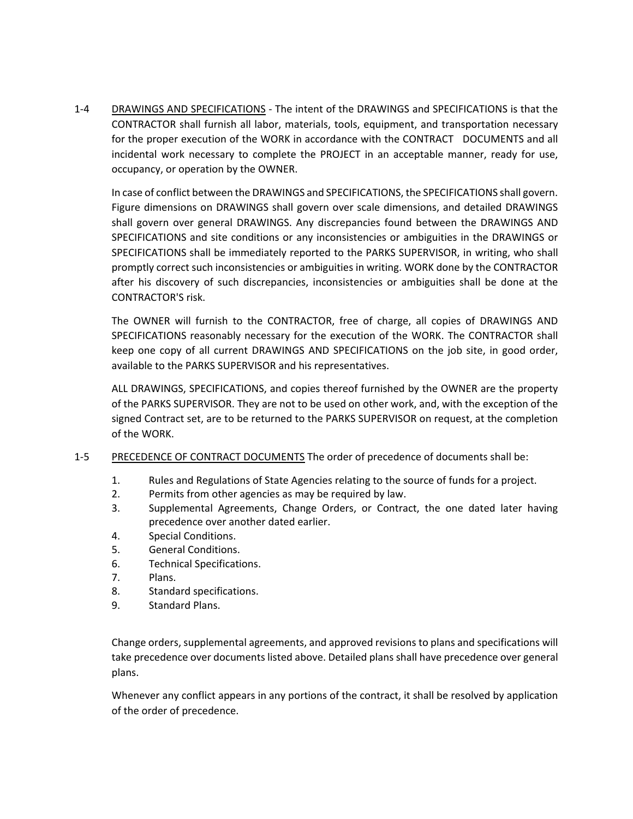1-4 DRAWINGS AND SPECIFICATIONS - The intent of the DRAWINGS and SPECIFICATIONS is that the CONTRACTOR shall furnish all labor, materials, tools, equipment, and transportation necessary for the proper execution of the WORK in accordance with the CONTRACT DOCUMENTS and all incidental work necessary to complete the PROJECT in an acceptable manner, ready for use, occupancy, or operation by the OWNER.

In case of conflict between the DRAWINGS and SPECIFICATIONS, the SPECIFICATIONS shall govern. Figure dimensions on DRAWINGS shall govern over scale dimensions, and detailed DRAWINGS shall govern over general DRAWINGS. Any discrepancies found between the DRAWINGS AND SPECIFICATIONS and site conditions or any inconsistencies or ambiguities in the DRAWINGS or SPECIFICATIONS shall be immediately reported to the PARKS SUPERVISOR, in writing, who shall promptly correct such inconsistencies or ambiguities in writing. WORK done by the CONTRACTOR after his discovery of such discrepancies, inconsistencies or ambiguities shall be done at the CONTRACTOR'S risk.

The OWNER will furnish to the CONTRACTOR, free of charge, all copies of DRAWINGS AND SPECIFICATIONS reasonably necessary for the execution of the WORK. The CONTRACTOR shall keep one copy of all current DRAWINGS AND SPECIFICATIONS on the job site, in good order, available to the PARKS SUPERVISOR and his representatives.

ALL DRAWINGS, SPECIFICATIONS, and copies thereof furnished by the OWNER are the property of the PARKS SUPERVISOR. They are not to be used on other work, and, with the exception of the signed Contract set, are to be returned to the PARKS SUPERVISOR on request, at the completion of the WORK.

- 1-5 PRECEDENCE OF CONTRACT DOCUMENTS The order of precedence of documents shall be:
	- 1. Rules and Regulations of State Agencies relating to the source of funds for a project.
	- 2. Permits from other agencies as may be required by law.
	- 3. Supplemental Agreements, Change Orders, or Contract, the one dated later having precedence over another dated earlier.
	- 4. Special Conditions.
	- 5. General Conditions.
	- 6. Technical Specifications.
	- 7. Plans.
	- 8. Standard specifications.
	- 9. Standard Plans.

Change orders, supplemental agreements, and approved revisions to plans and specifications will take precedence over documents listed above. Detailed plans shall have precedence over general plans.

Whenever any conflict appears in any portions of the contract, it shall be resolved by application of the order of precedence.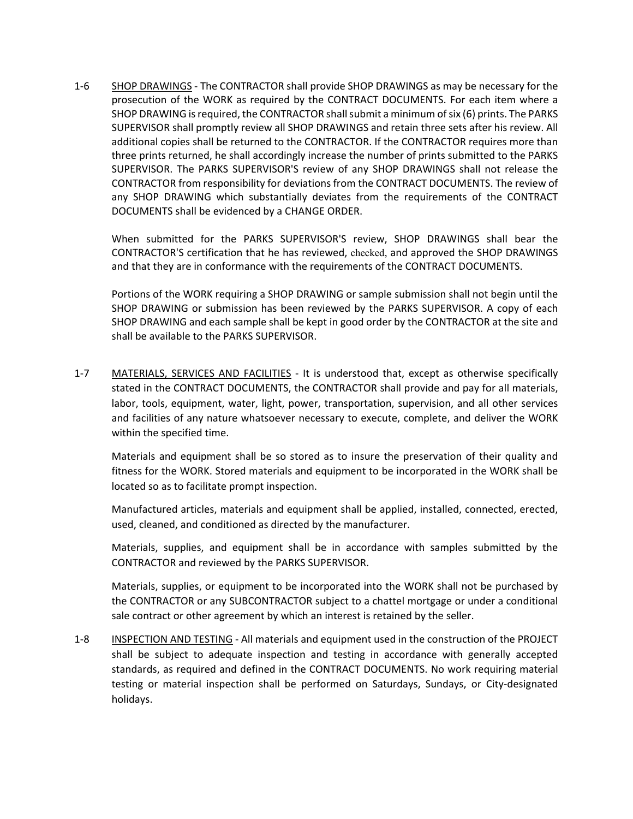1-6 SHOP DRAWINGS - The CONTRACTOR shall provide SHOP DRAWINGS as may be necessary for the prosecution of the WORK as required by the CONTRACT DOCUMENTS. For each item where a SHOP DRAWING is required, the CONTRACTOR shall submit a minimum of six (6) prints. The PARKS SUPERVISOR shall promptly review all SHOP DRAWINGS and retain three sets after his review. All additional copies shall be returned to the CONTRACTOR. If the CONTRACTOR requires more than three prints returned, he shall accordingly increase the number of prints submitted to the PARKS SUPERVISOR. The PARKS SUPERVISOR'S review of any SHOP DRAWINGS shall not release the CONTRACTOR from responsibility for deviations from the CONTRACT DOCUMENTS. The review of any SHOP DRAWING which substantially deviates from the requirements of the CONTRACT DOCUMENTS shall be evidenced by a CHANGE ORDER.

When submitted for the PARKS SUPERVISOR'S review, SHOP DRAWINGS shall bear the CONTRACTOR'S certification that he has reviewed, checked, and approved the SHOP DRAWINGS and that they are in conformance with the requirements of the CONTRACT DOCUMENTS.

Portions of the WORK requiring a SHOP DRAWING or sample submission shall not begin until the SHOP DRAWING or submission has been reviewed by the PARKS SUPERVISOR. A copy of each SHOP DRAWING and each sample shall be kept in good order by the CONTRACTOR at the site and shall be available to the PARKS SUPERVISOR.

1-7 MATERIALS, SERVICES AND FACILITIES - It is understood that, except as otherwise specifically stated in the CONTRACT DOCUMENTS, the CONTRACTOR shall provide and pay for all materials, labor, tools, equipment, water, light, power, transportation, supervision, and all other services and facilities of any nature whatsoever necessary to execute, complete, and deliver the WORK within the specified time.

Materials and equipment shall be so stored as to insure the preservation of their quality and fitness for the WORK. Stored materials and equipment to be incorporated in the WORK shall be located so as to facilitate prompt inspection.

Manufactured articles, materials and equipment shall be applied, installed, connected, erected, used, cleaned, and conditioned as directed by the manufacturer.

Materials, supplies, and equipment shall be in accordance with samples submitted by the CONTRACTOR and reviewed by the PARKS SUPERVISOR.

Materials, supplies, or equipment to be incorporated into the WORK shall not be purchased by the CONTRACTOR or any SUBCONTRACTOR subject to a chattel mortgage or under a conditional sale contract or other agreement by which an interest is retained by the seller.

1-8 INSPECTION AND TESTING - All materials and equipment used in the construction of the PROJECT shall be subject to adequate inspection and testing in accordance with generally accepted standards, as required and defined in the CONTRACT DOCUMENTS. No work requiring material testing or material inspection shall be performed on Saturdays, Sundays, or City-designated holidays.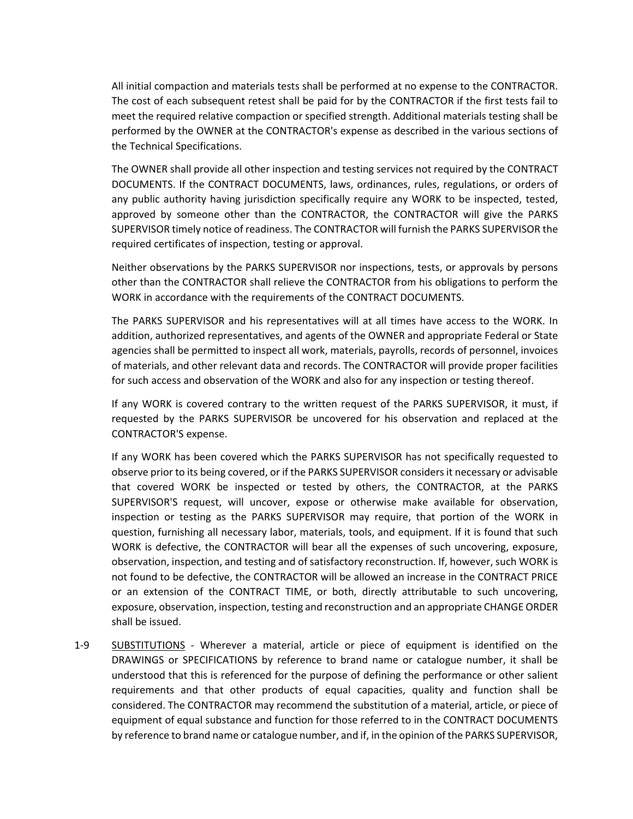All initial compaction and materials tests shall be performed at no expense to the CONTRACTOR. The cost of each subsequent retest shall be paid for by the CONTRACTOR if the first tests fail to meet the required relative compaction or specified strength. Additional materials testing shall be performed by the OWNER at the CONTRACTOR's expense as described in the various sections of the Technical Specifications.

The OWNER shall provide all other inspection and testing services not required by the CONTRACT DOCUMENTS. If the CONTRACT DOCUMENTS, laws, ordinances, rules, regulations, or orders of any public authority having jurisdiction specifically require any WORK to be inspected, tested, approved by someone other than the CONTRACTOR, the CONTRACTOR will give the PARKS SUPERVISOR timely notice of readiness. The CONTRACTOR will furnish the PARKS SUPERVISOR the required certificates of inspection, testing or approval.

Neither observations by the PARKS SUPERVISOR nor inspections, tests, or approvals by persons other than the CONTRACTOR shall relieve the CONTRACTOR from his obligations to perform the WORK in accordance with the requirements of the CONTRACT DOCUMENTS.

The PARKS SUPERVISOR and his representatives will at all times have access to the WORK. In addition, authorized representatives, and agents of the OWNER and appropriate Federal or State agencies shall be permitted to inspect all work, materials, payrolls, records of personnel, invoices of materials, and other relevant data and records. The CONTRACTOR will provide proper facilities for such access and observation of the WORK and also for any inspection or testing thereof.

If any WORK is covered contrary to the written request of the PARKS SUPERVISOR, it must, if requested by the PARKS SUPERVISOR be uncovered for his observation and replaced at the CONTRACTOR'S expense.

If any WORK has been covered which the PARKS SUPERVISOR has not specifically requested to observe prior to its being covered, or if the PARKS SUPERVISOR considers it necessary or advisable that covered WORK be inspected or tested by others, the CONTRACTOR, at the PARKS SUPERVISOR'S request, will uncover, expose or otherwise make available for observation, inspection or testing as the PARKS SUPERVISOR may require, that portion of the WORK in question, furnishing all necessary labor, materials, tools, and equipment. If it is found that such WORK is defective, the CONTRACTOR will bear all the expenses of such uncovering, exposure, observation, inspection, and testing and of satisfactory reconstruction. If, however, such WORK is not found to be defective, the CONTRACTOR will be allowed an increase in the CONTRACT PRICE or an extension of the CONTRACT TIME, or both, directly attributable to such uncovering, exposure, observation, inspection, testing and reconstruction and an appropriate CHANGE ORDER shall be issued.

1-9 SUBSTITUTIONS - Wherever a material, article or piece of equipment is identified on the DRAWINGS or SPECIFICATIONS by reference to brand name or catalogue number, it shall be understood that this is referenced for the purpose of defining the performance or other salient requirements and that other products of equal capacities, quality and function shall be considered. The CONTRACTOR may recommend the substitution of a material, article, or piece of equipment of equal substance and function for those referred to in the CONTRACT DOCUMENTS by reference to brand name or catalogue number, and if, in the opinion of the PARKS SUPERVISOR,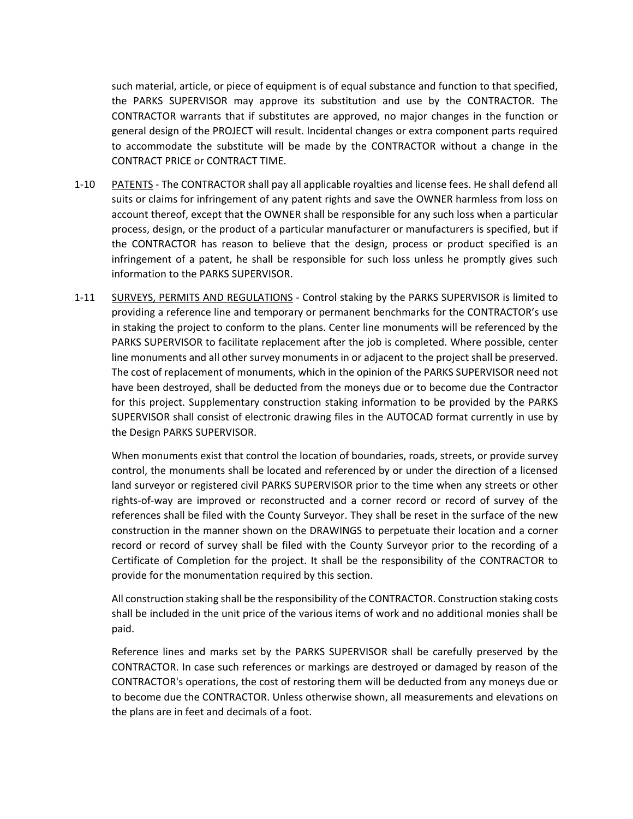such material, article, or piece of equipment is of equal substance and function to that specified, the PARKS SUPERVISOR may approve its substitution and use by the CONTRACTOR. The CONTRACTOR warrants that if substitutes are approved, no major changes in the function or general design of the PROJECT will result. Incidental changes or extra component parts required to accommodate the substitute will be made by the CONTRACTOR without a change in the CONTRACT PRICE or CONTRACT TIME.

- 1-10 PATENTS The CONTRACTOR shall pay all applicable royalties and license fees. He shall defend all suits or claims for infringement of any patent rights and save the OWNER harmless from loss on account thereof, except that the OWNER shall be responsible for any such loss when a particular process, design, or the product of a particular manufacturer or manufacturers is specified, but if the CONTRACTOR has reason to believe that the design, process or product specified is an infringement of a patent, he shall be responsible for such loss unless he promptly gives such information to the PARKS SUPERVISOR.
- 1-11 SURVEYS, PERMITS AND REGULATIONS Control staking by the PARKS SUPERVISOR is limited to providing a reference line and temporary or permanent benchmarks for the CONTRACTOR's use in staking the project to conform to the plans. Center line monuments will be referenced by the PARKS SUPERVISOR to facilitate replacement after the job is completed. Where possible, center line monuments and all other survey monuments in or adjacent to the project shall be preserved. The cost of replacement of monuments, which in the opinion of the PARKS SUPERVISOR need not have been destroyed, shall be deducted from the moneys due or to become due the Contractor for this project. Supplementary construction staking information to be provided by the PARKS SUPERVISOR shall consist of electronic drawing files in the AUTOCAD format currently in use by the Design PARKS SUPERVISOR.

When monuments exist that control the location of boundaries, roads, streets, or provide survey control, the monuments shall be located and referenced by or under the direction of a licensed land surveyor or registered civil PARKS SUPERVISOR prior to the time when any streets or other rights-of-way are improved or reconstructed and a corner record or record of survey of the references shall be filed with the County Surveyor. They shall be reset in the surface of the new construction in the manner shown on the DRAWINGS to perpetuate their location and a corner record or record of survey shall be filed with the County Surveyor prior to the recording of a Certificate of Completion for the project. It shall be the responsibility of the CONTRACTOR to provide for the monumentation required by this section.

All construction staking shall be the responsibility of the CONTRACTOR. Construction staking costs shall be included in the unit price of the various items of work and no additional monies shall be paid.

Reference lines and marks set by the PARKS SUPERVISOR shall be carefully preserved by the CONTRACTOR. In case such references or markings are destroyed or damaged by reason of the CONTRACTOR's operations, the cost of restoring them will be deducted from any moneys due or to become due the CONTRACTOR. Unless otherwise shown, all measurements and elevations on the plans are in feet and decimals of a foot.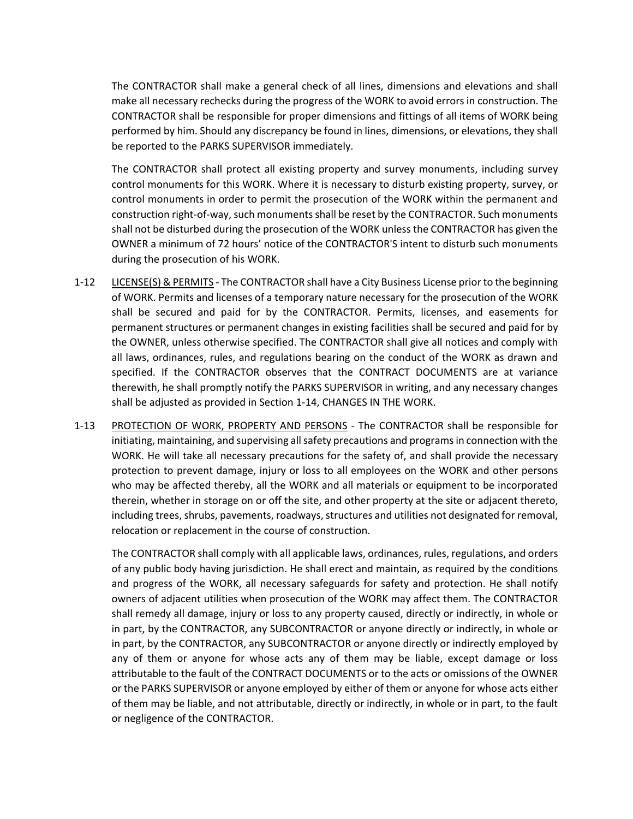The CONTRACTOR shall make a general check of all lines, dimensions and elevations and shall make all necessary rechecks during the progress of the WORK to avoid errors in construction. The CONTRACTOR shall be responsible for proper dimensions and fittings of all items of WORK being performed by him. Should any discrepancy be found in lines, dimensions, or elevations, they shall be reported to the PARKS SUPERVISOR immediately.

The CONTRACTOR shall protect all existing property and survey monuments, including survey control monuments for this WORK. Where it is necessary to disturb existing property, survey, or control monuments in order to permit the prosecution of the WORK within the permanent and construction right-of-way, such monuments shall be reset by the CONTRACTOR. Such monuments shall not be disturbed during the prosecution of the WORK unless the CONTRACTOR has given the OWNER a minimum of 72 hours' notice of the CONTRACTOR'S intent to disturb such monuments during the prosecution of his WORK.

- 1-12 LICENSE(S) & PERMITS The CONTRACTOR shall have a City Business License prior to the beginning of WORK. Permits and licenses of a temporary nature necessary for the prosecution of the WORK shall be secured and paid for by the CONTRACTOR. Permits, licenses, and easements for permanent structures or permanent changes in existing facilities shall be secured and paid for by the OWNER, unless otherwise specified. The CONTRACTOR shall give all notices and comply with all laws, ordinances, rules, and regulations bearing on the conduct of the WORK as drawn and specified. If the CONTRACTOR observes that the CONTRACT DOCUMENTS are at variance therewith, he shall promptly notify the PARKS SUPERVISOR in writing, and any necessary changes shall be adjusted as provided in Section 1-14, CHANGES IN THE WORK.
- 1-13 PROTECTION OF WORK, PROPERTY AND PERSONS The CONTRACTOR shall be responsible for initiating, maintaining, and supervising all safety precautions and programs in connection with the WORK. He will take all necessary precautions for the safety of, and shall provide the necessary protection to prevent damage, injury or loss to all employees on the WORK and other persons who may be affected thereby, all the WORK and all materials or equipment to be incorporated therein, whether in storage on or off the site, and other property at the site or adjacent thereto, including trees, shrubs, pavements, roadways, structures and utilities not designated for removal, relocation or replacement in the course of construction.

The CONTRACTOR shall comply with all applicable laws, ordinances, rules, regulations, and orders of any public body having jurisdiction. He shall erect and maintain, as required by the conditions and progress of the WORK, all necessary safeguards for safety and protection. He shall notify owners of adjacent utilities when prosecution of the WORK may affect them. The CONTRACTOR shall remedy all damage, injury or loss to any property caused, directly or indirectly, in whole or in part, by the CONTRACTOR, any SUBCONTRACTOR or anyone directly or indirectly, in whole or in part, by the CONTRACTOR, any SUBCONTRACTOR or anyone directly or indirectly employed by any of them or anyone for whose acts any of them may be liable, except damage or loss attributable to the fault of the CONTRACT DOCUMENTS or to the acts or omissions of the OWNER or the PARKS SUPERVISOR or anyone employed by either of them or anyone for whose acts either of them may be liable, and not attributable, directly or indirectly, in whole or in part, to the fault or negligence of the CONTRACTOR.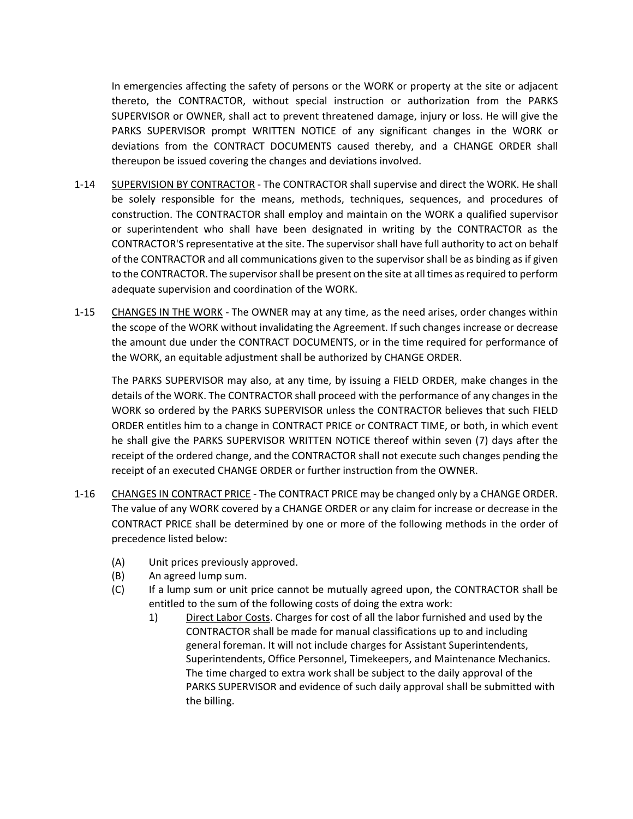In emergencies affecting the safety of persons or the WORK or property at the site or adjacent thereto, the CONTRACTOR, without special instruction or authorization from the PARKS SUPERVISOR or OWNER, shall act to prevent threatened damage, injury or loss. He will give the PARKS SUPERVISOR prompt WRITTEN NOTICE of any significant changes in the WORK or deviations from the CONTRACT DOCUMENTS caused thereby, and a CHANGE ORDER shall thereupon be issued covering the changes and deviations involved.

- 1-14 SUPERVISION BY CONTRACTOR The CONTRACTOR shall supervise and direct the WORK. He shall be solely responsible for the means, methods, techniques, sequences, and procedures of construction. The CONTRACTOR shall employ and maintain on the WORK a qualified supervisor or superintendent who shall have been designated in writing by the CONTRACTOR as the CONTRACTOR'S representative at the site. The supervisor shall have full authority to act on behalf of the CONTRACTOR and all communications given to the supervisor shall be as binding as if given to the CONTRACTOR. The supervisor shall be present on the site at all times as required to perform adequate supervision and coordination of the WORK.
- 1-15 CHANGES IN THE WORK The OWNER may at any time, as the need arises, order changes within the scope of the WORK without invalidating the Agreement. If such changes increase or decrease the amount due under the CONTRACT DOCUMENTS, or in the time required for performance of the WORK, an equitable adjustment shall be authorized by CHANGE ORDER.

The PARKS SUPERVISOR may also, at any time, by issuing a FIELD ORDER, make changes in the details of the WORK. The CONTRACTOR shall proceed with the performance of any changes in the WORK so ordered by the PARKS SUPERVISOR unless the CONTRACTOR believes that such FIELD ORDER entitles him to a change in CONTRACT PRICE or CONTRACT TIME, or both, in which event he shall give the PARKS SUPERVISOR WRITTEN NOTICE thereof within seven (7) days after the receipt of the ordered change, and the CONTRACTOR shall not execute such changes pending the receipt of an executed CHANGE ORDER or further instruction from the OWNER.

- 1-16 CHANGES IN CONTRACT PRICE The CONTRACT PRICE may be changed only by a CHANGE ORDER. The value of any WORK covered by a CHANGE ORDER or any claim for increase or decrease in the CONTRACT PRICE shall be determined by one or more of the following methods in the order of precedence listed below:
	- (A) Unit prices previously approved.
	- (B) An agreed lump sum.
	- (C) If a lump sum or unit price cannot be mutually agreed upon, the CONTRACTOR shall be entitled to the sum of the following costs of doing the extra work:
		- 1) Direct Labor Costs. Charges for cost of all the labor furnished and used by the CONTRACTOR shall be made for manual classifications up to and including general foreman. It will not include charges for Assistant Superintendents, Superintendents, Office Personnel, Timekeepers, and Maintenance Mechanics. The time charged to extra work shall be subject to the daily approval of the PARKS SUPERVISOR and evidence of such daily approval shall be submitted with the billing.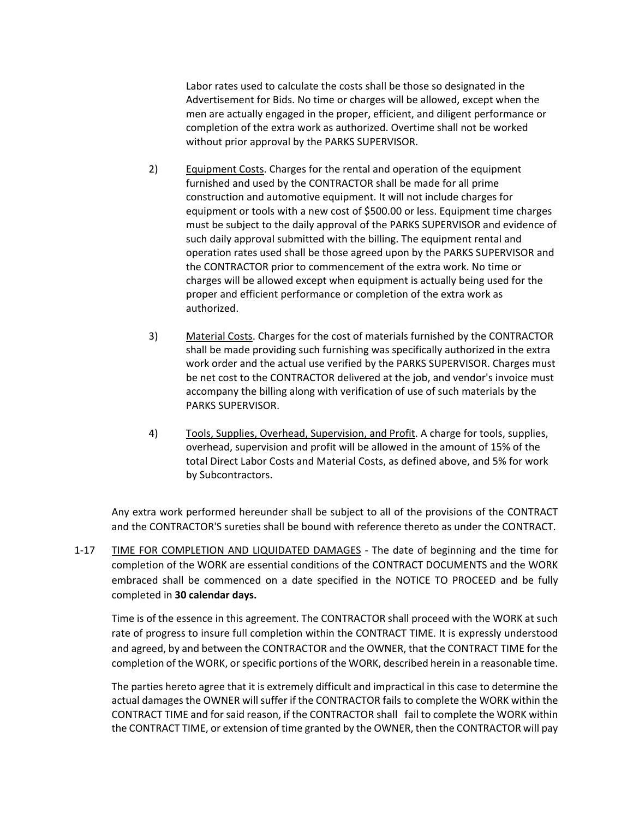Labor rates used to calculate the costs shall be those so designated in the Advertisement for Bids. No time or charges will be allowed, except when the men are actually engaged in the proper, efficient, and diligent performance or completion of the extra work as authorized. Overtime shall not be worked without prior approval by the PARKS SUPERVISOR.

- 2) Equipment Costs. Charges for the rental and operation of the equipment furnished and used by the CONTRACTOR shall be made for all prime construction and automotive equipment. It will not include charges for equipment or tools with a new cost of \$500.00 or less. Equipment time charges must be subject to the daily approval of the PARKS SUPERVISOR and evidence of such daily approval submitted with the billing. The equipment rental and operation rates used shall be those agreed upon by the PARKS SUPERVISOR and the CONTRACTOR prior to commencement of the extra work. No time or charges will be allowed except when equipment is actually being used for the proper and efficient performance or completion of the extra work as authorized.
- 3) Material Costs. Charges for the cost of materials furnished by the CONTRACTOR shall be made providing such furnishing was specifically authorized in the extra work order and the actual use verified by the PARKS SUPERVISOR. Charges must be net cost to the CONTRACTOR delivered at the job, and vendor's invoice must accompany the billing along with verification of use of such materials by the PARKS SUPERVISOR.
- 4) Tools, Supplies, Overhead, Supervision, and Profit. A charge for tools, supplies, overhead, supervision and profit will be allowed in the amount of 15% of the total Direct Labor Costs and Material Costs, as defined above, and 5% for work by Subcontractors.

Any extra work performed hereunder shall be subject to all of the provisions of the CONTRACT and the CONTRACTOR'S sureties shall be bound with reference thereto as under the CONTRACT.

1-17 TIME FOR COMPLETION AND LIQUIDATED DAMAGES - The date of beginning and the time for completion of the WORK are essential conditions of the CONTRACT DOCUMENTS and the WORK embraced shall be commenced on a date specified in the NOTICE TO PROCEED and be fully completed in **30 calendar days.**

Time is of the essence in this agreement. The CONTRACTOR shall proceed with the WORK at such rate of progress to insure full completion within the CONTRACT TIME. It is expressly understood and agreed, by and between the CONTRACTOR and the OWNER, that the CONTRACT TIME for the completion of the WORK, or specific portions of the WORK, described herein in a reasonable time.

The parties hereto agree that it is extremely difficult and impractical in this case to determine the actual damages the OWNER will suffer if the CONTRACTOR fails to complete the WORK within the CONTRACT TIME and for said reason, if the CONTRACTOR shall fail to complete the WORK within the CONTRACT TIME, or extension of time granted by the OWNER, then the CONTRACTOR will pay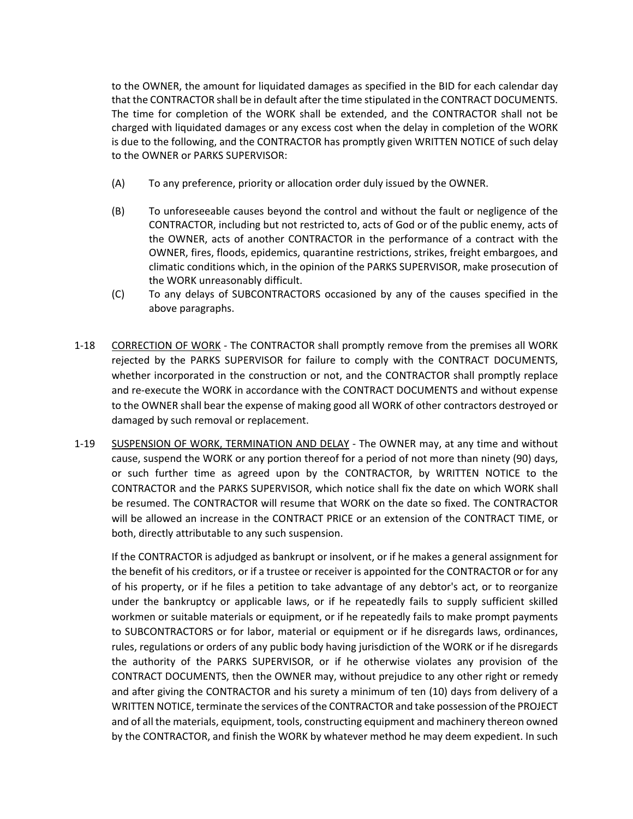to the OWNER, the amount for liquidated damages as specified in the BID for each calendar day that the CONTRACTOR shall be in default after the time stipulated in the CONTRACT DOCUMENTS. The time for completion of the WORK shall be extended, and the CONTRACTOR shall not be charged with liquidated damages or any excess cost when the delay in completion of the WORK is due to the following, and the CONTRACTOR has promptly given WRITTEN NOTICE of such delay to the OWNER or PARKS SUPERVISOR:

- (A) To any preference, priority or allocation order duly issued by the OWNER.
- (B) To unforeseeable causes beyond the control and without the fault or negligence of the CONTRACTOR, including but not restricted to, acts of God or of the public enemy, acts of the OWNER, acts of another CONTRACTOR in the performance of a contract with the OWNER, fires, floods, epidemics, quarantine restrictions, strikes, freight embargoes, and climatic conditions which, in the opinion of the PARKS SUPERVISOR, make prosecution of the WORK unreasonably difficult.
- (C) To any delays of SUBCONTRACTORS occasioned by any of the causes specified in the above paragraphs.
- 1-18 CORRECTION OF WORK The CONTRACTOR shall promptly remove from the premises all WORK rejected by the PARKS SUPERVISOR for failure to comply with the CONTRACT DOCUMENTS, whether incorporated in the construction or not, and the CONTRACTOR shall promptly replace and re-execute the WORK in accordance with the CONTRACT DOCUMENTS and without expense to the OWNER shall bear the expense of making good all WORK of other contractors destroyed or damaged by such removal or replacement.
- 1-19 SUSPENSION OF WORK, TERMINATION AND DELAY The OWNER may, at any time and without cause, suspend the WORK or any portion thereof for a period of not more than ninety (90) days, or such further time as agreed upon by the CONTRACTOR, by WRITTEN NOTICE to the CONTRACTOR and the PARKS SUPERVISOR, which notice shall fix the date on which WORK shall be resumed. The CONTRACTOR will resume that WORK on the date so fixed. The CONTRACTOR will be allowed an increase in the CONTRACT PRICE or an extension of the CONTRACT TIME, or both, directly attributable to any such suspension.

If the CONTRACTOR is adjudged as bankrupt or insolvent, or if he makes a general assignment for the benefit of his creditors, or if a trustee or receiver is appointed for the CONTRACTOR or for any of his property, or if he files a petition to take advantage of any debtor's act, or to reorganize under the bankruptcy or applicable laws, or if he repeatedly fails to supply sufficient skilled workmen or suitable materials or equipment, or if he repeatedly fails to make prompt payments to SUBCONTRACTORS or for labor, material or equipment or if he disregards laws, ordinances, rules, regulations or orders of any public body having jurisdiction of the WORK or if he disregards the authority of the PARKS SUPERVISOR, or if he otherwise violates any provision of the CONTRACT DOCUMENTS, then the OWNER may, without prejudice to any other right or remedy and after giving the CONTRACTOR and his surety a minimum of ten (10) days from delivery of a WRITTEN NOTICE, terminate the services of the CONTRACTOR and take possession of the PROJECT and of all the materials, equipment, tools, constructing equipment and machinery thereon owned by the CONTRACTOR, and finish the WORK by whatever method he may deem expedient. In such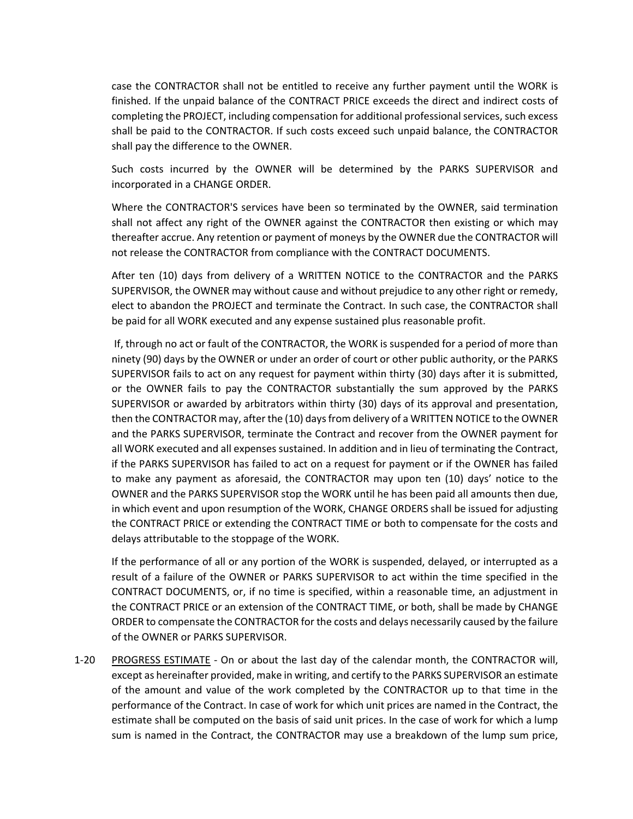case the CONTRACTOR shall not be entitled to receive any further payment until the WORK is finished. If the unpaid balance of the CONTRACT PRICE exceeds the direct and indirect costs of completing the PROJECT, including compensation for additional professional services, such excess shall be paid to the CONTRACTOR. If such costs exceed such unpaid balance, the CONTRACTOR shall pay the difference to the OWNER.

Such costs incurred by the OWNER will be determined by the PARKS SUPERVISOR and incorporated in a CHANGE ORDER.

Where the CONTRACTOR'S services have been so terminated by the OWNER, said termination shall not affect any right of the OWNER against the CONTRACTOR then existing or which may thereafter accrue. Any retention or payment of moneys by the OWNER due the CONTRACTOR will not release the CONTRACTOR from compliance with the CONTRACT DOCUMENTS.

After ten (10) days from delivery of a WRITTEN NOTICE to the CONTRACTOR and the PARKS SUPERVISOR, the OWNER may without cause and without prejudice to any other right or remedy, elect to abandon the PROJECT and terminate the Contract. In such case, the CONTRACTOR shall be paid for all WORK executed and any expense sustained plus reasonable profit.

If, through no act or fault of the CONTRACTOR, the WORK is suspended for a period of more than ninety (90) days by the OWNER or under an order of court or other public authority, or the PARKS SUPERVISOR fails to act on any request for payment within thirty (30) days after it is submitted, or the OWNER fails to pay the CONTRACTOR substantially the sum approved by the PARKS SUPERVISOR or awarded by arbitrators within thirty (30) days of its approval and presentation, then the CONTRACTOR may, after the (10) days from delivery of a WRITTEN NOTICE to the OWNER and the PARKS SUPERVISOR, terminate the Contract and recover from the OWNER payment for all WORK executed and all expenses sustained. In addition and in lieu of terminating the Contract, if the PARKS SUPERVISOR has failed to act on a request for payment or if the OWNER has failed to make any payment as aforesaid, the CONTRACTOR may upon ten (10) days' notice to the OWNER and the PARKS SUPERVISOR stop the WORK until he has been paid all amounts then due, in which event and upon resumption of the WORK, CHANGE ORDERS shall be issued for adjusting the CONTRACT PRICE or extending the CONTRACT TIME or both to compensate for the costs and delays attributable to the stoppage of the WORK.

If the performance of all or any portion of the WORK is suspended, delayed, or interrupted as a result of a failure of the OWNER or PARKS SUPERVISOR to act within the time specified in the CONTRACT DOCUMENTS, or, if no time is specified, within a reasonable time, an adjustment in the CONTRACT PRICE or an extension of the CONTRACT TIME, or both, shall be made by CHANGE ORDER to compensate the CONTRACTOR for the costs and delays necessarily caused by the failure of the OWNER or PARKS SUPERVISOR.

1-20 PROGRESS ESTIMATE - On or about the last day of the calendar month, the CONTRACTOR will, except as hereinafter provided, make in writing, and certify to the PARKS SUPERVISOR an estimate of the amount and value of the work completed by the CONTRACTOR up to that time in the performance of the Contract. In case of work for which unit prices are named in the Contract, the estimate shall be computed on the basis of said unit prices. In the case of work for which a lump sum is named in the Contract, the CONTRACTOR may use a breakdown of the lump sum price,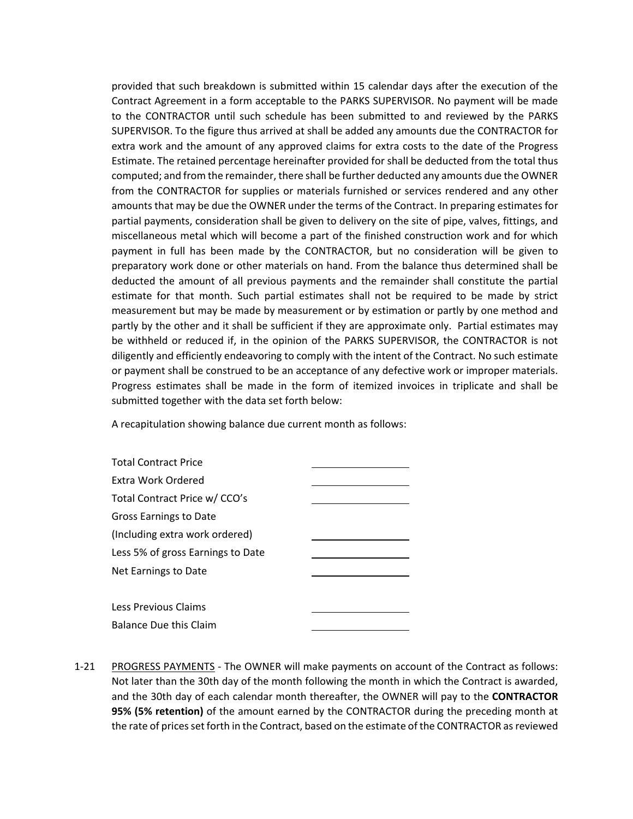provided that such breakdown is submitted within 15 calendar days after the execution of the Contract Agreement in a form acceptable to the PARKS SUPERVISOR. No payment will be made to the CONTRACTOR until such schedule has been submitted to and reviewed by the PARKS SUPERVISOR. To the figure thus arrived at shall be added any amounts due the CONTRACTOR for extra work and the amount of any approved claims for extra costs to the date of the Progress Estimate. The retained percentage hereinafter provided for shall be deducted from the total thus computed; and from the remainder, there shall be further deducted any amounts due the OWNER from the CONTRACTOR for supplies or materials furnished or services rendered and any other amounts that may be due the OWNER under the terms of the Contract. In preparing estimates for partial payments, consideration shall be given to delivery on the site of pipe, valves, fittings, and miscellaneous metal which will become a part of the finished construction work and for which payment in full has been made by the CONTRACTOR, but no consideration will be given to preparatory work done or other materials on hand. From the balance thus determined shall be deducted the amount of all previous payments and the remainder shall constitute the partial estimate for that month. Such partial estimates shall not be required to be made by strict measurement but may be made by measurement or by estimation or partly by one method and partly by the other and it shall be sufficient if they are approximate only. Partial estimates may be withheld or reduced if, in the opinion of the PARKS SUPERVISOR, the CONTRACTOR is not diligently and efficiently endeavoring to comply with the intent of the Contract. No such estimate or payment shall be construed to be an acceptance of any defective work or improper materials. Progress estimates shall be made in the form of itemized invoices in triplicate and shall be submitted together with the data set forth below:

A recapitulation showing balance due current month as follows:

| <b>Total Contract Price</b>       |  |
|-----------------------------------|--|
| Extra Work Ordered                |  |
| Total Contract Price w/ CCO's     |  |
| Gross Earnings to Date            |  |
| (Including extra work ordered)    |  |
| Less 5% of gross Earnings to Date |  |
| Net Earnings to Date              |  |
|                                   |  |
| Less Previous Claims              |  |
| <b>Balance Due this Claim</b>     |  |

1-21 PROGRESS PAYMENTS - The OWNER will make payments on account of the Contract as follows: Not later than the 30th day of the month following the month in which the Contract is awarded, and the 30th day of each calendar month thereafter, the OWNER will pay to the **CONTRACTOR 95% (5% retention)** of the amount earned by the CONTRACTOR during the preceding month at the rate of prices set forth in the Contract, based on the estimate of the CONTRACTOR as reviewed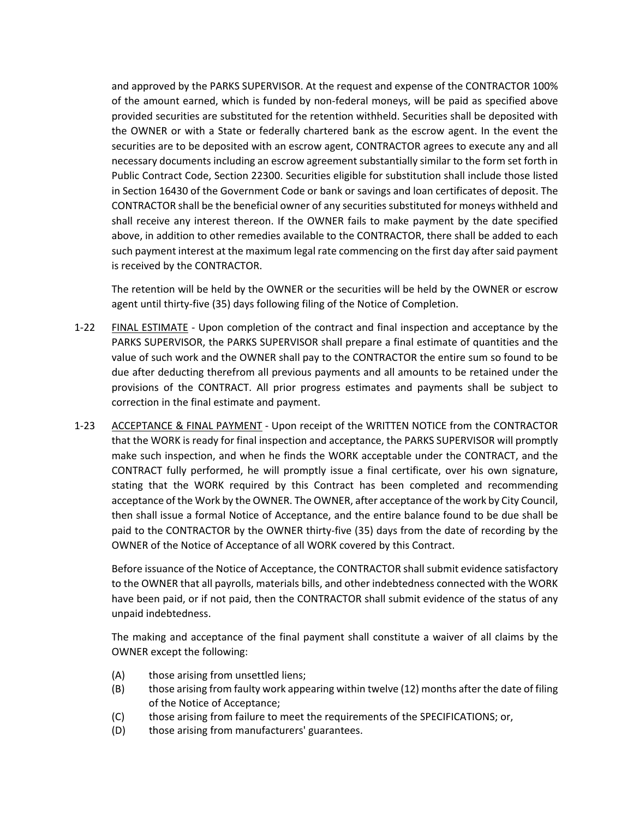and approved by the PARKS SUPERVISOR. At the request and expense of the CONTRACTOR 100% of the amount earned, which is funded by non-federal moneys, will be paid as specified above provided securities are substituted for the retention withheld. Securities shall be deposited with the OWNER or with a State or federally chartered bank as the escrow agent. In the event the securities are to be deposited with an escrow agent, CONTRACTOR agrees to execute any and all necessary documents including an escrow agreement substantially similar to the form set forth in Public Contract Code, Section 22300. Securities eligible for substitution shall include those listed in Section 16430 of the Government Code or bank or savings and loan certificates of deposit. The CONTRACTOR shall be the beneficial owner of any securities substituted for moneys withheld and shall receive any interest thereon. If the OWNER fails to make payment by the date specified above, in addition to other remedies available to the CONTRACTOR, there shall be added to each such payment interest at the maximum legal rate commencing on the first day after said payment is received by the CONTRACTOR.

The retention will be held by the OWNER or the securities will be held by the OWNER or escrow agent until thirty-five (35) days following filing of the Notice of Completion.

- 1-22 **FINAL ESTIMATE** Upon completion of the contract and final inspection and acceptance by the PARKS SUPERVISOR, the PARKS SUPERVISOR shall prepare a final estimate of quantities and the value of such work and the OWNER shall pay to the CONTRACTOR the entire sum so found to be due after deducting therefrom all previous payments and all amounts to be retained under the provisions of the CONTRACT. All prior progress estimates and payments shall be subject to correction in the final estimate and payment.
- 1-23 ACCEPTANCE & FINAL PAYMENT Upon receipt of the WRITTEN NOTICE from the CONTRACTOR that the WORK is ready for final inspection and acceptance, the PARKS SUPERVISOR will promptly make such inspection, and when he finds the WORK acceptable under the CONTRACT, and the CONTRACT fully performed, he will promptly issue a final certificate, over his own signature, stating that the WORK required by this Contract has been completed and recommending acceptance of the Work by the OWNER. The OWNER, after acceptance of the work by City Council, then shall issue a formal Notice of Acceptance, and the entire balance found to be due shall be paid to the CONTRACTOR by the OWNER thirty-five (35) days from the date of recording by the OWNER of the Notice of Acceptance of all WORK covered by this Contract.

Before issuance of the Notice of Acceptance, the CONTRACTOR shall submit evidence satisfactory to the OWNER that all payrolls, materials bills, and other indebtedness connected with the WORK have been paid, or if not paid, then the CONTRACTOR shall submit evidence of the status of any unpaid indebtedness.

The making and acceptance of the final payment shall constitute a waiver of all claims by the OWNER except the following:

- (A) those arising from unsettled liens;
- (B) those arising from faulty work appearing within twelve (12) months after the date of filing of the Notice of Acceptance;
- (C) those arising from failure to meet the requirements of the SPECIFICATIONS; or,
- (D) those arising from manufacturers' guarantees.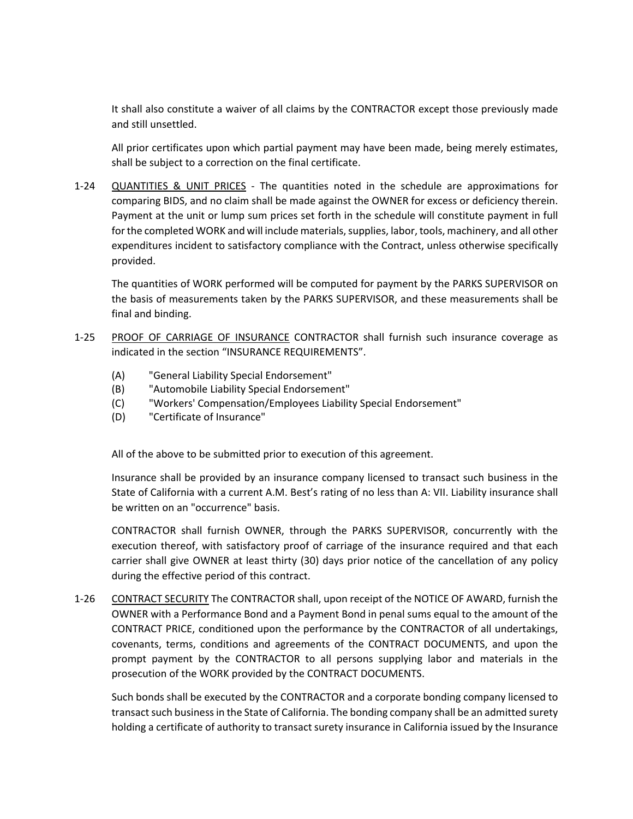It shall also constitute a waiver of all claims by the CONTRACTOR except those previously made and still unsettled.

All prior certificates upon which partial payment may have been made, being merely estimates, shall be subject to a correction on the final certificate.

1-24 QUANTITIES & UNIT PRICES - The quantities noted in the schedule are approximations for comparing BIDS, and no claim shall be made against the OWNER for excess or deficiency therein. Payment at the unit or lump sum prices set forth in the schedule will constitute payment in full for the completed WORK and will include materials, supplies, labor, tools, machinery, and all other expenditures incident to satisfactory compliance with the Contract, unless otherwise specifically provided.

The quantities of WORK performed will be computed for payment by the PARKS SUPERVISOR on the basis of measurements taken by the PARKS SUPERVISOR, and these measurements shall be final and binding.

- 1-25 PROOF OF CARRIAGE OF INSURANCE CONTRACTOR shall furnish such insurance coverage as indicated in the section "INSURANCE REQUIREMENTS".
	- (A) "General Liability Special Endorsement"
	- (B) "Automobile Liability Special Endorsement"
	- (C) "Workers' Compensation/Employees Liability Special Endorsement"
	- (D) "Certificate of Insurance"

All of the above to be submitted prior to execution of this agreement.

Insurance shall be provided by an insurance company licensed to transact such business in the State of California with a current A.M. Best's rating of no less than A: VII. Liability insurance shall be written on an "occurrence" basis.

CONTRACTOR shall furnish OWNER, through the PARKS SUPERVISOR, concurrently with the execution thereof, with satisfactory proof of carriage of the insurance required and that each carrier shall give OWNER at least thirty (30) days prior notice of the cancellation of any policy during the effective period of this contract.

1-26 CONTRACT SECURITY The CONTRACTOR shall, upon receipt of the NOTICE OF AWARD, furnish the OWNER with a Performance Bond and a Payment Bond in penal sums equal to the amount of the CONTRACT PRICE, conditioned upon the performance by the CONTRACTOR of all undertakings, covenants, terms, conditions and agreements of the CONTRACT DOCUMENTS, and upon the prompt payment by the CONTRACTOR to all persons supplying labor and materials in the prosecution of the WORK provided by the CONTRACT DOCUMENTS.

Such bonds shall be executed by the CONTRACTOR and a corporate bonding company licensed to transact such business in the State of California. The bonding company shall be an admitted surety holding a certificate of authority to transact surety insurance in California issued by the Insurance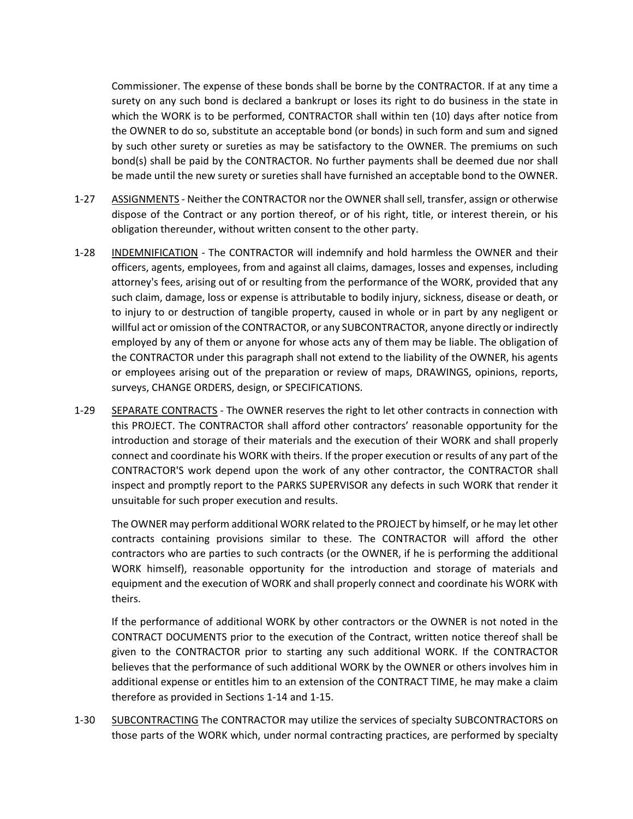Commissioner. The expense of these bonds shall be borne by the CONTRACTOR. If at any time a surety on any such bond is declared a bankrupt or loses its right to do business in the state in which the WORK is to be performed, CONTRACTOR shall within ten (10) days after notice from the OWNER to do so, substitute an acceptable bond (or bonds) in such form and sum and signed by such other surety or sureties as may be satisfactory to the OWNER. The premiums on such bond(s) shall be paid by the CONTRACTOR. No further payments shall be deemed due nor shall be made until the new surety or sureties shall have furnished an acceptable bond to the OWNER.

- 1-27 ASSIGNMENTS Neither the CONTRACTOR nor the OWNER shall sell, transfer, assign or otherwise dispose of the Contract or any portion thereof, or of his right, title, or interest therein, or his obligation thereunder, without written consent to the other party.
- 1-28 INDEMNIFICATION The CONTRACTOR will indemnify and hold harmless the OWNER and their officers, agents, employees, from and against all claims, damages, losses and expenses, including attorney's fees, arising out of or resulting from the performance of the WORK, provided that any such claim, damage, loss or expense is attributable to bodily injury, sickness, disease or death, or to injury to or destruction of tangible property, caused in whole or in part by any negligent or willful act or omission of the CONTRACTOR, or any SUBCONTRACTOR, anyone directly or indirectly employed by any of them or anyone for whose acts any of them may be liable. The obligation of the CONTRACTOR under this paragraph shall not extend to the liability of the OWNER, his agents or employees arising out of the preparation or review of maps, DRAWINGS, opinions, reports, surveys, CHANGE ORDERS, design, or SPECIFICATIONS.
- 1-29 SEPARATE CONTRACTS The OWNER reserves the right to let other contracts in connection with this PROJECT. The CONTRACTOR shall afford other contractors' reasonable opportunity for the introduction and storage of their materials and the execution of their WORK and shall properly connect and coordinate his WORK with theirs. If the proper execution or results of any part of the CONTRACTOR'S work depend upon the work of any other contractor, the CONTRACTOR shall inspect and promptly report to the PARKS SUPERVISOR any defects in such WORK that render it unsuitable for such proper execution and results.

The OWNER may perform additional WORK related to the PROJECT by himself, or he may let other contracts containing provisions similar to these. The CONTRACTOR will afford the other contractors who are parties to such contracts (or the OWNER, if he is performing the additional WORK himself), reasonable opportunity for the introduction and storage of materials and equipment and the execution of WORK and shall properly connect and coordinate his WORK with theirs.

If the performance of additional WORK by other contractors or the OWNER is not noted in the CONTRACT DOCUMENTS prior to the execution of the Contract, written notice thereof shall be given to the CONTRACTOR prior to starting any such additional WORK. If the CONTRACTOR believes that the performance of such additional WORK by the OWNER or others involves him in additional expense or entitles him to an extension of the CONTRACT TIME, he may make a claim therefore as provided in Sections 1-14 and 1-15.

1-30 SUBCONTRACTING The CONTRACTOR may utilize the services of specialty SUBCONTRACTORS on those parts of the WORK which, under normal contracting practices, are performed by specialty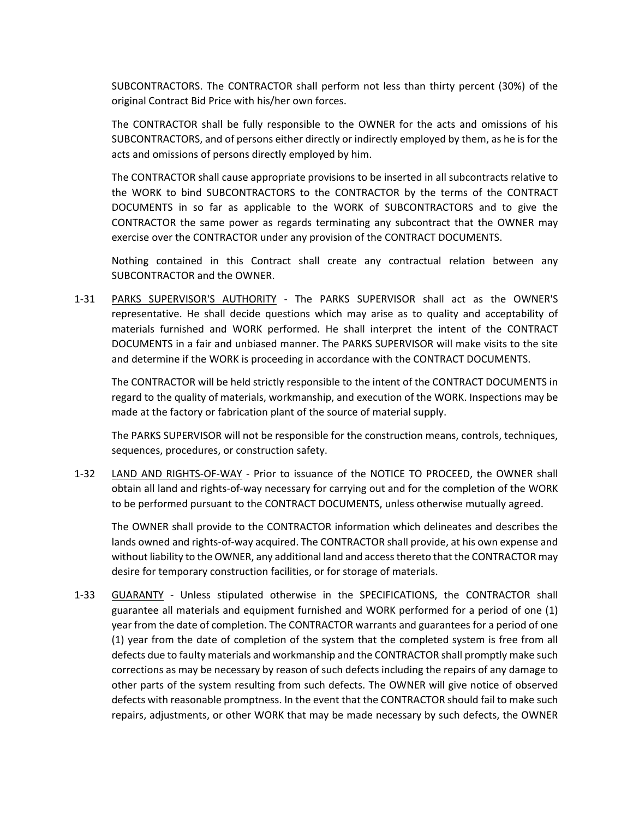SUBCONTRACTORS. The CONTRACTOR shall perform not less than thirty percent (30%) of the original Contract Bid Price with his/her own forces.

The CONTRACTOR shall be fully responsible to the OWNER for the acts and omissions of his SUBCONTRACTORS, and of persons either directly or indirectly employed by them, as he is for the acts and omissions of persons directly employed by him.

The CONTRACTOR shall cause appropriate provisions to be inserted in all subcontracts relative to the WORK to bind SUBCONTRACTORS to the CONTRACTOR by the terms of the CONTRACT DOCUMENTS in so far as applicable to the WORK of SUBCONTRACTORS and to give the CONTRACTOR the same power as regards terminating any subcontract that the OWNER may exercise over the CONTRACTOR under any provision of the CONTRACT DOCUMENTS.

Nothing contained in this Contract shall create any contractual relation between any SUBCONTRACTOR and the OWNER.

1-31 PARKS SUPERVISOR'S AUTHORITY - The PARKS SUPERVISOR shall act as the OWNER'S representative. He shall decide questions which may arise as to quality and acceptability of materials furnished and WORK performed. He shall interpret the intent of the CONTRACT DOCUMENTS in a fair and unbiased manner. The PARKS SUPERVISOR will make visits to the site and determine if the WORK is proceeding in accordance with the CONTRACT DOCUMENTS.

The CONTRACTOR will be held strictly responsible to the intent of the CONTRACT DOCUMENTS in regard to the quality of materials, workmanship, and execution of the WORK. Inspections may be made at the factory or fabrication plant of the source of material supply.

The PARKS SUPERVISOR will not be responsible for the construction means, controls, techniques, sequences, procedures, or construction safety.

1-32 LAND AND RIGHTS-OF-WAY - Prior to issuance of the NOTICE TO PROCEED, the OWNER shall obtain all land and rights-of-way necessary for carrying out and for the completion of the WORK to be performed pursuant to the CONTRACT DOCUMENTS, unless otherwise mutually agreed.

The OWNER shall provide to the CONTRACTOR information which delineates and describes the lands owned and rights-of-way acquired. The CONTRACTOR shall provide, at his own expense and without liability to the OWNER, any additional land and access thereto that the CONTRACTOR may desire for temporary construction facilities, or for storage of materials.

1-33 GUARANTY - Unless stipulated otherwise in the SPECIFICATIONS, the CONTRACTOR shall guarantee all materials and equipment furnished and WORK performed for a period of one (1) year from the date of completion. The CONTRACTOR warrants and guarantees for a period of one (1) year from the date of completion of the system that the completed system is free from all defects due to faulty materials and workmanship and the CONTRACTOR shall promptly make such corrections as may be necessary by reason of such defects including the repairs of any damage to other parts of the system resulting from such defects. The OWNER will give notice of observed defects with reasonable promptness. In the event that the CONTRACTOR should fail to make such repairs, adjustments, or other WORK that may be made necessary by such defects, the OWNER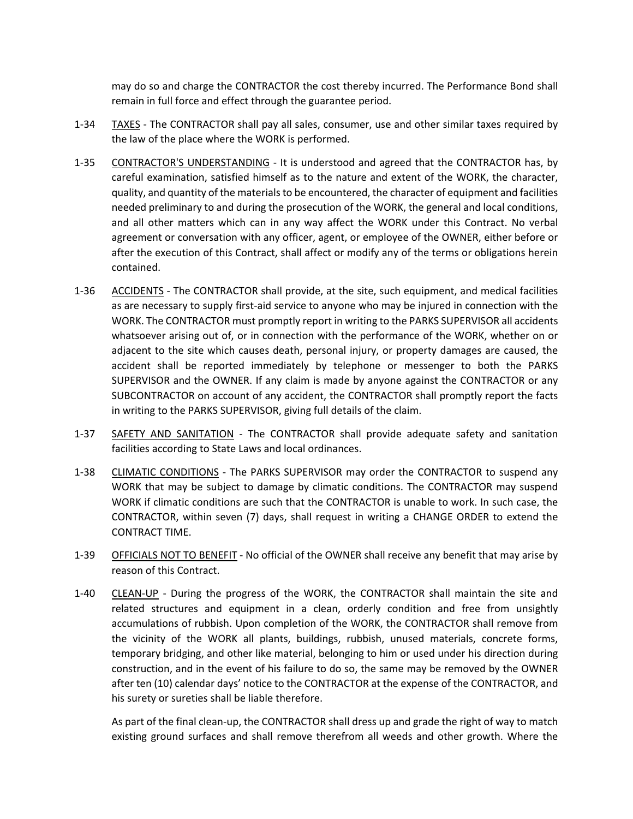may do so and charge the CONTRACTOR the cost thereby incurred. The Performance Bond shall remain in full force and effect through the guarantee period.

- 1-34 TAXES The CONTRACTOR shall pay all sales, consumer, use and other similar taxes required by the law of the place where the WORK is performed.
- 1-35 CONTRACTOR'S UNDERSTANDING It is understood and agreed that the CONTRACTOR has, by careful examination, satisfied himself as to the nature and extent of the WORK, the character, quality, and quantity of the materials to be encountered, the character of equipment and facilities needed preliminary to and during the prosecution of the WORK, the general and local conditions, and all other matters which can in any way affect the WORK under this Contract. No verbal agreement or conversation with any officer, agent, or employee of the OWNER, either before or after the execution of this Contract, shall affect or modify any of the terms or obligations herein contained.
- 1-36 ACCIDENTS The CONTRACTOR shall provide, at the site, such equipment, and medical facilities as are necessary to supply first-aid service to anyone who may be injured in connection with the WORK. The CONTRACTOR must promptly report in writing to the PARKS SUPERVISOR all accidents whatsoever arising out of, or in connection with the performance of the WORK, whether on or adjacent to the site which causes death, personal injury, or property damages are caused, the accident shall be reported immediately by telephone or messenger to both the PARKS SUPERVISOR and the OWNER. If any claim is made by anyone against the CONTRACTOR or any SUBCONTRACTOR on account of any accident, the CONTRACTOR shall promptly report the facts in writing to the PARKS SUPERVISOR, giving full details of the claim.
- 1-37 SAFETY AND SANITATION The CONTRACTOR shall provide adequate safety and sanitation facilities according to State Laws and local ordinances.
- 1-38 CLIMATIC CONDITIONS The PARKS SUPERVISOR may order the CONTRACTOR to suspend any WORK that may be subject to damage by climatic conditions. The CONTRACTOR may suspend WORK if climatic conditions are such that the CONTRACTOR is unable to work. In such case, the CONTRACTOR, within seven (7) days, shall request in writing a CHANGE ORDER to extend the CONTRACT TIME.
- 1-39 OFFICIALS NOT TO BENEFIT No official of the OWNER shall receive any benefit that may arise by reason of this Contract.
- 1-40 CLEAN-UP During the progress of the WORK, the CONTRACTOR shall maintain the site and related structures and equipment in a clean, orderly condition and free from unsightly accumulations of rubbish. Upon completion of the WORK, the CONTRACTOR shall remove from the vicinity of the WORK all plants, buildings, rubbish, unused materials, concrete forms, temporary bridging, and other like material, belonging to him or used under his direction during construction, and in the event of his failure to do so, the same may be removed by the OWNER after ten (10) calendar days' notice to the CONTRACTOR at the expense of the CONTRACTOR, and his surety or sureties shall be liable therefore.

As part of the final clean-up, the CONTRACTOR shall dress up and grade the right of way to match existing ground surfaces and shall remove therefrom all weeds and other growth. Where the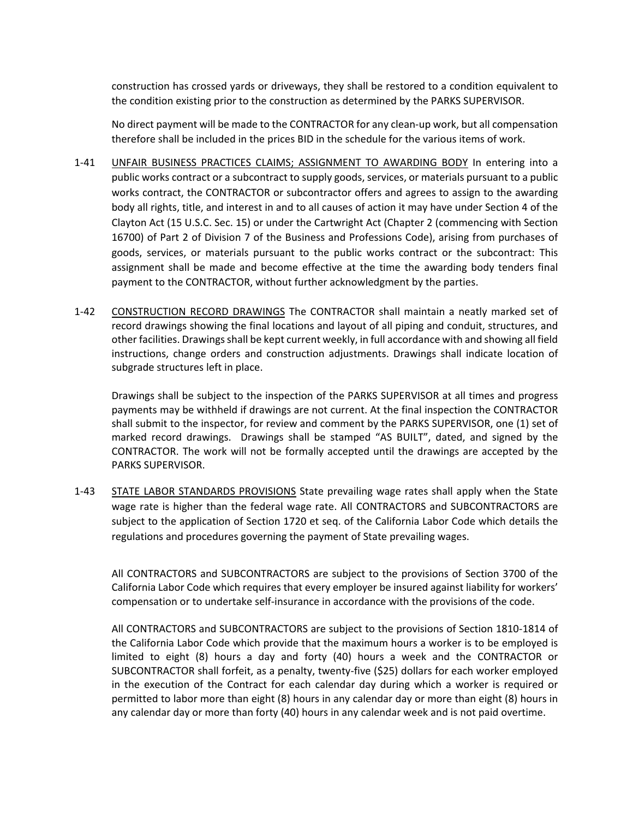construction has crossed yards or driveways, they shall be restored to a condition equivalent to the condition existing prior to the construction as determined by the PARKS SUPERVISOR.

No direct payment will be made to the CONTRACTOR for any clean-up work, but all compensation therefore shall be included in the prices BID in the schedule for the various items of work.

- 1-41 UNFAIR BUSINESS PRACTICES CLAIMS; ASSIGNMENT TO AWARDING BODY In entering into a public works contract or a subcontract to supply goods, services, or materials pursuant to a public works contract, the CONTRACTOR or subcontractor offers and agrees to assign to the awarding body all rights, title, and interest in and to all causes of action it may have under Section 4 of the Clayton Act (15 U.S.C. Sec. 15) or under the Cartwright Act (Chapter 2 (commencing with Section 16700) of Part 2 of Division 7 of the Business and Professions Code), arising from purchases of goods, services, or materials pursuant to the public works contract or the subcontract: This assignment shall be made and become effective at the time the awarding body tenders final payment to the CONTRACTOR, without further acknowledgment by the parties.
- 1-42 CONSTRUCTION RECORD DRAWINGS The CONTRACTOR shall maintain a neatly marked set of record drawings showing the final locations and layout of all piping and conduit, structures, and other facilities. Drawings shall be kept current weekly, in full accordance with and showing all field instructions, change orders and construction adjustments. Drawings shall indicate location of subgrade structures left in place.

Drawings shall be subject to the inspection of the PARKS SUPERVISOR at all times and progress payments may be withheld if drawings are not current. At the final inspection the CONTRACTOR shall submit to the inspector, for review and comment by the PARKS SUPERVISOR, one (1) set of marked record drawings. Drawings shall be stamped "AS BUILT", dated, and signed by the CONTRACTOR. The work will not be formally accepted until the drawings are accepted by the PARKS SUPERVISOR.

1-43 STATE LABOR STANDARDS PROVISIONS State prevailing wage rates shall apply when the State wage rate is higher than the federal wage rate. All CONTRACTORS and SUBCONTRACTORS are subject to the application of Section 1720 et seq. of the California Labor Code which details the regulations and procedures governing the payment of State prevailing wages.

All CONTRACTORS and SUBCONTRACTORS are subject to the provisions of Section 3700 of the California Labor Code which requires that every employer be insured against liability for workers' compensation or to undertake self-insurance in accordance with the provisions of the code.

All CONTRACTORS and SUBCONTRACTORS are subject to the provisions of Section 1810-1814 of the California Labor Code which provide that the maximum hours a worker is to be employed is limited to eight (8) hours a day and forty (40) hours a week and the CONTRACTOR or SUBCONTRACTOR shall forfeit, as a penalty, twenty-five (\$25) dollars for each worker employed in the execution of the Contract for each calendar day during which a worker is required or permitted to labor more than eight (8) hours in any calendar day or more than eight (8) hours in any calendar day or more than forty (40) hours in any calendar week and is not paid overtime.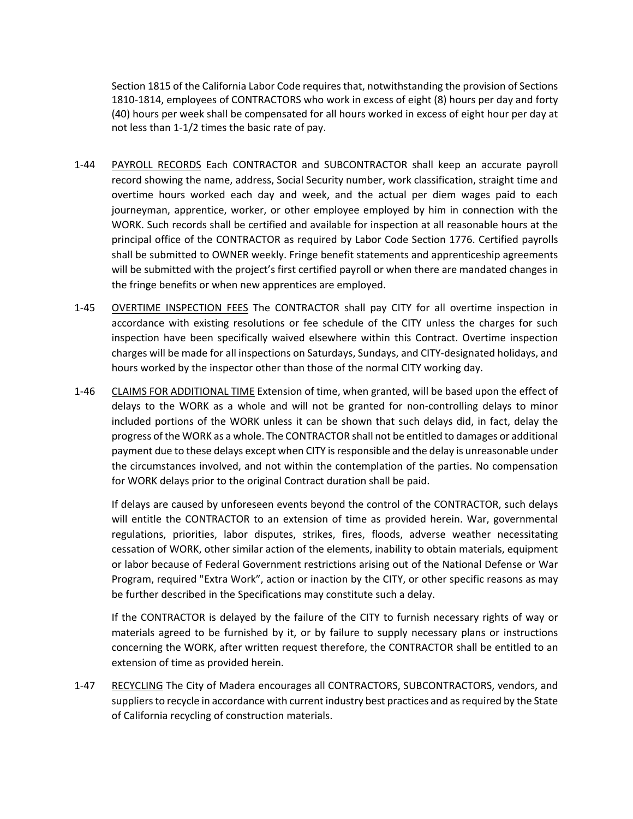Section 1815 of the California Labor Code requires that, notwithstanding the provision of Sections 1810-1814, employees of CONTRACTORS who work in excess of eight (8) hours per day and forty (40) hours per week shall be compensated for all hours worked in excess of eight hour per day at not less than 1-1/2 times the basic rate of pay.

- 1-44 PAYROLL RECORDS Each CONTRACTOR and SUBCONTRACTOR shall keep an accurate payroll record showing the name, address, Social Security number, work classification, straight time and overtime hours worked each day and week, and the actual per diem wages paid to each journeyman, apprentice, worker, or other employee employed by him in connection with the WORK. Such records shall be certified and available for inspection at all reasonable hours at the principal office of the CONTRACTOR as required by Labor Code Section 1776. Certified payrolls shall be submitted to OWNER weekly. Fringe benefit statements and apprenticeship agreements will be submitted with the project's first certified payroll or when there are mandated changes in the fringe benefits or when new apprentices are employed.
- 1-45 OVERTIME INSPECTION FEES The CONTRACTOR shall pay CITY for all overtime inspection in accordance with existing resolutions or fee schedule of the CITY unless the charges for such inspection have been specifically waived elsewhere within this Contract. Overtime inspection charges will be made for all inspections on Saturdays, Sundays, and CITY-designated holidays, and hours worked by the inspector other than those of the normal CITY working day.
- 1-46 CLAIMS FOR ADDITIONAL TIME Extension of time, when granted, will be based upon the effect of delays to the WORK as a whole and will not be granted for non-controlling delays to minor included portions of the WORK unless it can be shown that such delays did, in fact, delay the progress of the WORK as a whole. The CONTRACTOR shall not be entitled to damages or additional payment due to these delays except when CITY is responsible and the delay is unreasonable under the circumstances involved, and not within the contemplation of the parties. No compensation for WORK delays prior to the original Contract duration shall be paid.

If delays are caused by unforeseen events beyond the control of the CONTRACTOR, such delays will entitle the CONTRACTOR to an extension of time as provided herein. War, governmental regulations, priorities, labor disputes, strikes, fires, floods, adverse weather necessitating cessation of WORK, other similar action of the elements, inability to obtain materials, equipment or labor because of Federal Government restrictions arising out of the National Defense or War Program, required "Extra Work", action or inaction by the CITY, or other specific reasons as may be further described in the Specifications may constitute such a delay.

If the CONTRACTOR is delayed by the failure of the CITY to furnish necessary rights of way or materials agreed to be furnished by it, or by failure to supply necessary plans or instructions concerning the WORK, after written request therefore, the CONTRACTOR shall be entitled to an extension of time as provided herein.

1-47 RECYCLING The City of Madera encourages all CONTRACTORS, SUBCONTRACTORS, vendors, and suppliers to recycle in accordance with current industry best practices and as required by the State of California recycling of construction materials.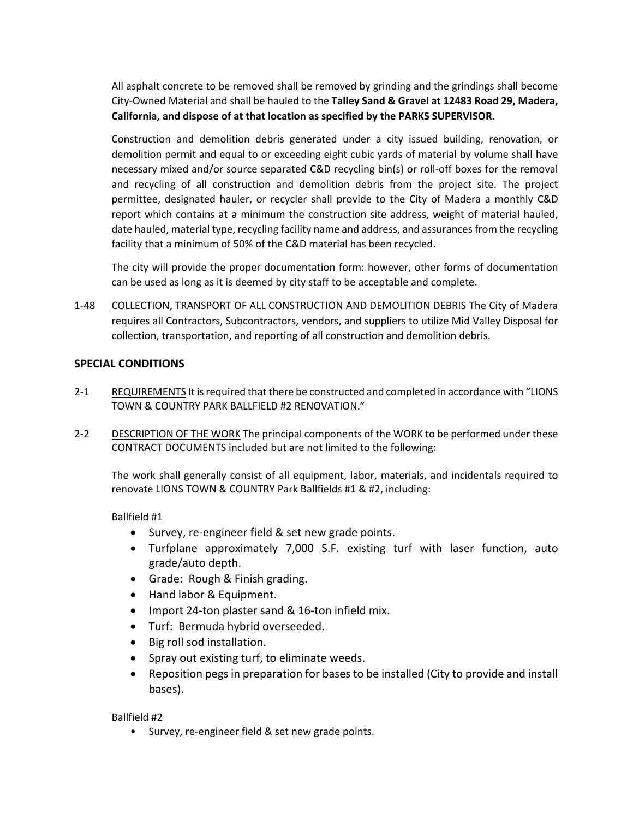All asphalt concrete to be removed shall be removed by grinding and the grindings shall become City-Owned Material and shall be hauled to the **Talley Sand & Gravel at 12483 Road 29, Madera, California, and dispose of at that location as specified by the PARKS SUPERVISOR.**

Construction and demolition debris generated under a city issued building, renovation, or demolition permit and equal to or exceeding eight cubic yards of material by volume shall have necessary mixed and/or source separated C&D recycling bin(s) or roll-off boxes for the removal and recycling of all construction and demolition debris from the project site. The project permittee, designated hauler, or recycler shall provide to the City of Madera a monthly C&D report which contains at a minimum the construction site address, weight of material hauled, date hauled, material type, recycling facility name and address, and assurances from the recycling facility that a minimum of 50% of the C&D material has been recycled.

The city will provide the proper documentation form: however, other forms of documentation can be used as long as it is deemed by city staff to be acceptable and complete.

1-48 COLLECTION, TRANSPORT OF ALL CONSTRUCTION AND DEMOLITION DEBRIS The City of Madera requires all Contractors, Subcontractors, vendors, and suppliers to utilize Mid Valley Disposal for collection, transportation, and reporting of all construction and demolition debris.

#### <span id="page-49-0"></span>**SPECIAL CONDITIONS**

- 2-1 REQUIREMENTS It is required that there be constructed and completed in accordance with "LIONS TOWN & COUNTRY PARK BALLFIELD #2 RENOVATION."
- 2-2 DESCRIPTION OF THE WORK The principal components of the WORK to be performed under these CONTRACT DOCUMENTS included but are not limited to the following:

The work shall generally consist of all equipment, labor, materials, and incidentals required to renovate LIONS TOWN & COUNTRY Park Ballfields #1 & #2, including:

Ballfield #1

- Survey, re-engineer field & set new grade points.
- Turfplane approximately 7,000 S.F. existing turf with laser function, auto grade/auto depth.
- Grade: Rough & Finish grading.
- Hand labor & Equipment.
- Import 24-ton plaster sand & 16-ton infield mix.
- Turf: Bermuda hybrid overseeded.
- Big roll sod installation.
- Spray out existing turf, to eliminate weeds.
- Reposition pegs in preparation for bases to be installed (City to provide and install bases).

Ballfield #2

• Survey, re-engineer field & set new grade points.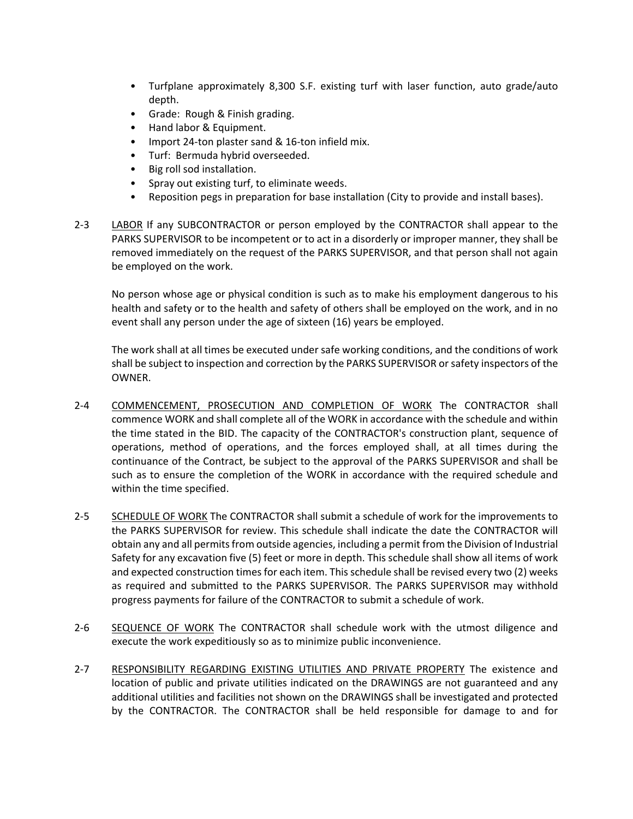- Turfplane approximately 8,300 S.F. existing turf with laser function, auto grade/auto depth.
- Grade: Rough & Finish grading.
- Hand labor & Equipment.
- Import 24-ton plaster sand & 16-ton infield mix.
- Turf: Bermuda hybrid overseeded.
- Big roll sod installation.
- Spray out existing turf, to eliminate weeds.
- Reposition pegs in preparation for base installation (City to provide and install bases).
- 2-3 LABOR If any SUBCONTRACTOR or person employed by the CONTRACTOR shall appear to the PARKS SUPERVISOR to be incompetent or to act in a disorderly or improper manner, they shall be removed immediately on the request of the PARKS SUPERVISOR, and that person shall not again be employed on the work.

No person whose age or physical condition is such as to make his employment dangerous to his health and safety or to the health and safety of others shall be employed on the work, and in no event shall any person under the age of sixteen (16) years be employed.

The work shall at all times be executed under safe working conditions, and the conditions of work shall be subject to inspection and correction by the PARKS SUPERVISOR or safety inspectors of the OWNER.

- 2-4 COMMENCEMENT, PROSECUTION AND COMPLETION OF WORK The CONTRACTOR shall commence WORK and shall complete all of the WORK in accordance with the schedule and within the time stated in the BID. The capacity of the CONTRACTOR's construction plant, sequence of operations, method of operations, and the forces employed shall, at all times during the continuance of the Contract, be subject to the approval of the PARKS SUPERVISOR and shall be such as to ensure the completion of the WORK in accordance with the required schedule and within the time specified.
- 2-5 SCHEDULE OF WORK The CONTRACTOR shall submit a schedule of work for the improvements to the PARKS SUPERVISOR for review. This schedule shall indicate the date the CONTRACTOR will obtain any and all permits from outside agencies, including a permit from the Division of Industrial Safety for any excavation five (5) feet or more in depth. This schedule shall show all items of work and expected construction times for each item. This schedule shall be revised every two (2) weeks as required and submitted to the PARKS SUPERVISOR. The PARKS SUPERVISOR may withhold progress payments for failure of the CONTRACTOR to submit a schedule of work.
- 2-6 SEQUENCE OF WORK The CONTRACTOR shall schedule work with the utmost diligence and execute the work expeditiously so as to minimize public inconvenience.
- 2-7 RESPONSIBILITY REGARDING EXISTING UTILITIES AND PRIVATE PROPERTY The existence and location of public and private utilities indicated on the DRAWINGS are not guaranteed and any additional utilities and facilities not shown on the DRAWINGS shall be investigated and protected by the CONTRACTOR. The CONTRACTOR shall be held responsible for damage to and for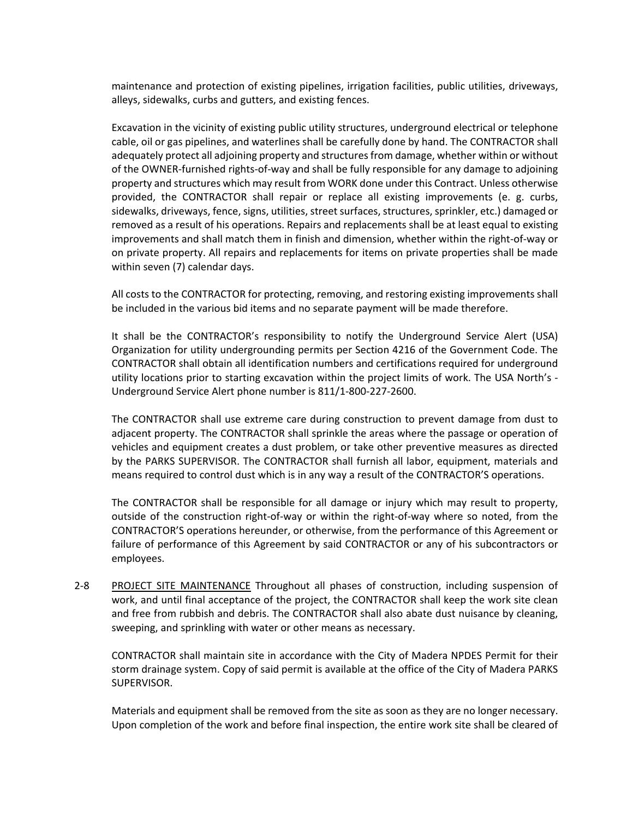maintenance and protection of existing pipelines, irrigation facilities, public utilities, driveways, alleys, sidewalks, curbs and gutters, and existing fences.

Excavation in the vicinity of existing public utility structures, underground electrical or telephone cable, oil or gas pipelines, and waterlines shall be carefully done by hand. The CONTRACTOR shall adequately protect all adjoining property and structures from damage, whether within or without of the OWNER-furnished rights-of-way and shall be fully responsible for any damage to adjoining property and structures which may result from WORK done under this Contract. Unless otherwise provided, the CONTRACTOR shall repair or replace all existing improvements (e. g. curbs, sidewalks, driveways, fence, signs, utilities, street surfaces, structures, sprinkler, etc.) damaged or removed as a result of his operations. Repairs and replacements shall be at least equal to existing improvements and shall match them in finish and dimension, whether within the right-of-way or on private property. All repairs and replacements for items on private properties shall be made within seven (7) calendar days.

All costs to the CONTRACTOR for protecting, removing, and restoring existing improvements shall be included in the various bid items and no separate payment will be made therefore.

It shall be the CONTRACTOR's responsibility to notify the Underground Service Alert (USA) Organization for utility undergrounding permits per Section 4216 of the Government Code. The CONTRACTOR shall obtain all identification numbers and certifications required for underground utility locations prior to starting excavation within the project limits of work. The USA North's - Underground Service Alert phone number is 811/1-800-227-2600.

The CONTRACTOR shall use extreme care during construction to prevent damage from dust to adjacent property. The CONTRACTOR shall sprinkle the areas where the passage or operation of vehicles and equipment creates a dust problem, or take other preventive measures as directed by the PARKS SUPERVISOR. The CONTRACTOR shall furnish all labor, equipment, materials and means required to control dust which is in any way a result of the CONTRACTOR'S operations.

The CONTRACTOR shall be responsible for all damage or injury which may result to property, outside of the construction right-of-way or within the right-of-way where so noted, from the CONTRACTOR'S operations hereunder, or otherwise, from the performance of this Agreement or failure of performance of this Agreement by said CONTRACTOR or any of his subcontractors or employees.

2-8 PROJECT SITE MAINTENANCE Throughout all phases of construction, including suspension of work, and until final acceptance of the project, the CONTRACTOR shall keep the work site clean and free from rubbish and debris. The CONTRACTOR shall also abate dust nuisance by cleaning, sweeping, and sprinkling with water or other means as necessary.

CONTRACTOR shall maintain site in accordance with the City of Madera NPDES Permit for their storm drainage system. Copy of said permit is available at the office of the City of Madera PARKS SUPERVISOR.

Materials and equipment shall be removed from the site as soon as they are no longer necessary. Upon completion of the work and before final inspection, the entire work site shall be cleared of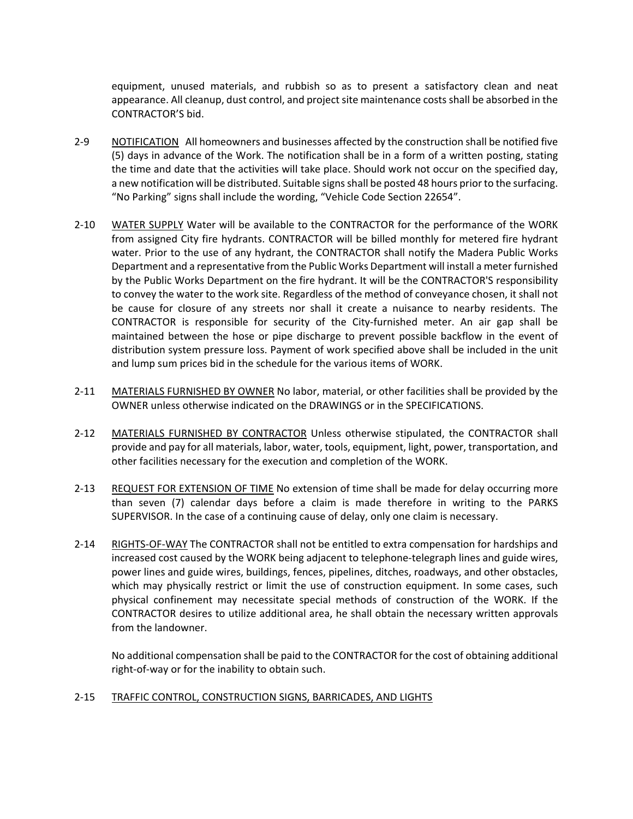equipment, unused materials, and rubbish so as to present a satisfactory clean and neat appearance. All cleanup, dust control, and project site maintenance costs shall be absorbed in the CONTRACTOR'S bid.

- 2-9 NOTIFICATION All homeowners and businesses affected by the construction shall be notified five (5) days in advance of the Work. The notification shall be in a form of a written posting, stating the time and date that the activities will take place. Should work not occur on the specified day, a new notification will be distributed. Suitable signs shall be posted 48 hours prior to the surfacing. "No Parking" signs shall include the wording, "Vehicle Code Section 22654".
- 2-10 WATER SUPPLY Water will be available to the CONTRACTOR for the performance of the WORK from assigned City fire hydrants. CONTRACTOR will be billed monthly for metered fire hydrant water. Prior to the use of any hydrant, the CONTRACTOR shall notify the Madera Public Works Department and a representative from the Public Works Department will install a meter furnished by the Public Works Department on the fire hydrant. It will be the CONTRACTOR'S responsibility to convey the water to the work site. Regardless of the method of conveyance chosen, it shall not be cause for closure of any streets nor shall it create a nuisance to nearby residents. The CONTRACTOR is responsible for security of the City-furnished meter. An air gap shall be maintained between the hose or pipe discharge to prevent possible backflow in the event of distribution system pressure loss. Payment of work specified above shall be included in the unit and lump sum prices bid in the schedule for the various items of WORK.
- 2-11 MATERIALS FURNISHED BY OWNER No labor, material, or other facilities shall be provided by the OWNER unless otherwise indicated on the DRAWINGS or in the SPECIFICATIONS.
- 2-12 MATERIALS FURNISHED BY CONTRACTOR Unless otherwise stipulated, the CONTRACTOR shall provide and pay for all materials, labor, water, tools, equipment, light, power, transportation, and other facilities necessary for the execution and completion of the WORK.
- 2-13 REQUEST FOR EXTENSION OF TIME No extension of time shall be made for delay occurring more than seven (7) calendar days before a claim is made therefore in writing to the PARKS SUPERVISOR. In the case of a continuing cause of delay, only one claim is necessary.
- 2-14 RIGHTS-OF-WAY The CONTRACTOR shall not be entitled to extra compensation for hardships and increased cost caused by the WORK being adjacent to telephone-telegraph lines and guide wires, power lines and guide wires, buildings, fences, pipelines, ditches, roadways, and other obstacles, which may physically restrict or limit the use of construction equipment. In some cases, such physical confinement may necessitate special methods of construction of the WORK. If the CONTRACTOR desires to utilize additional area, he shall obtain the necessary written approvals from the landowner.

No additional compensation shall be paid to the CONTRACTOR for the cost of obtaining additional right-of-way or for the inability to obtain such.

#### 2-15 TRAFFIC CONTROL, CONSTRUCTION SIGNS, BARRICADES, AND LIGHTS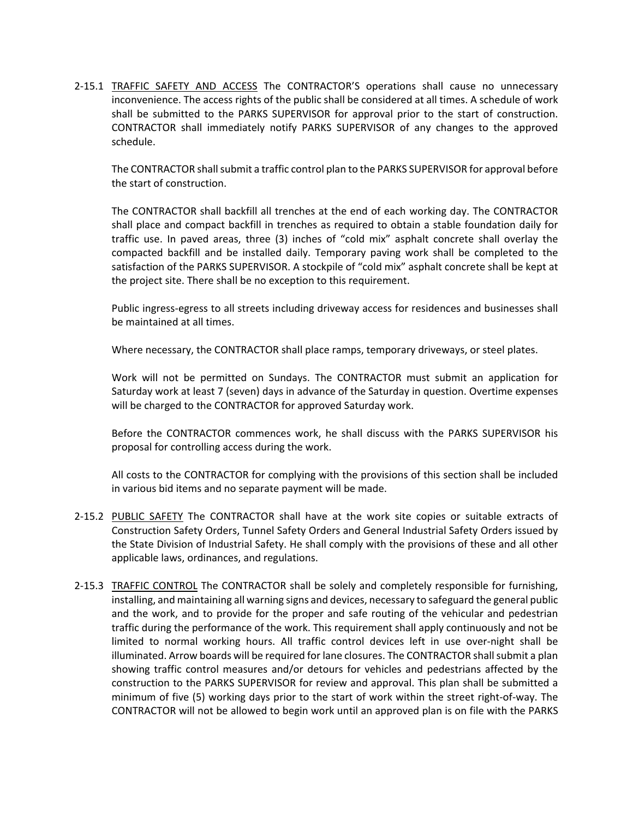2-15.1 TRAFFIC SAFETY AND ACCESS The CONTRACTOR'S operations shall cause no unnecessary inconvenience. The access rights of the public shall be considered at all times. A schedule of work shall be submitted to the PARKS SUPERVISOR for approval prior to the start of construction. CONTRACTOR shall immediately notify PARKS SUPERVISOR of any changes to the approved schedule.

The CONTRACTOR shall submit a traffic control plan to the PARKS SUPERVISOR for approval before the start of construction.

The CONTRACTOR shall backfill all trenches at the end of each working day. The CONTRACTOR shall place and compact backfill in trenches as required to obtain a stable foundation daily for traffic use. In paved areas, three (3) inches of "cold mix" asphalt concrete shall overlay the compacted backfill and be installed daily. Temporary paving work shall be completed to the satisfaction of the PARKS SUPERVISOR. A stockpile of "cold mix" asphalt concrete shall be kept at the project site. There shall be no exception to this requirement.

Public ingress-egress to all streets including driveway access for residences and businesses shall be maintained at all times.

Where necessary, the CONTRACTOR shall place ramps, temporary driveways, or steel plates.

Work will not be permitted on Sundays. The CONTRACTOR must submit an application for Saturday work at least 7 (seven) days in advance of the Saturday in question. Overtime expenses will be charged to the CONTRACTOR for approved Saturday work.

Before the CONTRACTOR commences work, he shall discuss with the PARKS SUPERVISOR his proposal for controlling access during the work.

All costs to the CONTRACTOR for complying with the provisions of this section shall be included in various bid items and no separate payment will be made.

- 2-15.2 PUBLIC SAFETY The CONTRACTOR shall have at the work site copies or suitable extracts of Construction Safety Orders, Tunnel Safety Orders and General Industrial Safety Orders issued by the State Division of Industrial Safety. He shall comply with the provisions of these and all other applicable laws, ordinances, and regulations.
- 2-15.3 TRAFFIC CONTROL The CONTRACTOR shall be solely and completely responsible for furnishing, installing, and maintaining all warning signs and devices, necessary to safeguard the general public and the work, and to provide for the proper and safe routing of the vehicular and pedestrian traffic during the performance of the work. This requirement shall apply continuously and not be limited to normal working hours. All traffic control devices left in use over-night shall be illuminated. Arrow boards will be required for lane closures. The CONTRACTOR shall submit a plan showing traffic control measures and/or detours for vehicles and pedestrians affected by the construction to the PARKS SUPERVISOR for review and approval. This plan shall be submitted a minimum of five (5) working days prior to the start of work within the street right-of-way. The CONTRACTOR will not be allowed to begin work until an approved plan is on file with the PARKS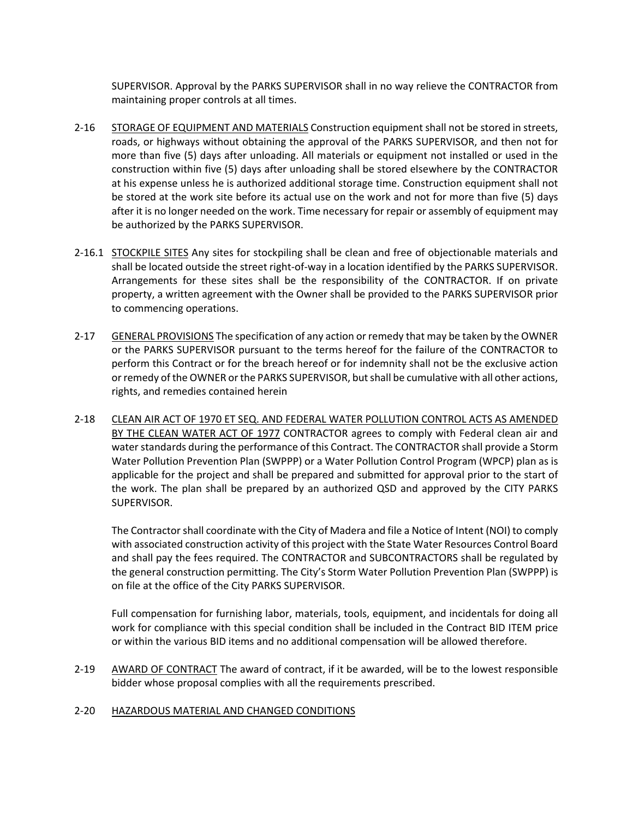SUPERVISOR. Approval by the PARKS SUPERVISOR shall in no way relieve the CONTRACTOR from maintaining proper controls at all times.

- 2-16 STORAGE OF EQUIPMENT AND MATERIALS Construction equipment shall not be stored in streets, roads, or highways without obtaining the approval of the PARKS SUPERVISOR, and then not for more than five (5) days after unloading. All materials or equipment not installed or used in the construction within five (5) days after unloading shall be stored elsewhere by the CONTRACTOR at his expense unless he is authorized additional storage time. Construction equipment shall not be stored at the work site before its actual use on the work and not for more than five (5) days after it is no longer needed on the work. Time necessary for repair or assembly of equipment may be authorized by the PARKS SUPERVISOR.
- 2-16.1 STOCKPILE SITES Any sites for stockpiling shall be clean and free of objectionable materials and shall be located outside the street right-of-way in a location identified by the PARKS SUPERVISOR. Arrangements for these sites shall be the responsibility of the CONTRACTOR. If on private property, a written agreement with the Owner shall be provided to the PARKS SUPERVISOR prior to commencing operations.
- 2-17 GENERAL PROVISIONS The specification of any action or remedy that may be taken by the OWNER or the PARKS SUPERVISOR pursuant to the terms hereof for the failure of the CONTRACTOR to perform this Contract or for the breach hereof or for indemnity shall not be the exclusive action or remedy of the OWNER or the PARKS SUPERVISOR, but shall be cumulative with all other actions, rights, and remedies contained herein
- 2-18 CLEAN AIR ACT OF 1970 ET SEQ. AND FEDERAL WATER POLLUTION CONTROL ACTS AS AMENDED BY THE CLEAN WATER ACT OF 1977 CONTRACTOR agrees to comply with Federal clean air and water standards during the performance of this Contract. The CONTRACTOR shall provide a Storm Water Pollution Prevention Plan (SWPPP) or a Water Pollution Control Program (WPCP) plan as is applicable for the project and shall be prepared and submitted for approval prior to the start of the work. The plan shall be prepared by an authorized QSD and approved by the CITY PARKS SUPERVISOR.

The Contractor shall coordinate with the City of Madera and file a Notice of Intent (NOI) to comply with associated construction activity of this project with the State Water Resources Control Board and shall pay the fees required. The CONTRACTOR and SUBCONTRACTORS shall be regulated by the general construction permitting. The City's Storm Water Pollution Prevention Plan (SWPPP) is on file at the office of the City PARKS SUPERVISOR.

Full compensation for furnishing labor, materials, tools, equipment, and incidentals for doing all work for compliance with this special condition shall be included in the Contract BID ITEM price or within the various BID items and no additional compensation will be allowed therefore.

2-19 AWARD OF CONTRACT The award of contract, if it be awarded, will be to the lowest responsible bidder whose proposal complies with all the requirements prescribed.

#### 2-20 HAZARDOUS MATERIAL AND CHANGED CONDITIONS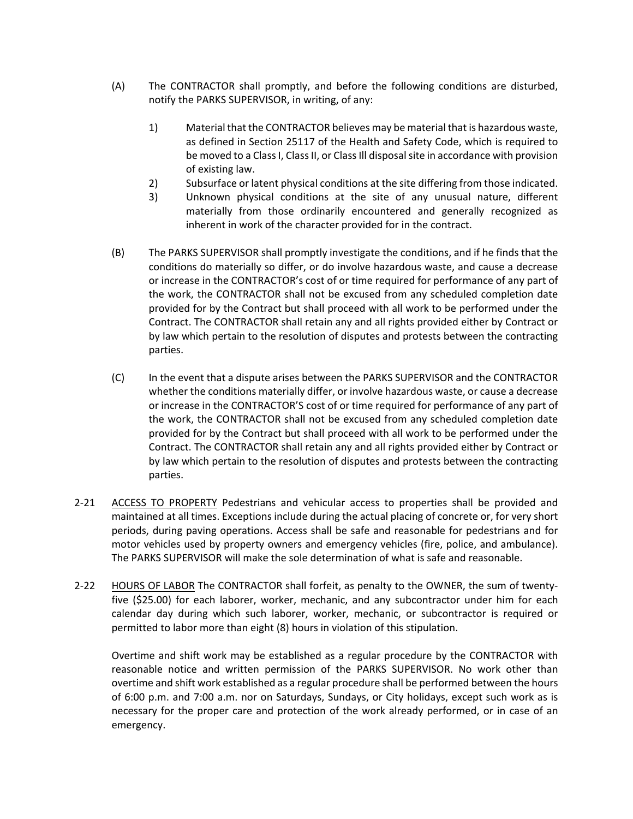- (A) The CONTRACTOR shall promptly, and before the following conditions are disturbed, notify the PARKS SUPERVISOR, in writing, of any:
	- 1) Material that the CONTRACTOR believes may be material that is hazardous waste, as defined in Section 25117 of the Health and Safety Code, which is required to be moved to a Class I, Class II, or Class Ill disposal site in accordance with provision of existing law.
	- 2) Subsurface or latent physical conditions at the site differing from those indicated.
	- 3) Unknown physical conditions at the site of any unusual nature, different materially from those ordinarily encountered and generally recognized as inherent in work of the character provided for in the contract.
- (B) The PARKS SUPERVISOR shall promptly investigate the conditions, and if he finds that the conditions do materially so differ, or do involve hazardous waste, and cause a decrease or increase in the CONTRACTOR's cost of or time required for performance of any part of the work, the CONTRACTOR shall not be excused from any scheduled completion date provided for by the Contract but shall proceed with all work to be performed under the Contract. The CONTRACTOR shall retain any and all rights provided either by Contract or by law which pertain to the resolution of disputes and protests between the contracting parties.
- (C) In the event that a dispute arises between the PARKS SUPERVISOR and the CONTRACTOR whether the conditions materially differ, or involve hazardous waste, or cause a decrease or increase in the CONTRACTOR'S cost of or time required for performance of any part of the work, the CONTRACTOR shall not be excused from any scheduled completion date provided for by the Contract but shall proceed with all work to be performed under the Contract. The CONTRACTOR shall retain any and all rights provided either by Contract or by law which pertain to the resolution of disputes and protests between the contracting parties.
- 2-21 ACCESS TO PROPERTY Pedestrians and vehicular access to properties shall be provided and maintained at all times. Exceptions include during the actual placing of concrete or, for very short periods, during paving operations. Access shall be safe and reasonable for pedestrians and for motor vehicles used by property owners and emergency vehicles (fire, police, and ambulance). The PARKS SUPERVISOR will make the sole determination of what is safe and reasonable.
- 2-22 HOURS OF LABOR The CONTRACTOR shall forfeit, as penalty to the OWNER, the sum of twentyfive (\$25.00) for each laborer, worker, mechanic, and any subcontractor under him for each calendar day during which such laborer, worker, mechanic, or subcontractor is required or permitted to labor more than eight (8) hours in violation of this stipulation.

Overtime and shift work may be established as a regular procedure by the CONTRACTOR with reasonable notice and written permission of the PARKS SUPERVISOR. No work other than overtime and shift work established as a regular procedure shall be performed between the hours of 6:00 p.m. and 7:00 a.m. nor on Saturdays, Sundays, or City holidays, except such work as is necessary for the proper care and protection of the work already performed, or in case of an emergency.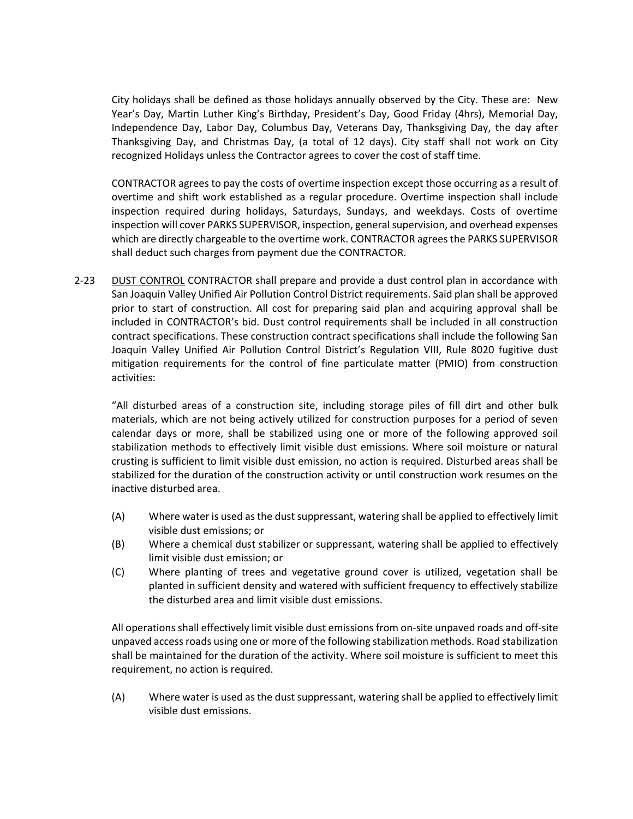City holidays shall be defined as those holidays annually observed by the City. These are: New Year's Day, Martin Luther King's Birthday, President's Day, Good Friday (4hrs), Memorial Day, Independence Day, Labor Day, Columbus Day, Veterans Day, Thanksgiving Day, the day after Thanksgiving Day, and Christmas Day, (a total of 12 days). City staff shall not work on City recognized Holidays unless the Contractor agrees to cover the cost of staff time.

CONTRACTOR agrees to pay the costs of overtime inspection except those occurring as a result of overtime and shift work established as a regular procedure. Overtime inspection shall include inspection required during holidays, Saturdays, Sundays, and weekdays. Costs of overtime inspection will cover PARKS SUPERVISOR, inspection, general supervision, and overhead expenses which are directly chargeable to the overtime work. CONTRACTOR agrees the PARKS SUPERVISOR shall deduct such charges from payment due the CONTRACTOR.

2-23 DUST CONTROL CONTRACTOR shall prepare and provide a dust control plan in accordance with San Joaquin Valley Unified Air Pollution Control District requirements. Said plan shall be approved prior to start of construction. All cost for preparing said plan and acquiring approval shall be included in CONTRACTOR's bid. Dust control requirements shall be included in all construction contract specifications. These construction contract specifications shall include the following San Joaquin Valley Unified Air Pollution Control District's Regulation VIII, Rule 8020 fugitive dust mitigation requirements for the control of fine particulate matter (PMIO) from construction activities:

"All disturbed areas of a construction site, including storage piles of fill dirt and other bulk materials, which are not being actively utilized for construction purposes for a period of seven calendar days or more, shall be stabilized using one or more of the following approved soil stabilization methods to effectively limit visible dust emissions. Where soil moisture or natural crusting is sufficient to limit visible dust emission, no action is required. Disturbed areas shall be stabilized for the duration of the construction activity or until construction work resumes on the inactive disturbed area.

- (A) Where water is used as the dust suppressant, watering shall be applied to effectively limit visible dust emissions; or
- (B) Where a chemical dust stabilizer or suppressant, watering shall be applied to effectively limit visible dust emission; or
- (C) Where planting of trees and vegetative ground cover is utilized, vegetation shall be planted in sufficient density and watered with sufficient frequency to effectively stabilize the disturbed area and limit visible dust emissions.

All operations shall effectively limit visible dust emissions from on-site unpaved roads and off-site unpaved access roads using one or more of the following stabilization methods. Road stabilization shall be maintained for the duration of the activity. Where soil moisture is sufficient to meet this requirement, no action is required.

(A) Where water is used as the dust suppressant, watering shall be applied to effectively limit visible dust emissions.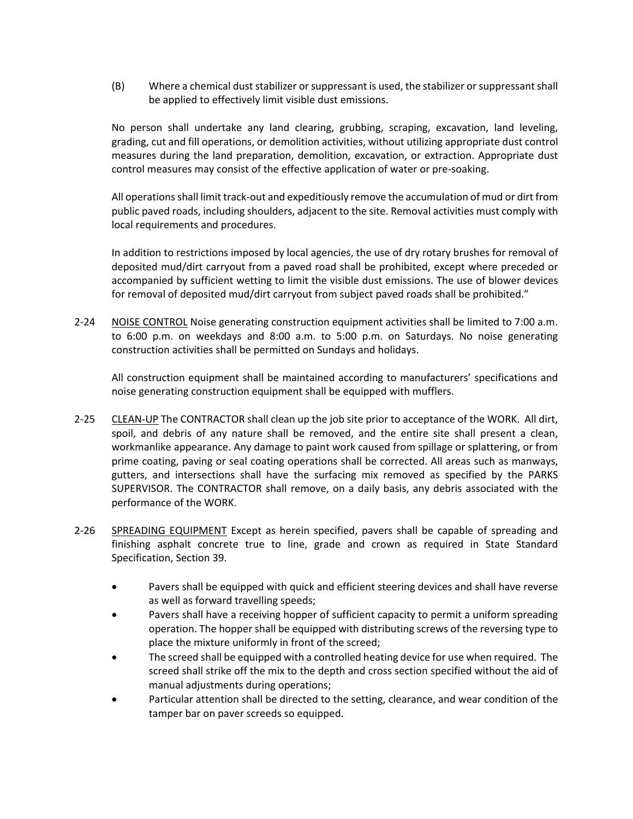(B) Where a chemical dust stabilizer or suppressant is used, the stabilizer or suppressant shall be applied to effectively limit visible dust emissions.

No person shall undertake any land clearing, grubbing, scraping, excavation, land leveling, grading, cut and fill operations, or demolition activities, without utilizing appropriate dust control measures during the land preparation, demolition, excavation, or extraction. Appropriate dust control measures may consist of the effective application of water or pre-soaking.

All operations shall limit track-out and expeditiously remove the accumulation of mud or dirt from public paved roads, including shoulders, adjacent to the site. Removal activities must comply with local requirements and procedures.

In addition to restrictions imposed by local agencies, the use of dry rotary brushes for removal of deposited mud/dirt carryout from a paved road shall be prohibited, except where preceded or accompanied by sufficient wetting to limit the visible dust emissions. The use of blower devices for removal of deposited mud/dirt carryout from subject paved roads shall be prohibited."

2-24 NOISE CONTROL Noise generating construction equipment activities shall be limited to 7:00 a.m. to 6:00 p.m. on weekdays and 8:00 a.m. to 5:00 p.m. on Saturdays. No noise generating construction activities shall be permitted on Sundays and holidays.

All construction equipment shall be maintained according to manufacturers' specifications and noise generating construction equipment shall be equipped with mufflers.

- 2-25 CLEAN-UP The CONTRACTOR shall clean up the job site prior to acceptance of the WORK. All dirt, spoil, and debris of any nature shall be removed, and the entire site shall present a clean, workmanlike appearance. Any damage to paint work caused from spillage or splattering, or from prime coating, paving or seal coating operations shall be corrected. All areas such as manways, gutters, and intersections shall have the surfacing mix removed as specified by the PARKS SUPERVISOR. The CONTRACTOR shall remove, on a daily basis, any debris associated with the performance of the WORK.
- 2-26 SPREADING EQUIPMENT Except as herein specified, pavers shall be capable of spreading and finishing asphalt concrete true to line, grade and crown as required in State Standard Specification, Section 39.
	- Pavers shall be equipped with quick and efficient steering devices and shall have reverse as well as forward travelling speeds;
	- Pavers shall have a receiving hopper of sufficient capacity to permit a uniform spreading operation. The hopper shall be equipped with distributing screws of the reversing type to place the mixture uniformly in front of the screed;
	- The screed shall be equipped with a controlled heating device for use when required. The screed shall strike off the mix to the depth and cross section specified without the aid of manual adjustments during operations;
	- Particular attention shall be directed to the setting, clearance, and wear condition of the tamper bar on paver screeds so equipped.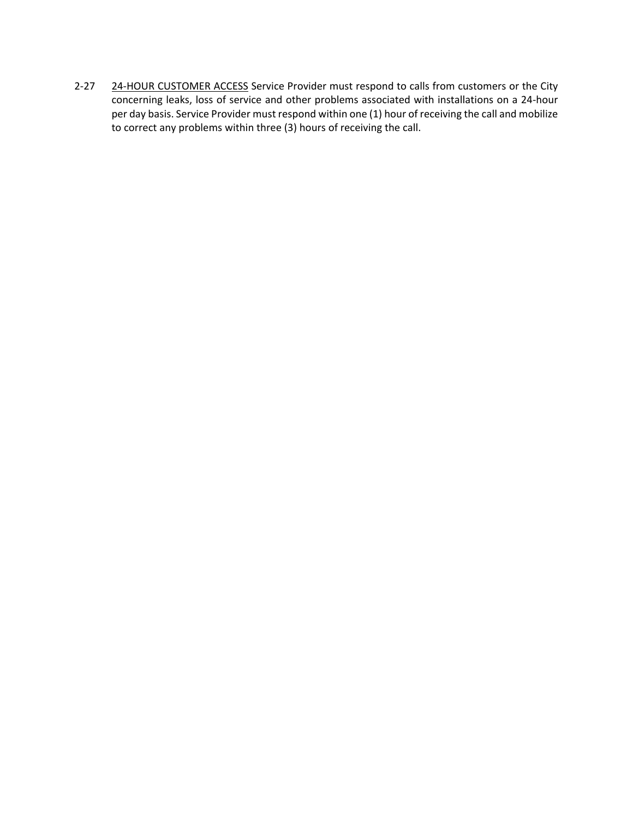2-27 24-HOUR CUSTOMER ACCESS Service Provider must respond to calls from customers or the City concerning leaks, loss of service and other problems associated with installations on a 24-hour per day basis. Service Provider must respond within one (1) hour of receiving the call and mobilize to correct any problems within three (3) hours of receiving the call.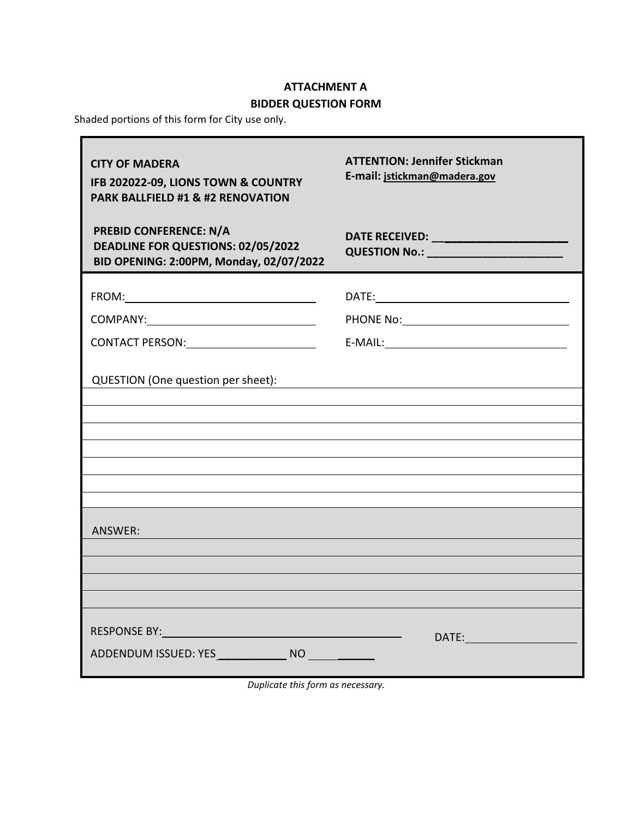# **ATTACHMENT A**

# **BIDDER QUESTION FORM**

<span id="page-59-1"></span><span id="page-59-0"></span>Shaded portions of this form for City use only.

| <b>CITY OF MADERA</b><br>IFB 202022-09, LIONS TOWN & COUNTRY<br><b>PARK BALLFIELD #1 &amp; #2 RENOVATION</b>                                                                                                                                                                     | <b>ATTENTION: Jennifer Stickman</b><br>E-mail: jstickman@madera.gov |
|----------------------------------------------------------------------------------------------------------------------------------------------------------------------------------------------------------------------------------------------------------------------------------|---------------------------------------------------------------------|
| <b>PREBID CONFERENCE: N/A</b><br>DEADLINE FOR QUESTIONS: 02/05/2022<br>BID OPENING: 2:00PM, Monday, 02/07/2022                                                                                                                                                                   | QUESTION No.: ___________________________                           |
|                                                                                                                                                                                                                                                                                  |                                                                     |
|                                                                                                                                                                                                                                                                                  |                                                                     |
| CONTACT PERSON: VALUE AND THE RESERVE AND THE RESERVE AND THE RESERVE AND THE RESERVE AND THE RESERVE AND THE R                                                                                                                                                                  | $E-MAIL:$                                                           |
| QUESTION (One question per sheet):                                                                                                                                                                                                                                               |                                                                     |
|                                                                                                                                                                                                                                                                                  |                                                                     |
| ANSWER:                                                                                                                                                                                                                                                                          |                                                                     |
| RESPONSE BY: North Contract of the Contract of the Contract of the Contract of the Contract of the Contract of the Contract of the Contract of the Contract of the Contract of the Contract of the Contract of the Contract of<br>ADDENDUM ISSUED: YES NO NO NO CONTROLLER BLACK |                                                                     |

*Duplicate this form as necessary.*